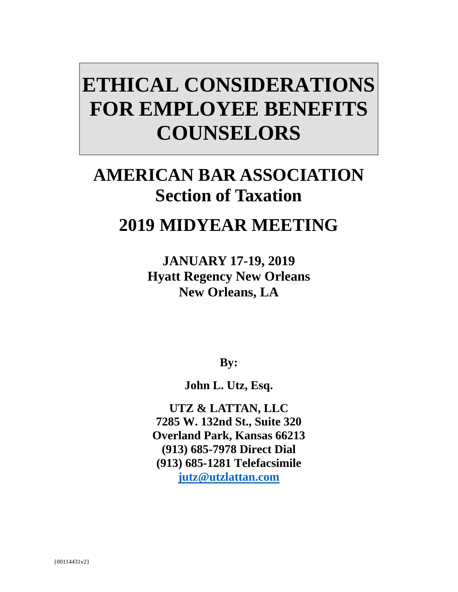# **ETHICAL CONSIDERATIONS FOR EMPLOYEE BENEFITS COUNSELORS**

# **AMERICAN BAR ASSOCIATION Section of Taxation**

## **2019 MIDYEAR MEETING**

**JANUARY 17-19, 2019 Hyatt Regency New Orleans New Orleans, LA**

**By:**

**John L. Utz, Esq.** 

**UTZ & LATTAN, LLC 7285 W. 132nd St., Suite 320 Overland Park, Kansas 66213 (913) 685-7978 Direct Dial (913) 685-1281 Telefacsimile jutz@utzlattan.com**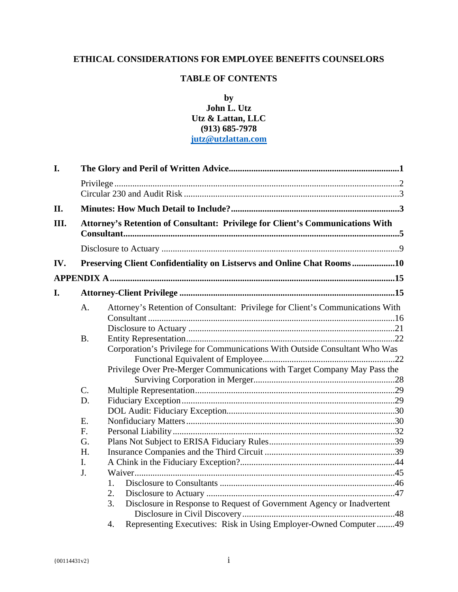### **ETHICAL CONSIDERATIONS FOR EMPLOYEE BENEFITS COUNSELORS**

### **TABLE OF CONTENTS**

#### **by John L. Utz Utz & Lattan, LLC (913) 685-7978 jutz@utzlattan.com**

| I.  |                                                                                |                                                                                |  |  |
|-----|--------------------------------------------------------------------------------|--------------------------------------------------------------------------------|--|--|
|     |                                                                                |                                                                                |  |  |
|     |                                                                                |                                                                                |  |  |
| II. |                                                                                |                                                                                |  |  |
| Ш.  | Attorney's Retention of Consultant: Privilege for Client's Communications With |                                                                                |  |  |
|     |                                                                                |                                                                                |  |  |
| IV. |                                                                                | Preserving Client Confidentiality on Listservs and Online Chat Rooms10         |  |  |
|     |                                                                                |                                                                                |  |  |
| I.  |                                                                                |                                                                                |  |  |
|     | A <sub>1</sub>                                                                 | Attorney's Retention of Consultant: Privilege for Client's Communications With |  |  |
|     |                                                                                |                                                                                |  |  |
|     | <b>B.</b>                                                                      |                                                                                |  |  |
|     |                                                                                | Corporation's Privilege for Communications With Outside Consultant Who Was     |  |  |
|     |                                                                                |                                                                                |  |  |
|     |                                                                                | Privilege Over Pre-Merger Communications with Target Company May Pass the      |  |  |
|     |                                                                                |                                                                                |  |  |
|     | $\mathcal{C}$ .                                                                |                                                                                |  |  |
|     | D.                                                                             |                                                                                |  |  |
|     |                                                                                |                                                                                |  |  |
|     | Ε.                                                                             |                                                                                |  |  |
|     | F.                                                                             |                                                                                |  |  |
|     | G.                                                                             |                                                                                |  |  |
|     | H.<br>I.                                                                       |                                                                                |  |  |
|     | J.                                                                             |                                                                                |  |  |
|     |                                                                                | 1.                                                                             |  |  |
|     |                                                                                | 2.                                                                             |  |  |
|     |                                                                                | Disclosure in Response to Request of Government Agency or Inadvertent<br>3.    |  |  |
|     |                                                                                |                                                                                |  |  |
|     |                                                                                | Representing Executives: Risk in Using Employer-Owned Computer49<br>4.         |  |  |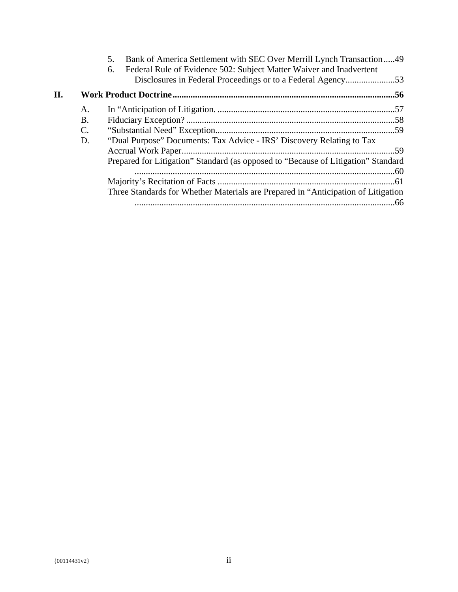|     |    | Bank of America Settlement with SEC Over Merrill Lynch Transaction49<br>5.<br>Federal Rule of Evidence 502: Subject Matter Waiver and Inadvertent<br>6. |  |
|-----|----|---------------------------------------------------------------------------------------------------------------------------------------------------------|--|
| II. |    |                                                                                                                                                         |  |
|     | A. |                                                                                                                                                         |  |
|     | Β. |                                                                                                                                                         |  |
|     | C. |                                                                                                                                                         |  |
|     | D. | "Dual Purpose" Documents: Tax Advice - IRS' Discovery Relating to Tax                                                                                   |  |
|     |    |                                                                                                                                                         |  |
|     |    | Prepared for Litigation" Standard (as opposed to "Because of Litigation" Standard                                                                       |  |
|     |    |                                                                                                                                                         |  |
|     |    |                                                                                                                                                         |  |
|     |    | Three Standards for Whether Materials are Prepared in "Anticipation of Litigation"                                                                      |  |
|     |    |                                                                                                                                                         |  |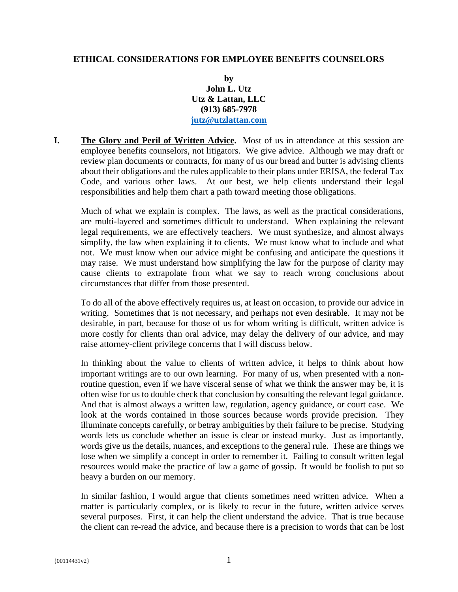#### **ETHICAL CONSIDERATIONS FOR EMPLOYEE BENEFITS COUNSELORS**

**by John L. Utz Utz & Lattan, LLC (913) 685-7978 jutz@utzlattan.com** 

**I. The Glory and Peril of Written Advice.** Most of us in attendance at this session are employee benefits counselors, not litigators. We give advice. Although we may draft or review plan documents or contracts, for many of us our bread and butter is advising clients about their obligations and the rules applicable to their plans under ERISA, the federal Tax Code, and various other laws. At our best, we help clients understand their legal responsibilities and help them chart a path toward meeting those obligations.

Much of what we explain is complex. The laws, as well as the practical considerations, are multi-layered and sometimes difficult to understand. When explaining the relevant legal requirements, we are effectively teachers. We must synthesize, and almost always simplify, the law when explaining it to clients. We must know what to include and what not. We must know when our advice might be confusing and anticipate the questions it may raise. We must understand how simplifying the law for the purpose of clarity may cause clients to extrapolate from what we say to reach wrong conclusions about circumstances that differ from those presented.

To do all of the above effectively requires us, at least on occasion, to provide our advice in writing. Sometimes that is not necessary, and perhaps not even desirable. It may not be desirable, in part, because for those of us for whom writing is difficult, written advice is more costly for clients than oral advice, may delay the delivery of our advice, and may raise attorney-client privilege concerns that I will discuss below.

In thinking about the value to clients of written advice, it helps to think about how important writings are to our own learning. For many of us, when presented with a nonroutine question, even if we have visceral sense of what we think the answer may be, it is often wise for us to double check that conclusion by consulting the relevant legal guidance. And that is almost always a written law, regulation, agency guidance, or court case. We look at the words contained in those sources because words provide precision. They illuminate concepts carefully, or betray ambiguities by their failure to be precise. Studying words lets us conclude whether an issue is clear or instead murky. Just as importantly, words give us the details, nuances, and exceptions to the general rule. These are things we lose when we simplify a concept in order to remember it. Failing to consult written legal resources would make the practice of law a game of gossip. It would be foolish to put so heavy a burden on our memory.

In similar fashion, I would argue that clients sometimes need written advice. When a matter is particularly complex, or is likely to recur in the future, written advice serves several purposes. First, it can help the client understand the advice. That is true because the client can re-read the advice, and because there is a precision to words that can be lost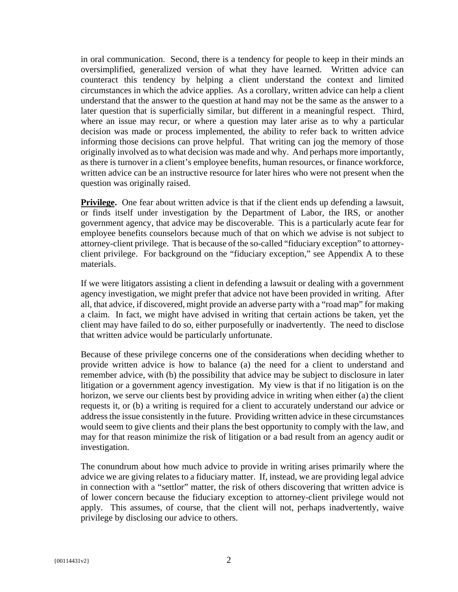in oral communication. Second, there is a tendency for people to keep in their minds an oversimplified, generalized version of what they have learned. Written advice can counteract this tendency by helping a client understand the context and limited circumstances in which the advice applies. As a corollary, written advice can help a client understand that the answer to the question at hand may not be the same as the answer to a later question that is superficially similar, but different in a meaningful respect. Third, where an issue may recur, or where a question may later arise as to why a particular decision was made or process implemented, the ability to refer back to written advice informing those decisions can prove helpful. That writing can jog the memory of those originally involved as to what decision was made and why. And perhaps more importantly, as there is turnover in a client's employee benefits, human resources, or finance workforce, written advice can be an instructive resource for later hires who were not present when the question was originally raised.

**Privilege.** One fear about written advice is that if the client ends up defending a lawsuit, or finds itself under investigation by the Department of Labor, the IRS, or another government agency, that advice may be discoverable. This is a particularly acute fear for employee benefits counselors because much of that on which we advise is not subject to attorney-client privilege. That is because of the so-called "fiduciary exception" to attorneyclient privilege. For background on the "fiduciary exception," see Appendix A to these materials.

If we were litigators assisting a client in defending a lawsuit or dealing with a government agency investigation, we might prefer that advice not have been provided in writing. After all, that advice, if discovered, might provide an adverse party with a "road map" for making a claim. In fact, we might have advised in writing that certain actions be taken, yet the client may have failed to do so, either purposefully or inadvertently. The need to disclose that written advice would be particularly unfortunate.

Because of these privilege concerns one of the considerations when deciding whether to provide written advice is how to balance (a) the need for a client to understand and remember advice, with (b) the possibility that advice may be subject to disclosure in later litigation or a government agency investigation. My view is that if no litigation is on the horizon, we serve our clients best by providing advice in writing when either (a) the client requests it, or (b) a writing is required for a client to accurately understand our advice or address the issue consistently in the future. Providing written advice in these circumstances would seem to give clients and their plans the best opportunity to comply with the law, and may for that reason minimize the risk of litigation or a bad result from an agency audit or investigation.

The conundrum about how much advice to provide in writing arises primarily where the advice we are giving relates to a fiduciary matter. If, instead, we are providing legal advice in connection with a "settlor" matter, the risk of others discovering that written advice is of lower concern because the fiduciary exception to attorney-client privilege would not apply. This assumes, of course, that the client will not, perhaps inadvertently, waive privilege by disclosing our advice to others.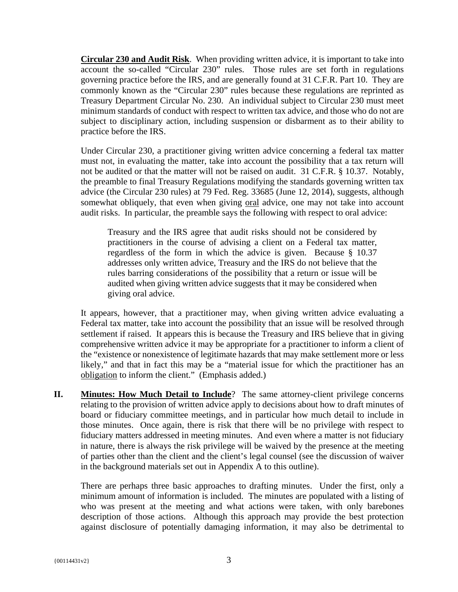**Circular 230 and Audit Risk**. When providing written advice, it is important to take into account the so-called "Circular 230" rules. Those rules are set forth in regulations governing practice before the IRS, and are generally found at 31 C.F.R. Part 10. They are commonly known as the "Circular 230" rules because these regulations are reprinted as Treasury Department Circular No. 230. An individual subject to Circular 230 must meet minimum standards of conduct with respect to written tax advice, and those who do not are subject to disciplinary action, including suspension or disbarment as to their ability to practice before the IRS.

Under Circular 230, a practitioner giving written advice concerning a federal tax matter must not, in evaluating the matter, take into account the possibility that a tax return will not be audited or that the matter will not be raised on audit. 31 C.F.R. § 10.37. Notably, the preamble to final Treasury Regulations modifying the standards governing written tax advice (the Circular 230 rules) at 79 Fed. Reg. 33685 (June 12, 2014), suggests, although somewhat obliquely, that even when giving oral advice, one may not take into account audit risks. In particular, the preamble says the following with respect to oral advice:

Treasury and the IRS agree that audit risks should not be considered by practitioners in the course of advising a client on a Federal tax matter, regardless of the form in which the advice is given. Because § 10.37 addresses only written advice, Treasury and the IRS do not believe that the rules barring considerations of the possibility that a return or issue will be audited when giving written advice suggests that it may be considered when giving oral advice.

It appears, however, that a practitioner may, when giving written advice evaluating a Federal tax matter, take into account the possibility that an issue will be resolved through settlement if raised. It appears this is because the Treasury and IRS believe that in giving comprehensive written advice it may be appropriate for a practitioner to inform a client of the "existence or nonexistence of legitimate hazards that may make settlement more or less likely," and that in fact this may be a "material issue for which the practitioner has an obligation to inform the client." (Emphasis added.)

**II. Minutes: How Much Detail to Include**? The same attorney-client privilege concerns relating to the provision of written advice apply to decisions about how to draft minutes of board or fiduciary committee meetings, and in particular how much detail to include in those minutes. Once again, there is risk that there will be no privilege with respect to fiduciary matters addressed in meeting minutes. And even where a matter is not fiduciary in nature, there is always the risk privilege will be waived by the presence at the meeting of parties other than the client and the client's legal counsel (see the discussion of waiver in the background materials set out in Appendix A to this outline).

There are perhaps three basic approaches to drafting minutes. Under the first, only a minimum amount of information is included. The minutes are populated with a listing of who was present at the meeting and what actions were taken, with only barebones description of those actions. Although this approach may provide the best protection against disclosure of potentially damaging information, it may also be detrimental to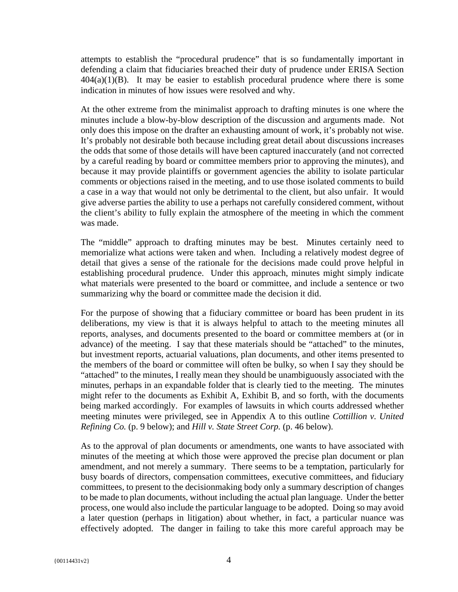attempts to establish the "procedural prudence" that is so fundamentally important in defending a claim that fiduciaries breached their duty of prudence under ERISA Section  $404(a)(1)(B)$ . It may be easier to establish procedural prudence where there is some indication in minutes of how issues were resolved and why.

At the other extreme from the minimalist approach to drafting minutes is one where the minutes include a blow-by-blow description of the discussion and arguments made. Not only does this impose on the drafter an exhausting amount of work, it's probably not wise. It's probably not desirable both because including great detail about discussions increases the odds that some of those details will have been captured inaccurately (and not corrected by a careful reading by board or committee members prior to approving the minutes), and because it may provide plaintiffs or government agencies the ability to isolate particular comments or objections raised in the meeting, and to use those isolated comments to build a case in a way that would not only be detrimental to the client, but also unfair. It would give adverse parties the ability to use a perhaps not carefully considered comment, without the client's ability to fully explain the atmosphere of the meeting in which the comment was made.

The "middle" approach to drafting minutes may be best. Minutes certainly need to memorialize what actions were taken and when. Including a relatively modest degree of detail that gives a sense of the rationale for the decisions made could prove helpful in establishing procedural prudence. Under this approach, minutes might simply indicate what materials were presented to the board or committee, and include a sentence or two summarizing why the board or committee made the decision it did.

For the purpose of showing that a fiduciary committee or board has been prudent in its deliberations, my view is that it is always helpful to attach to the meeting minutes all reports, analyses, and documents presented to the board or committee members at (or in advance) of the meeting. I say that these materials should be "attached" to the minutes, but investment reports, actuarial valuations, plan documents, and other items presented to the members of the board or committee will often be bulky, so when I say they should be "attached" to the minutes, I really mean they should be unambiguously associated with the minutes, perhaps in an expandable folder that is clearly tied to the meeting. The minutes might refer to the documents as Exhibit A, Exhibit B, and so forth, with the documents being marked accordingly. For examples of lawsuits in which courts addressed whether meeting minutes were privileged, see in Appendix A to this outline *Cottillion v. United Refining Co.* (p. 9 below); and *Hill v. State Street Corp.* (p. 46 below).

As to the approval of plan documents or amendments, one wants to have associated with minutes of the meeting at which those were approved the precise plan document or plan amendment, and not merely a summary. There seems to be a temptation, particularly for busy boards of directors, compensation committees, executive committees, and fiduciary committees, to present to the decisionmaking body only a summary description of changes to be made to plan documents, without including the actual plan language. Under the better process, one would also include the particular language to be adopted. Doing so may avoid a later question (perhaps in litigation) about whether, in fact, a particular nuance was effectively adopted. The danger in failing to take this more careful approach may be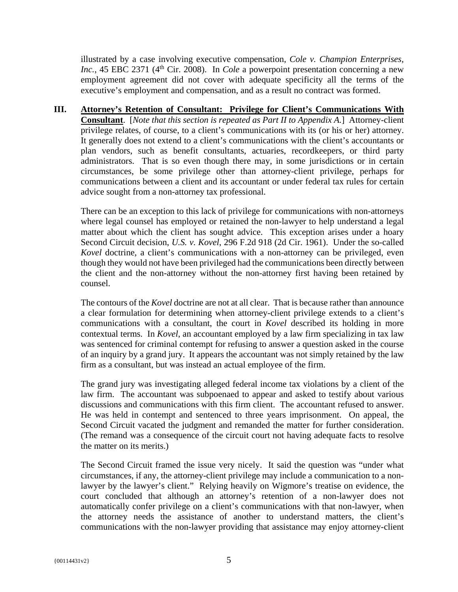illustrated by a case involving executive compensation, *Cole v. Champion Enterprises, Inc.*, 45 EBC 2371 (4<sup>th</sup> Cir. 2008). In *Cole* a powerpoint presentation concerning a new employment agreement did not cover with adequate specificity all the terms of the executive's employment and compensation, and as a result no contract was formed.

**III. Attorney's Retention of Consultant: Privilege for Client's Communications With Consultant**. [*Note that this section is repeated as Part II to Appendix A.*] Attorney-client privilege relates, of course, to a client's communications with its (or his or her) attorney. It generally does not extend to a client's communications with the client's accountants or plan vendors, such as benefit consultants, actuaries, recordkeepers, or third party administrators. That is so even though there may, in some jurisdictions or in certain circumstances, be some privilege other than attorney-client privilege, perhaps for communications between a client and its accountant or under federal tax rules for certain advice sought from a non-attorney tax professional.

There can be an exception to this lack of privilege for communications with non-attorneys where legal counsel has employed or retained the non-lawyer to help understand a legal matter about which the client has sought advice. This exception arises under a hoary Second Circuit decision, *U.S. v. Kovel*, 296 F.2d 918 (2d Cir. 1961). Under the so-called *Kovel* doctrine, a client's communications with a non-attorney can be privileged, even though they would not have been privileged had the communications been directly between the client and the non-attorney without the non-attorney first having been retained by counsel.

The contours of the *Kovel* doctrine are not at all clear. That is because rather than announce a clear formulation for determining when attorney-client privilege extends to a client's communications with a consultant, the court in *Kovel* described its holding in more contextual terms. In *Kovel*, an accountant employed by a law firm specializing in tax law was sentenced for criminal contempt for refusing to answer a question asked in the course of an inquiry by a grand jury. It appears the accountant was not simply retained by the law firm as a consultant, but was instead an actual employee of the firm.

The grand jury was investigating alleged federal income tax violations by a client of the law firm. The accountant was subpoenaed to appear and asked to testify about various discussions and communications with this firm client. The accountant refused to answer. He was held in contempt and sentenced to three years imprisonment. On appeal, the Second Circuit vacated the judgment and remanded the matter for further consideration. (The remand was a consequence of the circuit court not having adequate facts to resolve the matter on its merits.)

The Second Circuit framed the issue very nicely. It said the question was "under what circumstances, if any, the attorney-client privilege may include a communication to a nonlawyer by the lawyer's client." Relying heavily on Wigmore's treatise on evidence, the court concluded that although an attorney's retention of a non-lawyer does not automatically confer privilege on a client's communications with that non-lawyer, when the attorney needs the assistance of another to understand matters, the client's communications with the non-lawyer providing that assistance may enjoy attorney-client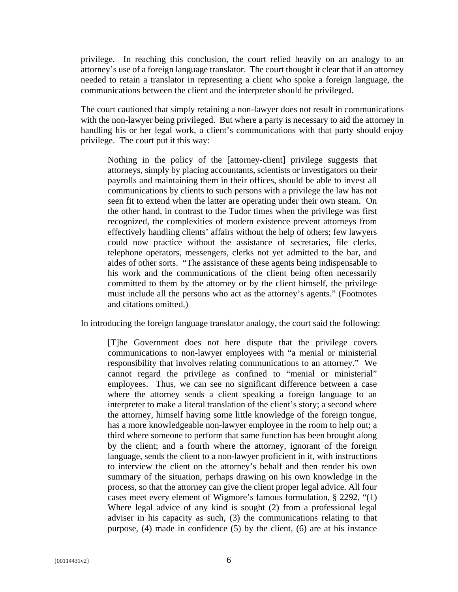privilege. In reaching this conclusion, the court relied heavily on an analogy to an attorney's use of a foreign language translator. The court thought it clear that if an attorney needed to retain a translator in representing a client who spoke a foreign language, the communications between the client and the interpreter should be privileged.

The court cautioned that simply retaining a non-lawyer does not result in communications with the non-lawyer being privileged. But where a party is necessary to aid the attorney in handling his or her legal work, a client's communications with that party should enjoy privilege. The court put it this way:

Nothing in the policy of the [attorney-client] privilege suggests that attorneys, simply by placing accountants, scientists or investigators on their payrolls and maintaining them in their offices, should be able to invest all communications by clients to such persons with a privilege the law has not seen fit to extend when the latter are operating under their own steam. On the other hand, in contrast to the Tudor times when the privilege was first recognized, the complexities of modern existence prevent attorneys from effectively handling clients' affairs without the help of others; few lawyers could now practice without the assistance of secretaries, file clerks, telephone operators, messengers, clerks not yet admitted to the bar, and aides of other sorts. "The assistance of these agents being indispensable to his work and the communications of the client being often necessarily committed to them by the attorney or by the client himself, the privilege must include all the persons who act as the attorney's agents." (Footnotes and citations omitted.)

In introducing the foreign language translator analogy, the court said the following:

[T]he Government does not here dispute that the privilege covers communications to non-lawyer employees with "a menial or ministerial responsibility that involves relating communications to an attorney." We cannot regard the privilege as confined to "menial or ministerial" employees. Thus, we can see no significant difference between a case where the attorney sends a client speaking a foreign language to an interpreter to make a literal translation of the client's story; a second where the attorney, himself having some little knowledge of the foreign tongue, has a more knowledgeable non-lawyer employee in the room to help out; a third where someone to perform that same function has been brought along by the client; and a fourth where the attorney, ignorant of the foreign language, sends the client to a non-lawyer proficient in it, with instructions to interview the client on the attorney's behalf and then render his own summary of the situation, perhaps drawing on his own knowledge in the process, so that the attorney can give the client proper legal advice. All four cases meet every element of Wigmore's famous formulation, § 2292, "(1) Where legal advice of any kind is sought (2) from a professional legal adviser in his capacity as such, (3) the communications relating to that purpose, (4) made in confidence (5) by the client, (6) are at his instance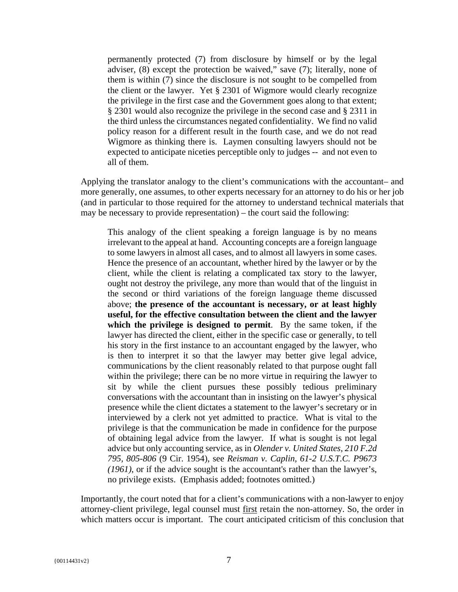permanently protected (7) from disclosure by himself or by the legal adviser, (8) except the protection be waived," save (7); literally, none of them is within (7) since the disclosure is not sought to be compelled from the client or the lawyer. Yet § 2301 of Wigmore would clearly recognize the privilege in the first case and the Government goes along to that extent; § 2301 would also recognize the privilege in the second case and § 2311 in the third unless the circumstances negated confidentiality. We find no valid policy reason for a different result in the fourth case, and we do not read Wigmore as thinking there is. Laymen consulting lawyers should not be expected to anticipate niceties perceptible only to judges -- and not even to all of them.

Applying the translator analogy to the client's communications with the accountant– and more generally, one assumes, to other experts necessary for an attorney to do his or her job (and in particular to those required for the attorney to understand technical materials that may be necessary to provide representation) – the court said the following:

This analogy of the client speaking a foreign language is by no means irrelevant to the appeal at hand. Accounting concepts are a foreign language to some lawyers in almost all cases, and to almost all lawyers in some cases. Hence the presence of an accountant, whether hired by the lawyer or by the client, while the client is relating a complicated tax story to the lawyer, ought not destroy the privilege, any more than would that of the linguist in the second or third variations of the foreign language theme discussed above; **the presence of the accountant is necessary, or at least highly useful, for the effective consultation between the client and the lawyer which the privilege is designed to permit**. By the same token, if the lawyer has directed the client, either in the specific case or generally, to tell his story in the first instance to an accountant engaged by the lawyer, who is then to interpret it so that the lawyer may better give legal advice, communications by the client reasonably related to that purpose ought fall within the privilege; there can be no more virtue in requiring the lawyer to sit by while the client pursues these possibly tedious preliminary conversations with the accountant than in insisting on the lawyer's physical presence while the client dictates a statement to the lawyer's secretary or in interviewed by a clerk not yet admitted to practice. What is vital to the privilege is that the communication be made in confidence for the purpose of obtaining legal advice from the lawyer. If what is sought is not legal advice but only accounting service, as in *Olender v. United States, 210 F.2d 795, 805-806* (9 Cir. 1954), see *Reisman v. Caplin, 61-2 U.S.T.C. P9673 (1961)*, or if the advice sought is the accountant's rather than the lawyer's, no privilege exists. (Emphasis added; footnotes omitted.)

Importantly, the court noted that for a client's communications with a non-lawyer to enjoy attorney-client privilege, legal counsel must first retain the non-attorney. So, the order in which matters occur is important. The court anticipated criticism of this conclusion that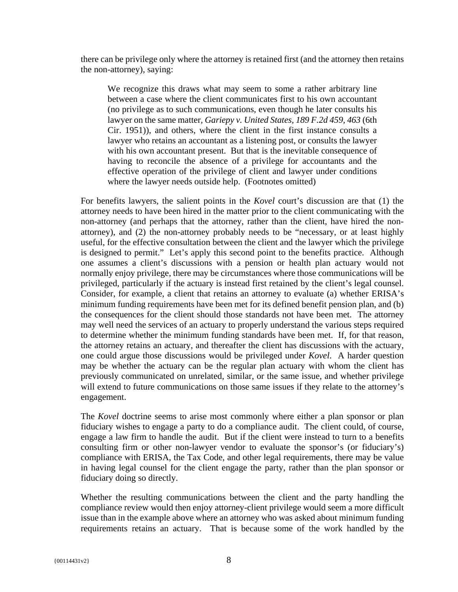there can be privilege only where the attorney is retained first (and the attorney then retains the non-attorney), saying:

We recognize this draws what may seem to some a rather arbitrary line between a case where the client communicates first to his own accountant (no privilege as to such communications, even though he later consults his lawyer on the same matter, *Gariepy v. United States, 189 F.2d 459, 463* (6th Cir. 1951)), and others, where the client in the first instance consults a lawyer who retains an accountant as a listening post, or consults the lawyer with his own accountant present. But that is the inevitable consequence of having to reconcile the absence of a privilege for accountants and the effective operation of the privilege of client and lawyer under conditions where the lawyer needs outside help. (Footnotes omitted)

For benefits lawyers, the salient points in the *Kovel* court's discussion are that (1) the attorney needs to have been hired in the matter prior to the client communicating with the non-attorney (and perhaps that the attorney, rather than the client, have hired the nonattorney), and (2) the non-attorney probably needs to be "necessary, or at least highly useful, for the effective consultation between the client and the lawyer which the privilege is designed to permit." Let's apply this second point to the benefits practice. Although one assumes a client's discussions with a pension or health plan actuary would not normally enjoy privilege, there may be circumstances where those communications will be privileged, particularly if the actuary is instead first retained by the client's legal counsel. Consider, for example, a client that retains an attorney to evaluate (a) whether ERISA's minimum funding requirements have been met for its defined benefit pension plan, and (b) the consequences for the client should those standards not have been met. The attorney may well need the services of an actuary to properly understand the various steps required to determine whether the minimum funding standards have been met. If, for that reason, the attorney retains an actuary, and thereafter the client has discussions with the actuary, one could argue those discussions would be privileged under *Kovel*. A harder question may be whether the actuary can be the regular plan actuary with whom the client has previously communicated on unrelated, similar, or the same issue, and whether privilege will extend to future communications on those same issues if they relate to the attorney's engagement.

The *Kovel* doctrine seems to arise most commonly where either a plan sponsor or plan fiduciary wishes to engage a party to do a compliance audit. The client could, of course, engage a law firm to handle the audit. But if the client were instead to turn to a benefits consulting firm or other non-lawyer vendor to evaluate the sponsor's (or fiduciary's) compliance with ERISA, the Tax Code, and other legal requirements, there may be value in having legal counsel for the client engage the party, rather than the plan sponsor or fiduciary doing so directly.

Whether the resulting communications between the client and the party handling the compliance review would then enjoy attorney-client privilege would seem a more difficult issue than in the example above where an attorney who was asked about minimum funding requirements retains an actuary. That is because some of the work handled by the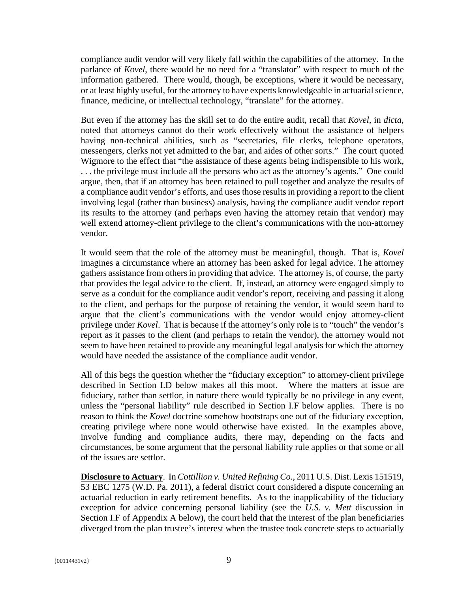compliance audit vendor will very likely fall within the capabilities of the attorney. In the parlance of *Kovel*, there would be no need for a "translator" with respect to much of the information gathered. There would, though, be exceptions, where it would be necessary, or at least highly useful, for the attorney to have experts knowledgeable in actuarial science, finance, medicine, or intellectual technology, "translate" for the attorney.

But even if the attorney has the skill set to do the entire audit, recall that *Kovel*, in *dicta*, noted that attorneys cannot do their work effectively without the assistance of helpers having non-technical abilities, such as "secretaries, file clerks, telephone operators, messengers, clerks not yet admitted to the bar, and aides of other sorts." The court quoted Wigmore to the effect that "the assistance of these agents being indispensible to his work, . . . the privilege must include all the persons who act as the attorney's agents." One could argue, then, that if an attorney has been retained to pull together and analyze the results of a compliance audit vendor's efforts, and uses those results in providing a report to the client involving legal (rather than business) analysis, having the compliance audit vendor report its results to the attorney (and perhaps even having the attorney retain that vendor) may well extend attorney-client privilege to the client's communications with the non-attorney vendor.

It would seem that the role of the attorney must be meaningful, though. That is, *Kovel* imagines a circumstance where an attorney has been asked for legal advice. The attorney gathers assistance from others in providing that advice. The attorney is, of course, the party that provides the legal advice to the client. If, instead, an attorney were engaged simply to serve as a conduit for the compliance audit vendor's report, receiving and passing it along to the client, and perhaps for the purpose of retaining the vendor, it would seem hard to argue that the client's communications with the vendor would enjoy attorney-client privilege under *Kovel*. That is because if the attorney's only role is to "touch" the vendor's report as it passes to the client (and perhaps to retain the vendor), the attorney would not seem to have been retained to provide any meaningful legal analysis for which the attorney would have needed the assistance of the compliance audit vendor.

All of this begs the question whether the "fiduciary exception" to attorney-client privilege described in Section I.D below makes all this moot. Where the matters at issue are fiduciary, rather than settlor, in nature there would typically be no privilege in any event, unless the "personal liability" rule described in Section I.F below applies. There is no reason to think the *Kovel* doctrine somehow bootstraps one out of the fiduciary exception, creating privilege where none would otherwise have existed. In the examples above, involve funding and compliance audits, there may, depending on the facts and circumstances, be some argument that the personal liability rule applies or that some or all of the issues are settlor.

**Disclosure to Actuary**. In *Cottillion v. United Refining Co.*, 2011 U.S. Dist. Lexis 151519, 53 EBC 1275 (W.D. Pa. 2011), a federal district court considered a dispute concerning an actuarial reduction in early retirement benefits. As to the inapplicability of the fiduciary exception for advice concerning personal liability (see the *U.S. v. Mett* discussion in Section I.F of Appendix A below), the court held that the interest of the plan beneficiaries diverged from the plan trustee's interest when the trustee took concrete steps to actuarially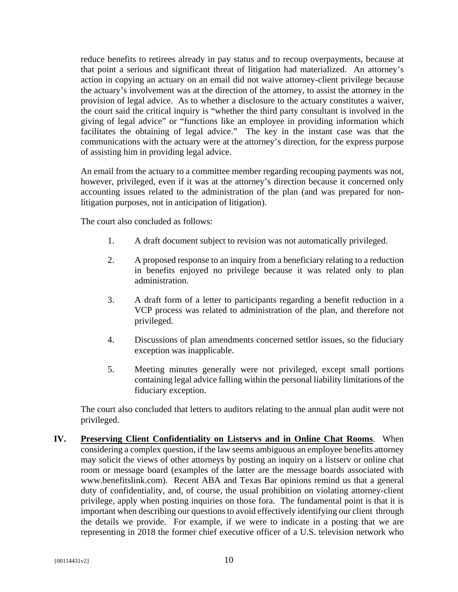reduce benefits to retirees already in pay status and to recoup overpayments, because at that point a serious and significant threat of litigation had materialized. An attorney's action in copying an actuary on an email did not waive attorney-client privilege because the actuary's involvement was at the direction of the attorney, to assist the attorney in the provision of legal advice. As to whether a disclosure to the actuary constitutes a waiver, the court said the critical inquiry is "whether the third party consultant is involved in the giving of legal advice" or "functions like an employee in providing information which facilitates the obtaining of legal advice." The key in the instant case was that the communications with the actuary were at the attorney's direction, for the express purpose of assisting him in providing legal advice.

An email from the actuary to a committee member regarding recouping payments was not, however, privileged, even if it was at the attorney's direction because it concerned only accounting issues related to the administration of the plan (and was prepared for nonlitigation purposes, not in anticipation of litigation).

The court also concluded as follows:

- 1. A draft document subject to revision was not automatically privileged.
- 2. A proposed response to an inquiry from a beneficiary relating to a reduction in benefits enjoyed no privilege because it was related only to plan administration.
- 3. A draft form of a letter to participants regarding a benefit reduction in a VCP process was related to administration of the plan, and therefore not privileged.
- 4. Discussions of plan amendments concerned settlor issues, so the fiduciary exception was inapplicable.
- 5. Meeting minutes generally were not privileged, except small portions containing legal advice falling within the personal liability limitations of the fiduciary exception.

The court also concluded that letters to auditors relating to the annual plan audit were not privileged.

**IV. Preserving Client Confidentiality on Listservs and in Online Chat Rooms**. When considering a complex question, if the law seems ambiguous an employee benefits attorney may solicit the views of other attorneys by posting an inquiry on a listserv or online chat room or message board (examples of the latter are the message boards associated with www.benefitslink.com). Recent ABA and Texas Bar opinions remind us that a general duty of confidentiality, and, of course, the usual prohibition on violating attorney-client privilege, apply when posting inquiries on those fora. The fundamental point is that it is important when describing our questions to avoid effectively identifying our client through the details we provide. For example, if we were to indicate in a posting that we are representing in 2018 the former chief executive officer of a U.S. television network who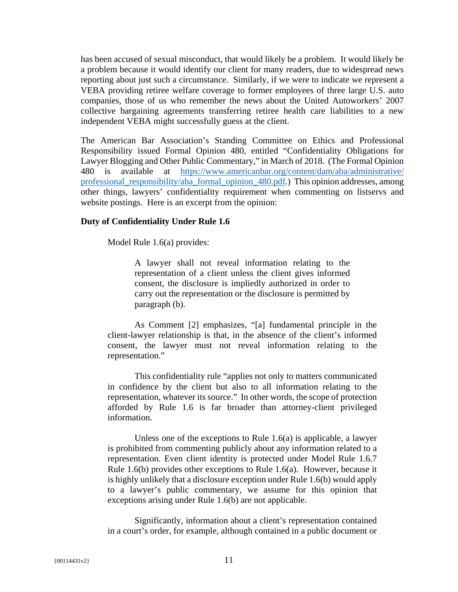has been accused of sexual misconduct, that would likely be a problem. It would likely be a problem because it would identify our client for many readers, due to widespread news reporting about just such a circumstance. Similarly, if we were to indicate we represent a VEBA providing retiree welfare coverage to former employees of three large U.S. auto companies, those of us who remember the news about the United Autoworkers' 2007 collective bargaining agreements transferring retiree health care liabilities to a new independent VEBA might successfully guess at the client.

The American Bar Association's Standing Committee on Ethics and Professional Responsibility issued Formal Opinion 480, entitled "Confidentiality Obligations for Lawyer Blogging and Other Public Commentary," in March of 2018. (The Formal Opinion 480 is available at https://www.americanbar.org/content/dam/aba/administrative/ professional\_responsibility/aba\_formal\_opinion\_480.pdf.) This opinion addresses, among other things, lawyers' confidentiality requirement when commenting on listservs and website postings. Here is an excerpt from the opinion:

#### **Duty of Confidentiality Under Rule 1.6**

Model Rule 1.6(a) provides:

A lawyer shall not reveal information relating to the representation of a client unless the client gives informed consent, the disclosure is impliedly authorized in order to carry out the representation or the disclosure is permitted by paragraph (b).

As Comment [2] emphasizes, "[a] fundamental principle in the client-lawyer relationship is that, in the absence of the client's informed consent, the lawyer must not reveal information relating to the representation."

This confidentiality rule "applies not only to matters communicated in confidence by the client but also to all information relating to the representation, whatever its source." In other words, the scope of protection afforded by Rule 1.6 is far broader than attorney-client privileged information.

Unless one of the exceptions to Rule 1.6(a) is applicable, a lawyer is prohibited from commenting publicly about any information related to a representation. Even client identity is protected under Model Rule 1.6.7 Rule 1.6(b) provides other exceptions to Rule 1.6(a). However, because it is highly unlikely that a disclosure exception under Rule 1.6(b) would apply to a lawyer's public commentary, we assume for this opinion that exceptions arising under Rule 1.6(b) are not applicable.

Significantly, information about a client's representation contained in a court's order, for example, although contained in a public document or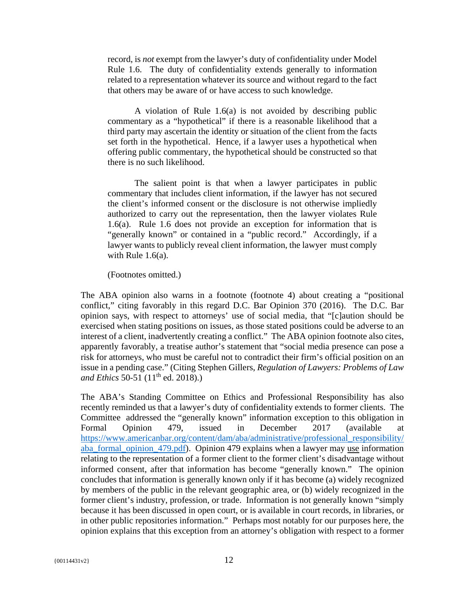record, is *not* exempt from the lawyer's duty of confidentiality under Model Rule 1.6. The duty of confidentiality extends generally to information related to a representation whatever its source and without regard to the fact that others may be aware of or have access to such knowledge.

A violation of Rule 1.6(a) is not avoided by describing public commentary as a "hypothetical" if there is a reasonable likelihood that a third party may ascertain the identity or situation of the client from the facts set forth in the hypothetical. Hence, if a lawyer uses a hypothetical when offering public commentary, the hypothetical should be constructed so that there is no such likelihood.

The salient point is that when a lawyer participates in public commentary that includes client information, if the lawyer has not secured the client's informed consent or the disclosure is not otherwise impliedly authorized to carry out the representation, then the lawyer violates Rule 1.6(a). Rule 1.6 does not provide an exception for information that is "generally known" or contained in a "public record." Accordingly, if a lawyer wants to publicly reveal client information, the lawyer must comply with Rule  $1.6(a)$ .

(Footnotes omitted.)

The ABA opinion also warns in a footnote (footnote 4) about creating a "positional conflict," citing favorably in this regard D.C. Bar Opinion 370 (2016). The D.C. Bar opinion says, with respect to attorneys' use of social media, that "[c]aution should be exercised when stating positions on issues, as those stated positions could be adverse to an interest of a client, inadvertently creating a conflict." The ABA opinion footnote also cites, apparently favorably, a treatise author's statement that "social media presence can pose a risk for attorneys, who must be careful not to contradict their firm's official position on an issue in a pending case." (Citing Stephen Gillers, *Regulation of Lawyers: Problems of Law and Ethics* 50-51 (11<sup>th</sup> ed. 2018).)

The ABA's Standing Committee on Ethics and Professional Responsibility has also recently reminded us that a lawyer's duty of confidentiality extends to former clients. The Committee addressed the "generally known" information exception to this obligation in Formal Opinion 479, issued in December 2017 (available at https://www.americanbar.org/content/dam/aba/administrative/professional\_responsibility/ aba formal opinion 479.pdf). Opinion 479 explains when a lawyer may use information relating to the representation of a former client to the former client's disadvantage without informed consent, after that information has become "generally known." The opinion concludes that information is generally known only if it has become (a) widely recognized by members of the public in the relevant geographic area, or (b) widely recognized in the former client's industry, profession, or trade. Information is not generally known "simply because it has been discussed in open court, or is available in court records, in libraries, or in other public repositories information." Perhaps most notably for our purposes here, the opinion explains that this exception from an attorney's obligation with respect to a former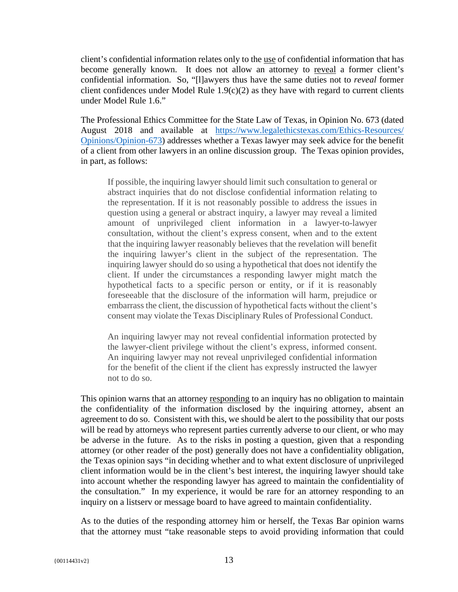client's confidential information relates only to the use of confidential information that has become generally known. It does not allow an attorney to reveal a former client's confidential information. So, "[l]awyers thus have the same duties not to *reveal* former client confidences under Model Rule  $1.9(c)(2)$  as they have with regard to current clients under Model Rule 1.6."

The Professional Ethics Committee for the State Law of Texas, in Opinion No. 673 (dated August 2018 and available at https://www.legalethicstexas.com/Ethics-Resources/ Opinions/Opinion-673) addresses whether a Texas lawyer may seek advice for the benefit of a client from other lawyers in an online discussion group. The Texas opinion provides, in part, as follows:

If possible, the inquiring lawyer should limit such consultation to general or abstract inquiries that do not disclose confidential information relating to the representation. If it is not reasonably possible to address the issues in question using a general or abstract inquiry, a lawyer may reveal a limited amount of unprivileged client information in a lawyer-to-lawyer consultation, without the client's express consent, when and to the extent that the inquiring lawyer reasonably believes that the revelation will benefit the inquiring lawyer's client in the subject of the representation. The inquiring lawyer should do so using a hypothetical that does not identify the client. If under the circumstances a responding lawyer might match the hypothetical facts to a specific person or entity, or if it is reasonably foreseeable that the disclosure of the information will harm, prejudice or embarrass the client, the discussion of hypothetical facts without the client's consent may violate the Texas Disciplinary Rules of Professional Conduct.

An inquiring lawyer may not reveal confidential information protected by the lawyer-client privilege without the client's express, informed consent. An inquiring lawyer may not reveal unprivileged confidential information for the benefit of the client if the client has expressly instructed the lawyer not to do so.

This opinion warns that an attorney responding to an inquiry has no obligation to maintain the confidentiality of the information disclosed by the inquiring attorney, absent an agreement to do so. Consistent with this, we should be alert to the possibility that our posts will be read by attorneys who represent parties currently adverse to our client, or who may be adverse in the future. As to the risks in posting a question, given that a responding attorney (or other reader of the post) generally does not have a confidentiality obligation, the Texas opinion says "in deciding whether and to what extent disclosure of unprivileged client information would be in the client's best interest, the inquiring lawyer should take into account whether the responding lawyer has agreed to maintain the confidentiality of the consultation." In my experience, it would be rare for an attorney responding to an inquiry on a listserv or message board to have agreed to maintain confidentiality.

As to the duties of the responding attorney him or herself, the Texas Bar opinion warns that the attorney must "take reasonable steps to avoid providing information that could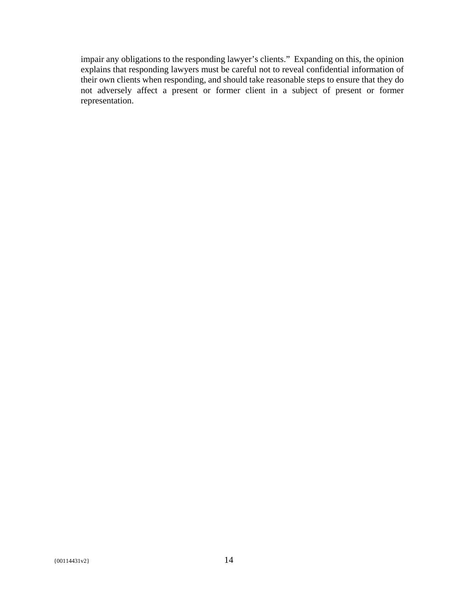impair any obligations to the responding lawyer's clients." Expanding on this, the opinion explains that responding lawyers must be careful not to reveal confidential information of their own clients when responding, and should take reasonable steps to ensure that they do not adversely affect a present or former client in a subject of present or former representation.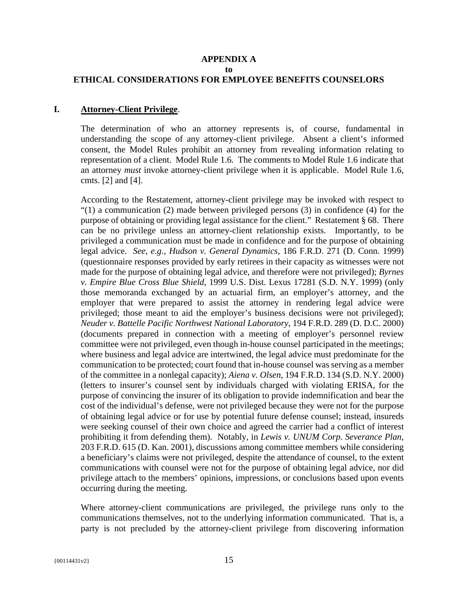#### **APPENDIX A**

#### **to**

#### **ETHICAL CONSIDERATIONS FOR EMPLOYEE BENEFITS COUNSELORS**

#### **I. Attorney-Client Privilege**.

The determination of who an attorney represents is, of course, fundamental in understanding the scope of any attorney-client privilege. Absent a client's informed consent, the Model Rules prohibit an attorney from revealing information relating to representation of a client. Model Rule 1.6. The comments to Model Rule 1.6 indicate that an attorney *must* invoke attorney-client privilege when it is applicable. Model Rule 1.6, cmts. [2] and [4].

According to the Restatement, attorney-client privilege may be invoked with respect to "(1) a communication (2) made between privileged persons (3) in confidence (4) for the purpose of obtaining or providing legal assistance for the client." Restatement § 68. There can be no privilege unless an attorney-client relationship exists. Importantly, to be privileged a communication must be made in confidence and for the purpose of obtaining legal advice. *See, e.g., Hudson v. General Dynamics*, 186 F.R.D. 271 (D. Conn. 1999) (questionnaire responses provided by early retirees in their capacity as witnesses were not made for the purpose of obtaining legal advice, and therefore were not privileged); *Byrnes v. Empire Blue Cross Blue Shield*, 1999 U.S. Dist. Lexus 17281 (S.D. N.Y. 1999) (only those memoranda exchanged by an actuarial firm, an employer's attorney, and the employer that were prepared to assist the attorney in rendering legal advice were privileged; those meant to aid the employer's business decisions were not privileged); *Neuder v. Battelle Pacific Northwest National Laboratory*, 194 F.R.D. 289 (D. D.C. 2000) (documents prepared in connection with a meeting of employer's personnel review committee were not privileged, even though in-house counsel participated in the meetings; where business and legal advice are intertwined, the legal advice must predominate for the communication to be protected; court found that in-house counsel was serving as a member of the committee in a nonlegal capacity); *Aiena v. Olsen*, 194 F.R.D. 134 (S.D. N.Y. 2000) (letters to insurer's counsel sent by individuals charged with violating ERISA, for the purpose of convincing the insurer of its obligation to provide indemnification and bear the cost of the individual's defense, were not privileged because they were not for the purpose of obtaining legal advice or for use by potential future defense counsel; instead, insureds were seeking counsel of their own choice and agreed the carrier had a conflict of interest prohibiting it from defending them). Notably, in *Lewis v. UNUM Corp. Severance Plan*, 203 F.R.D. 615 (D. Kan. 2001), discussions among committee members while considering a beneficiary's claims were not privileged, despite the attendance of counsel, to the extent communications with counsel were not for the purpose of obtaining legal advice, nor did privilege attach to the members' opinions, impressions, or conclusions based upon events occurring during the meeting.

Where attorney-client communications are privileged, the privilege runs only to the communications themselves, not to the underlying information communicated. That is, a party is not precluded by the attorney-client privilege from discovering information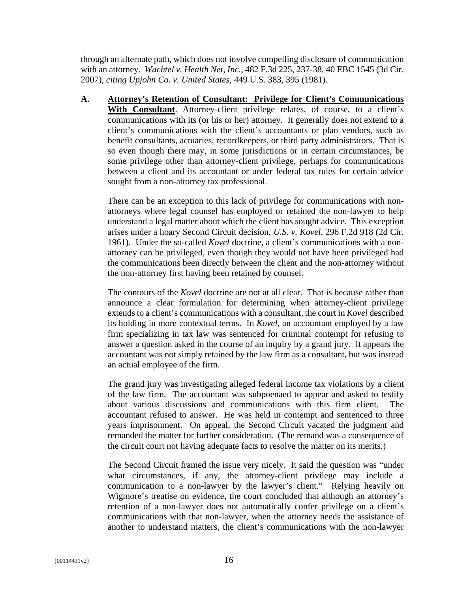through an alternate path, which does not involve compelling disclosure of communication with an attorney. *Wachtel v. Health Net, Inc.*, 482 F.3d 225, 237-38, 40 EBC 1545 (3d Cir. 2007), *citing Upjohn Co. v. United States*, 449 U.S. 383, 395 (1981).

**A. Attorney's Retention of Consultant: Privilege for Client's Communications**  With Consultant. Attorney-client privilege relates, of course, to a client's communications with its (or his or her) attorney. It generally does not extend to a client's communications with the client's accountants or plan vendors, such as benefit consultants, actuaries, recordkeepers, or third party administrators. That is so even though there may, in some jurisdictions or in certain circumstances, be some privilege other than attorney-client privilege, perhaps for communications between a client and its accountant or under federal tax rules for certain advice sought from a non-attorney tax professional.

There can be an exception to this lack of privilege for communications with nonattorneys where legal counsel has employed or retained the non-lawyer to help understand a legal matter about which the client has sought advice. This exception arises under a hoary Second Circuit decision, *U.S. v. Kovel*, 296 F.2d 918 (2d Cir. 1961). Under the so-called *Kovel* doctrine, a client's communications with a nonattorney can be privileged, even though they would not have been privileged had the communications been directly between the client and the non-attorney without the non-attorney first having been retained by counsel.

The contours of the *Kovel* doctrine are not at all clear. That is because rather than announce a clear formulation for determining when attorney-client privilege extends to a client's communications with a consultant, the court in *Kovel* described its holding in more contextual terms. In *Kovel*, an accountant employed by a law firm specializing in tax law was sentenced for criminal contempt for refusing to answer a question asked in the course of an inquiry by a grand jury. It appears the accountant was not simply retained by the law firm as a consultant, but was instead an actual employee of the firm.

The grand jury was investigating alleged federal income tax violations by a client of the law firm. The accountant was subpoenaed to appear and asked to testify about various discussions and communications with this firm client. accountant refused to answer. He was held in contempt and sentenced to three years imprisonment. On appeal, the Second Circuit vacated the judgment and remanded the matter for further consideration. (The remand was a consequence of the circuit court not having adequate facts to resolve the matter on its merits.)

The Second Circuit framed the issue very nicely. It said the question was "under what circumstances, if any, the attorney-client privilege may include a communication to a non-lawyer by the lawyer's client." Relying heavily on Wigmore's treatise on evidence, the court concluded that although an attorney's retention of a non-lawyer does not automatically confer privilege on a client's communications with that non-lawyer, when the attorney needs the assistance of another to understand matters, the client's communications with the non-lawyer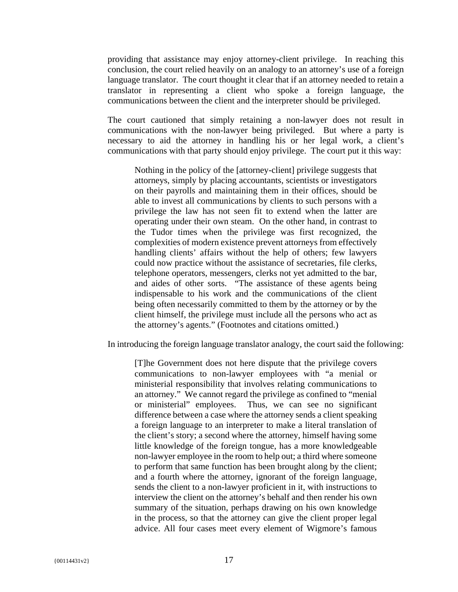providing that assistance may enjoy attorney-client privilege. In reaching this conclusion, the court relied heavily on an analogy to an attorney's use of a foreign language translator. The court thought it clear that if an attorney needed to retain a translator in representing a client who spoke a foreign language, the communications between the client and the interpreter should be privileged.

The court cautioned that simply retaining a non-lawyer does not result in communications with the non-lawyer being privileged. But where a party is necessary to aid the attorney in handling his or her legal work, a client's communications with that party should enjoy privilege. The court put it this way:

Nothing in the policy of the [attorney-client] privilege suggests that attorneys, simply by placing accountants, scientists or investigators on their payrolls and maintaining them in their offices, should be able to invest all communications by clients to such persons with a privilege the law has not seen fit to extend when the latter are operating under their own steam. On the other hand, in contrast to the Tudor times when the privilege was first recognized, the complexities of modern existence prevent attorneys from effectively handling clients' affairs without the help of others; few lawyers could now practice without the assistance of secretaries, file clerks, telephone operators, messengers, clerks not yet admitted to the bar, and aides of other sorts. "The assistance of these agents being indispensable to his work and the communications of the client being often necessarily committed to them by the attorney or by the client himself, the privilege must include all the persons who act as the attorney's agents." (Footnotes and citations omitted.)

In introducing the foreign language translator analogy, the court said the following:

[T]he Government does not here dispute that the privilege covers communications to non-lawyer employees with "a menial or ministerial responsibility that involves relating communications to an attorney." We cannot regard the privilege as confined to "menial or ministerial" employees. Thus, we can see no significant difference between a case where the attorney sends a client speaking a foreign language to an interpreter to make a literal translation of the client's story; a second where the attorney, himself having some little knowledge of the foreign tongue, has a more knowledgeable non-lawyer employee in the room to help out; a third where someone to perform that same function has been brought along by the client; and a fourth where the attorney, ignorant of the foreign language, sends the client to a non-lawyer proficient in it, with instructions to interview the client on the attorney's behalf and then render his own summary of the situation, perhaps drawing on his own knowledge in the process, so that the attorney can give the client proper legal advice. All four cases meet every element of Wigmore's famous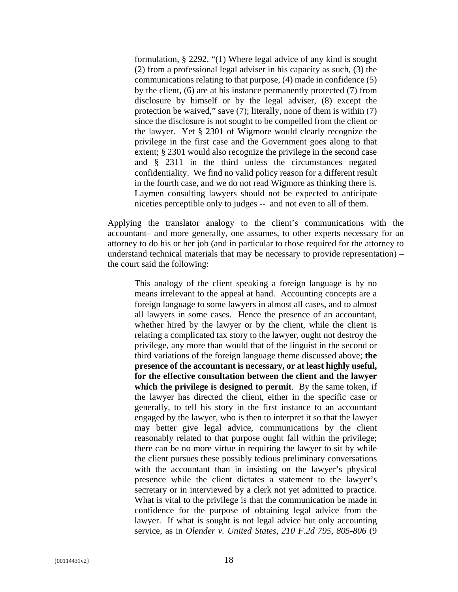formulation, § 2292, "(1) Where legal advice of any kind is sought (2) from a professional legal adviser in his capacity as such, (3) the communications relating to that purpose, (4) made in confidence (5) by the client, (6) are at his instance permanently protected (7) from disclosure by himself or by the legal adviser, (8) except the protection be waived," save (7); literally, none of them is within (7) since the disclosure is not sought to be compelled from the client or the lawyer. Yet § 2301 of Wigmore would clearly recognize the privilege in the first case and the Government goes along to that extent; § 2301 would also recognize the privilege in the second case and § 2311 in the third unless the circumstances negated confidentiality. We find no valid policy reason for a different result in the fourth case, and we do not read Wigmore as thinking there is. Laymen consulting lawyers should not be expected to anticipate niceties perceptible only to judges -- and not even to all of them.

Applying the translator analogy to the client's communications with the accountant– and more generally, one assumes, to other experts necessary for an attorney to do his or her job (and in particular to those required for the attorney to understand technical materials that may be necessary to provide representation) – the court said the following:

This analogy of the client speaking a foreign language is by no means irrelevant to the appeal at hand. Accounting concepts are a foreign language to some lawyers in almost all cases, and to almost all lawyers in some cases. Hence the presence of an accountant, whether hired by the lawyer or by the client, while the client is relating a complicated tax story to the lawyer, ought not destroy the privilege, any more than would that of the linguist in the second or third variations of the foreign language theme discussed above; **the presence of the accountant is necessary, or at least highly useful, for the effective consultation between the client and the lawyer which the privilege is designed to permit**. By the same token, if the lawyer has directed the client, either in the specific case or generally, to tell his story in the first instance to an accountant engaged by the lawyer, who is then to interpret it so that the lawyer may better give legal advice, communications by the client reasonably related to that purpose ought fall within the privilege; there can be no more virtue in requiring the lawyer to sit by while the client pursues these possibly tedious preliminary conversations with the accountant than in insisting on the lawyer's physical presence while the client dictates a statement to the lawyer's secretary or in interviewed by a clerk not yet admitted to practice. What is vital to the privilege is that the communication be made in confidence for the purpose of obtaining legal advice from the lawyer. If what is sought is not legal advice but only accounting service, as in *Olender v. United States, 210 F.2d 795, 805-806* (9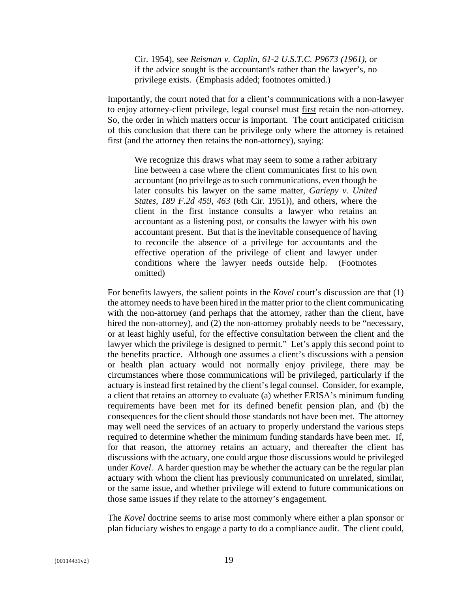Cir. 1954), see *Reisman v. Caplin, 61-2 U.S.T.C. P9673 (1961)*, or if the advice sought is the accountant's rather than the lawyer's, no privilege exists. (Emphasis added; footnotes omitted.)

Importantly, the court noted that for a client's communications with a non-lawyer to enjoy attorney-client privilege, legal counsel must first retain the non-attorney. So, the order in which matters occur is important. The court anticipated criticism of this conclusion that there can be privilege only where the attorney is retained first (and the attorney then retains the non-attorney), saying:

We recognize this draws what may seem to some a rather arbitrary line between a case where the client communicates first to his own accountant (no privilege as to such communications, even though he later consults his lawyer on the same matter, *Gariepy v. United States, 189 F.2d 459, 463* (6th Cir. 1951)), and others, where the client in the first instance consults a lawyer who retains an accountant as a listening post, or consults the lawyer with his own accountant present. But that is the inevitable consequence of having to reconcile the absence of a privilege for accountants and the effective operation of the privilege of client and lawyer under conditions where the lawyer needs outside help. (Footnotes omitted)

For benefits lawyers, the salient points in the *Kovel* court's discussion are that (1) the attorney needs to have been hired in the matter prior to the client communicating with the non-attorney (and perhaps that the attorney, rather than the client, have hired the non-attorney), and (2) the non-attorney probably needs to be "necessary, or at least highly useful, for the effective consultation between the client and the lawyer which the privilege is designed to permit." Let's apply this second point to the benefits practice. Although one assumes a client's discussions with a pension or health plan actuary would not normally enjoy privilege, there may be circumstances where those communications will be privileged, particularly if the actuary is instead first retained by the client's legal counsel. Consider, for example, a client that retains an attorney to evaluate (a) whether ERISA's minimum funding requirements have been met for its defined benefit pension plan, and (b) the consequences for the client should those standards not have been met. The attorney may well need the services of an actuary to properly understand the various steps required to determine whether the minimum funding standards have been met. If, for that reason, the attorney retains an actuary, and thereafter the client has discussions with the actuary, one could argue those discussions would be privileged under *Kovel*. A harder question may be whether the actuary can be the regular plan actuary with whom the client has previously communicated on unrelated, similar, or the same issue, and whether privilege will extend to future communications on those same issues if they relate to the attorney's engagement.

The *Kovel* doctrine seems to arise most commonly where either a plan sponsor or plan fiduciary wishes to engage a party to do a compliance audit. The client could,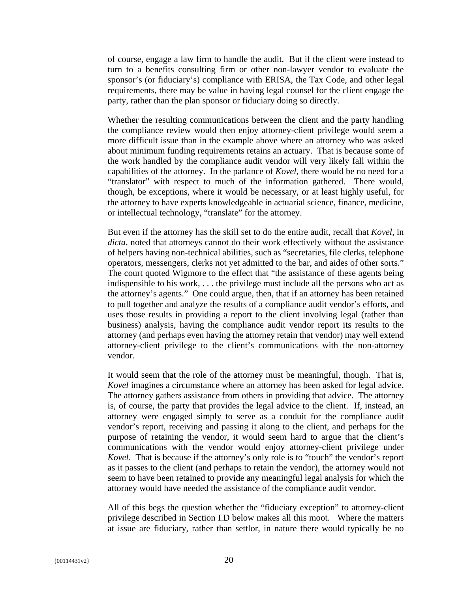of course, engage a law firm to handle the audit. But if the client were instead to turn to a benefits consulting firm or other non-lawyer vendor to evaluate the sponsor's (or fiduciary's) compliance with ERISA, the Tax Code, and other legal requirements, there may be value in having legal counsel for the client engage the party, rather than the plan sponsor or fiduciary doing so directly.

Whether the resulting communications between the client and the party handling the compliance review would then enjoy attorney-client privilege would seem a more difficult issue than in the example above where an attorney who was asked about minimum funding requirements retains an actuary. That is because some of the work handled by the compliance audit vendor will very likely fall within the capabilities of the attorney. In the parlance of *Kovel*, there would be no need for a "translator" with respect to much of the information gathered. There would, though, be exceptions, where it would be necessary, or at least highly useful, for the attorney to have experts knowledgeable in actuarial science, finance, medicine, or intellectual technology, "translate" for the attorney.

But even if the attorney has the skill set to do the entire audit, recall that *Kovel*, in *dicta*, noted that attorneys cannot do their work effectively without the assistance of helpers having non-technical abilities, such as "secretaries, file clerks, telephone operators, messengers, clerks not yet admitted to the bar, and aides of other sorts." The court quoted Wigmore to the effect that "the assistance of these agents being indispensible to his work, . . . the privilege must include all the persons who act as the attorney's agents." One could argue, then, that if an attorney has been retained to pull together and analyze the results of a compliance audit vendor's efforts, and uses those results in providing a report to the client involving legal (rather than business) analysis, having the compliance audit vendor report its results to the attorney (and perhaps even having the attorney retain that vendor) may well extend attorney-client privilege to the client's communications with the non-attorney vendor.

It would seem that the role of the attorney must be meaningful, though. That is, *Kovel* imagines a circumstance where an attorney has been asked for legal advice. The attorney gathers assistance from others in providing that advice. The attorney is, of course, the party that provides the legal advice to the client. If, instead, an attorney were engaged simply to serve as a conduit for the compliance audit vendor's report, receiving and passing it along to the client, and perhaps for the purpose of retaining the vendor, it would seem hard to argue that the client's communications with the vendor would enjoy attorney-client privilege under *Kovel*. That is because if the attorney's only role is to "touch" the vendor's report as it passes to the client (and perhaps to retain the vendor), the attorney would not seem to have been retained to provide any meaningful legal analysis for which the attorney would have needed the assistance of the compliance audit vendor.

All of this begs the question whether the "fiduciary exception" to attorney-client privilege described in Section I.D below makes all this moot. Where the matters at issue are fiduciary, rather than settlor, in nature there would typically be no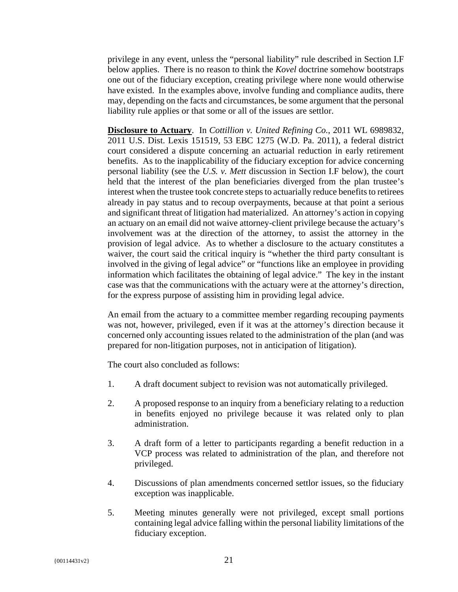privilege in any event, unless the "personal liability" rule described in Section I.F below applies. There is no reason to think the *Kovel* doctrine somehow bootstraps one out of the fiduciary exception, creating privilege where none would otherwise have existed. In the examples above, involve funding and compliance audits, there may, depending on the facts and circumstances, be some argument that the personal liability rule applies or that some or all of the issues are settlor.

**Disclosure to Actuary**. In *Cottillion v. United Refining Co.*, 2011 WL 6989832, 2011 U.S. Dist. Lexis 151519, 53 EBC 1275 (W.D. Pa. 2011), a federal district court considered a dispute concerning an actuarial reduction in early retirement benefits. As to the inapplicability of the fiduciary exception for advice concerning personal liability (see the *U.S. v. Mett* discussion in Section I.F below), the court held that the interest of the plan beneficiaries diverged from the plan trustee's interest when the trustee took concrete steps to actuarially reduce benefits to retirees already in pay status and to recoup overpayments, because at that point a serious and significant threat of litigation had materialized. An attorney's action in copying an actuary on an email did not waive attorney-client privilege because the actuary's involvement was at the direction of the attorney, to assist the attorney in the provision of legal advice. As to whether a disclosure to the actuary constitutes a waiver, the court said the critical inquiry is "whether the third party consultant is involved in the giving of legal advice" or "functions like an employee in providing information which facilitates the obtaining of legal advice." The key in the instant case was that the communications with the actuary were at the attorney's direction, for the express purpose of assisting him in providing legal advice.

An email from the actuary to a committee member regarding recouping payments was not, however, privileged, even if it was at the attorney's direction because it concerned only accounting issues related to the administration of the plan (and was prepared for non-litigation purposes, not in anticipation of litigation).

The court also concluded as follows:

- 1. A draft document subject to revision was not automatically privileged.
- 2. A proposed response to an inquiry from a beneficiary relating to a reduction in benefits enjoyed no privilege because it was related only to plan administration.
- 3. A draft form of a letter to participants regarding a benefit reduction in a VCP process was related to administration of the plan, and therefore not privileged.
- 4. Discussions of plan amendments concerned settlor issues, so the fiduciary exception was inapplicable.
- 5. Meeting minutes generally were not privileged, except small portions containing legal advice falling within the personal liability limitations of the fiduciary exception.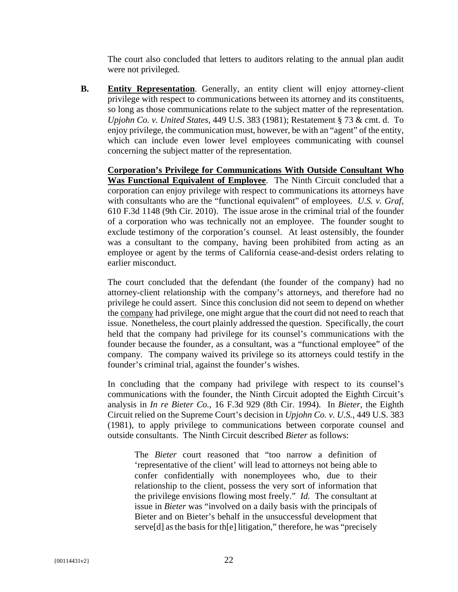The court also concluded that letters to auditors relating to the annual plan audit were not privileged.

**B.** Entity Representation. Generally, an entity client will enjoy attorney-client privilege with respect to communications between its attorney and its constituents, so long as those communications relate to the subject matter of the representation. *Upjohn Co. v. United States*, 449 U.S. 383 (1981); Restatement § 73 & cmt. d. To enjoy privilege, the communication must, however, be with an "agent" of the entity, which can include even lower level employees communicating with counsel concerning the subject matter of the representation.

**Corporation's Privilege for Communications With Outside Consultant Who Was Functional Equivalent of Employee**. The Ninth Circuit concluded that a corporation can enjoy privilege with respect to communications its attorneys have with consultants who are the "functional equivalent" of employees. *U.S. v. Graf*, 610 F.3d 1148 (9th Cir. 2010). The issue arose in the criminal trial of the founder of a corporation who was technically not an employee. The founder sought to exclude testimony of the corporation's counsel. At least ostensibly, the founder was a consultant to the company, having been prohibited from acting as an employee or agent by the terms of California cease-and-desist orders relating to earlier misconduct.

The court concluded that the defendant (the founder of the company) had no attorney-client relationship with the company's attorneys, and therefore had no privilege he could assert. Since this conclusion did not seem to depend on whether the company had privilege, one might argue that the court did not need to reach that issue. Nonetheless, the court plainly addressed the question. Specifically, the court held that the company had privilege for its counsel's communications with the founder because the founder, as a consultant, was a "functional employee" of the company. The company waived its privilege so its attorneys could testify in the founder's criminal trial, against the founder's wishes.

In concluding that the company had privilege with respect to its counsel's communications with the founder, the Ninth Circuit adopted the Eighth Circuit's analysis in *In re Bieter Co.*, 16 F.3d 929 (8th Cir. 1994). In *Bieter*, the Eighth Circuit relied on the Supreme Court's decision in *Upjohn Co. v. U.S.*, 449 U.S. 383 (1981), to apply privilege to communications between corporate counsel and outside consultants. The Ninth Circuit described *Bieter* as follows:

The *Bieter* court reasoned that "too narrow a definition of 'representative of the client' will lead to attorneys not being able to confer confidentially with nonemployees who, due to their relationship to the client, possess the very sort of information that the privilege envisions flowing most freely." *Id.* The consultant at issue in *Bieter* was "involved on a daily basis with the principals of Bieter and on Bieter's behalf in the unsuccessful development that serve[d] as the basis for th[e] litigation," therefore, he was "precisely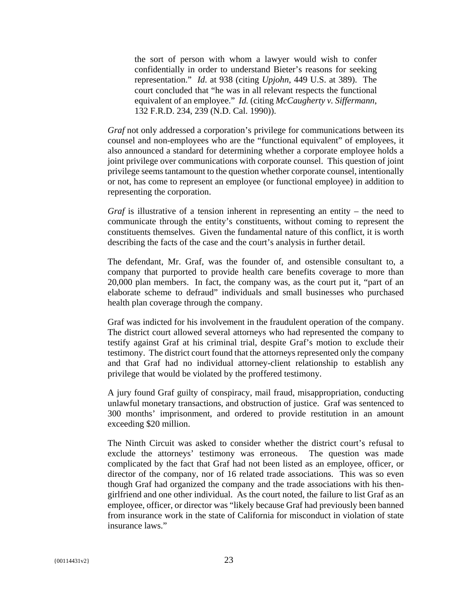the sort of person with whom a lawyer would wish to confer confidentially in order to understand Bieter's reasons for seeking representation." *Id*. at 938 (citing *Upjohn*, 449 U.S. at 389). The court concluded that "he was in all relevant respects the functional equivalent of an employee." *Id.* (citing *McCaugherty v. Siffermann*, 132 F.R.D. 234, 239 (N.D. Cal. 1990)).

*Graf* not only addressed a corporation's privilege for communications between its counsel and non-employees who are the "functional equivalent" of employees, it also announced a standard for determining whether a corporate employee holds a joint privilege over communications with corporate counsel. This question of joint privilege seems tantamount to the question whether corporate counsel, intentionally or not, has come to represent an employee (or functional employee) in addition to representing the corporation.

*Graf* is illustrative of a tension inherent in representing an entity – the need to communicate through the entity's constituents, without coming to represent the constituents themselves. Given the fundamental nature of this conflict, it is worth describing the facts of the case and the court's analysis in further detail.

The defendant, Mr. Graf, was the founder of, and ostensible consultant to, a company that purported to provide health care benefits coverage to more than 20,000 plan members. In fact, the company was, as the court put it, "part of an elaborate scheme to defraud" individuals and small businesses who purchased health plan coverage through the company.

Graf was indicted for his involvement in the fraudulent operation of the company. The district court allowed several attorneys who had represented the company to testify against Graf at his criminal trial, despite Graf's motion to exclude their testimony. The district court found that the attorneys represented only the company and that Graf had no individual attorney-client relationship to establish any privilege that would be violated by the proffered testimony.

A jury found Graf guilty of conspiracy, mail fraud, misappropriation, conducting unlawful monetary transactions, and obstruction of justice. Graf was sentenced to 300 months' imprisonment, and ordered to provide restitution in an amount exceeding \$20 million.

The Ninth Circuit was asked to consider whether the district court's refusal to exclude the attorneys' testimony was erroneous. The question was made complicated by the fact that Graf had not been listed as an employee, officer, or director of the company, nor of 16 related trade associations. This was so even though Graf had organized the company and the trade associations with his thengirlfriend and one other individual. As the court noted, the failure to list Graf as an employee, officer, or director was "likely because Graf had previously been banned from insurance work in the state of California for misconduct in violation of state insurance laws."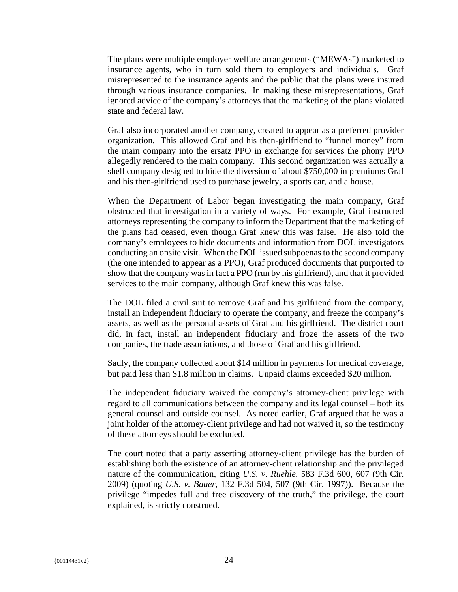The plans were multiple employer welfare arrangements ("MEWAs") marketed to insurance agents, who in turn sold them to employers and individuals. Graf misrepresented to the insurance agents and the public that the plans were insured through various insurance companies. In making these misrepresentations, Graf ignored advice of the company's attorneys that the marketing of the plans violated state and federal law.

Graf also incorporated another company, created to appear as a preferred provider organization. This allowed Graf and his then-girlfriend to "funnel money" from the main company into the ersatz PPO in exchange for services the phony PPO allegedly rendered to the main company. This second organization was actually a shell company designed to hide the diversion of about \$750,000 in premiums Graf and his then-girlfriend used to purchase jewelry, a sports car, and a house.

When the Department of Labor began investigating the main company, Graf obstructed that investigation in a variety of ways. For example, Graf instructed attorneys representing the company to inform the Department that the marketing of the plans had ceased, even though Graf knew this was false. He also told the company's employees to hide documents and information from DOL investigators conducting an onsite visit. When the DOL issued subpoenas to the second company (the one intended to appear as a PPO), Graf produced documents that purported to show that the company was in fact a PPO (run by his girlfriend), and that it provided services to the main company, although Graf knew this was false.

The DOL filed a civil suit to remove Graf and his girlfriend from the company, install an independent fiduciary to operate the company, and freeze the company's assets, as well as the personal assets of Graf and his girlfriend. The district court did, in fact, install an independent fiduciary and froze the assets of the two companies, the trade associations, and those of Graf and his girlfriend.

Sadly, the company collected about \$14 million in payments for medical coverage, but paid less than \$1.8 million in claims. Unpaid claims exceeded \$20 million.

The independent fiduciary waived the company's attorney-client privilege with regard to all communications between the company and its legal counsel – both its general counsel and outside counsel. As noted earlier, Graf argued that he was a joint holder of the attorney-client privilege and had not waived it, so the testimony of these attorneys should be excluded.

The court noted that a party asserting attorney-client privilege has the burden of establishing both the existence of an attorney-client relationship and the privileged nature of the communication, citing *U.S. v. Ruehle*, 583 F.3d 600, 607 (9th Cir. 2009) (quoting *U.S. v. Bauer*, 132 F.3d 504, 507 (9th Cir. 1997)). Because the privilege "impedes full and free discovery of the truth," the privilege, the court explained, is strictly construed.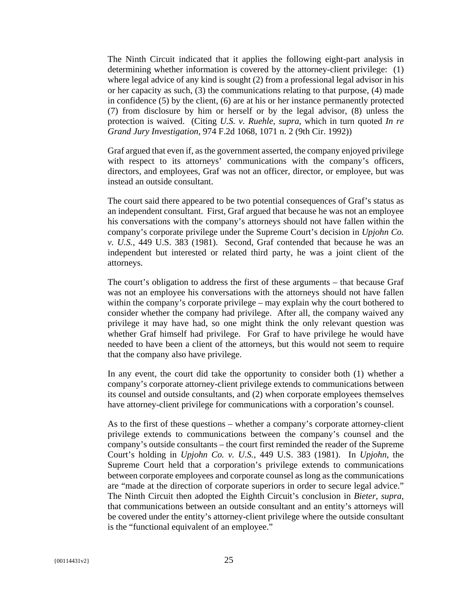The Ninth Circuit indicated that it applies the following eight-part analysis in determining whether information is covered by the attorney-client privilege: (1) where legal advice of any kind is sought (2) from a professional legal advisor in his or her capacity as such, (3) the communications relating to that purpose, (4) made in confidence (5) by the client, (6) are at his or her instance permanently protected (7) from disclosure by him or herself or by the legal advisor, (8) unless the protection is waived. (Citing *U.S. v. Ruehle, supra*, which in turn quoted *In re Grand Jury Investigation*, 974 F.2d 1068, 1071 n. 2 (9th Cir. 1992))

Graf argued that even if, as the government asserted, the company enjoyed privilege with respect to its attorneys' communications with the company's officers, directors, and employees, Graf was not an officer, director, or employee, but was instead an outside consultant.

The court said there appeared to be two potential consequences of Graf's status as an independent consultant. First, Graf argued that because he was not an employee his conversations with the company's attorneys should not have fallen within the company's corporate privilege under the Supreme Court's decision in *Upjohn Co. v. U.S.*, 449 U.S. 383 (1981). Second, Graf contended that because he was an independent but interested or related third party, he was a joint client of the attorneys.

The court's obligation to address the first of these arguments – that because Graf was not an employee his conversations with the attorneys should not have fallen within the company's corporate privilege – may explain why the court bothered to consider whether the company had privilege. After all, the company waived any privilege it may have had, so one might think the only relevant question was whether Graf himself had privilege. For Graf to have privilege he would have needed to have been a client of the attorneys, but this would not seem to require that the company also have privilege.

In any event, the court did take the opportunity to consider both (1) whether a company's corporate attorney-client privilege extends to communications between its counsel and outside consultants, and (2) when corporate employees themselves have attorney-client privilege for communications with a corporation's counsel.

As to the first of these questions – whether a company's corporate attorney-client privilege extends to communications between the company's counsel and the company's outside consultants – the court first reminded the reader of the Supreme Court's holding in *Upjohn Co. v. U.S.*, 449 U.S. 383 (1981). In *Upjohn*, the Supreme Court held that a corporation's privilege extends to communications between corporate employees and corporate counsel as long as the communications are "made at the direction of corporate superiors in order to secure legal advice." The Ninth Circuit then adopted the Eighth Circuit's conclusion in *Bieter*, *supra*, that communications between an outside consultant and an entity's attorneys will be covered under the entity's attorney-client privilege where the outside consultant is the "functional equivalent of an employee."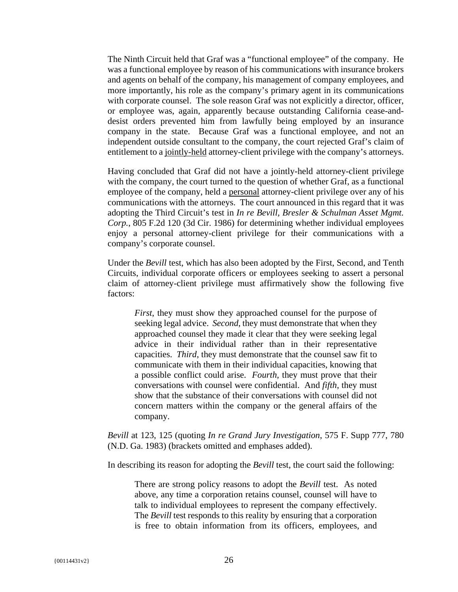The Ninth Circuit held that Graf was a "functional employee" of the company. He was a functional employee by reason of his communications with insurance brokers and agents on behalf of the company, his management of company employees, and more importantly, his role as the company's primary agent in its communications with corporate counsel. The sole reason Graf was not explicitly a director, officer, or employee was, again, apparently because outstanding California cease-anddesist orders prevented him from lawfully being employed by an insurance company in the state. Because Graf was a functional employee, and not an independent outside consultant to the company, the court rejected Graf's claim of entitlement to a jointly-held attorney-client privilege with the company's attorneys.

Having concluded that Graf did not have a jointly-held attorney-client privilege with the company, the court turned to the question of whether Graf, as a functional employee of the company, held a personal attorney-client privilege over any of his communications with the attorneys. The court announced in this regard that it was adopting the Third Circuit's test in *In re Bevill, Bresler & Schulman Asset Mgmt. Corp.*, 805 F.2d 120 (3d Cir. 1986) for determining whether individual employees enjoy a personal attorney-client privilege for their communications with a company's corporate counsel.

Under the *Bevill* test, which has also been adopted by the First, Second, and Tenth Circuits, individual corporate officers or employees seeking to assert a personal claim of attorney-client privilege must affirmatively show the following five factors:

*First*, they must show they approached counsel for the purpose of seeking legal advice. *Second*, they must demonstrate that when they approached counsel they made it clear that they were seeking legal advice in their individual rather than in their representative capacities. *Third*, they must demonstrate that the counsel saw fit to communicate with them in their individual capacities, knowing that a possible conflict could arise. *Fourth*, they must prove that their conversations with counsel were confidential. And *fifth*, they must show that the substance of their conversations with counsel did not concern matters within the company or the general affairs of the company.

*Bevill* at 123, 125 (quoting *In re Grand Jury Investigation*, 575 F. Supp 777, 780 (N.D. Ga. 1983) (brackets omitted and emphases added).

In describing its reason for adopting the *Bevill* test, the court said the following:

There are strong policy reasons to adopt the *Bevill* test. As noted above, any time a corporation retains counsel, counsel will have to talk to individual employees to represent the company effectively. The *Bevill* test responds to this reality by ensuring that a corporation is free to obtain information from its officers, employees, and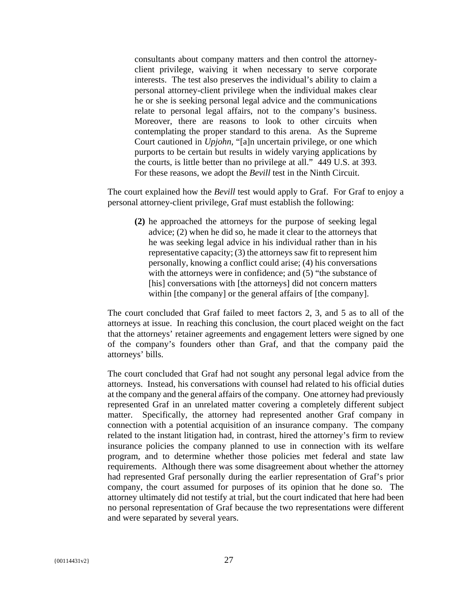consultants about company matters and then control the attorneyclient privilege, waiving it when necessary to serve corporate interests. The test also preserves the individual's ability to claim a personal attorney-client privilege when the individual makes clear he or she is seeking personal legal advice and the communications relate to personal legal affairs, not to the company's business. Moreover, there are reasons to look to other circuits when contemplating the proper standard to this arena. As the Supreme Court cautioned in *Upjohn*, "[a]n uncertain privilege, or one which purports to be certain but results in widely varying applications by the courts, is little better than no privilege at all." 449 U.S. at 393. For these reasons, we adopt the *Bevill* test in the Ninth Circuit.

The court explained how the *Bevill* test would apply to Graf. For Graf to enjoy a personal attorney-client privilege, Graf must establish the following:

**(2)** he approached the attorneys for the purpose of seeking legal advice; (2) when he did so, he made it clear to the attorneys that he was seeking legal advice in his individual rather than in his representative capacity; (3) the attorneys saw fit to represent him personally, knowing a conflict could arise; (4) his conversations with the attorneys were in confidence; and  $(5)$  "the substance of [his] conversations with [the attorneys] did not concern matters within [the company] or the general affairs of [the company].

The court concluded that Graf failed to meet factors 2, 3, and 5 as to all of the attorneys at issue. In reaching this conclusion, the court placed weight on the fact that the attorneys' retainer agreements and engagement letters were signed by one of the company's founders other than Graf, and that the company paid the attorneys' bills.

The court concluded that Graf had not sought any personal legal advice from the attorneys. Instead, his conversations with counsel had related to his official duties at the company and the general affairs of the company. One attorney had previously represented Graf in an unrelated matter covering a completely different subject matter. Specifically, the attorney had represented another Graf company in connection with a potential acquisition of an insurance company. The company related to the instant litigation had, in contrast, hired the attorney's firm to review insurance policies the company planned to use in connection with its welfare program, and to determine whether those policies met federal and state law requirements. Although there was some disagreement about whether the attorney had represented Graf personally during the earlier representation of Graf's prior company, the court assumed for purposes of its opinion that he done so. The attorney ultimately did not testify at trial, but the court indicated that here had been no personal representation of Graf because the two representations were different and were separated by several years.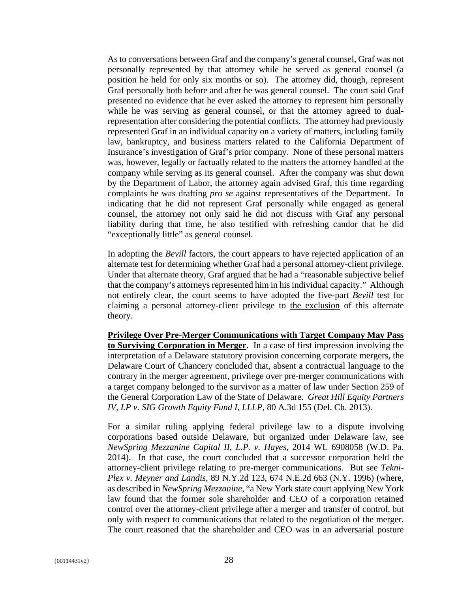As to conversations between Graf and the company's general counsel, Graf was not personally represented by that attorney while he served as general counsel (a position he held for only six months or so). The attorney did, though, represent Graf personally both before and after he was general counsel. The court said Graf presented no evidence that he ever asked the attorney to represent him personally while he was serving as general counsel, or that the attorney agreed to dualrepresentation after considering the potential conflicts. The attorney had previously represented Graf in an individual capacity on a variety of matters, including family law, bankruptcy, and business matters related to the California Department of Insurance's investigation of Graf's prior company. None of these personal matters was, however, legally or factually related to the matters the attorney handled at the company while serving as its general counsel. After the company was shut down by the Department of Labor, the attorney again advised Graf, this time regarding complaints he was drafting *pro se* against representatives of the Department. In indicating that he did not represent Graf personally while engaged as general counsel, the attorney not only said he did not discuss with Graf any personal liability during that time, he also testified with refreshing candor that he did "exceptionally little" as general counsel.

In adopting the *Bevill* factors, the court appears to have rejected application of an alternate test for determining whether Graf had a personal attorney-client privilege. Under that alternate theory, Graf argued that he had a "reasonable subjective belief that the company's attorneys represented him in his individual capacity." Although not entirely clear, the court seems to have adopted the five-part *Bevill* test for claiming a personal attorney-client privilege to the exclusion of this alternate theory.

**Privilege Over Pre-Merger Communications with Target Company May Pass to Surviving Corporation in Merger**. In a case of first impression involving the interpretation of a Delaware statutory provision concerning corporate mergers, the Delaware Court of Chancery concluded that, absent a contractual language to the contrary in the merger agreement, privilege over pre-merger communications with a target company belonged to the survivor as a matter of law under Section 259 of the General Corporation Law of the State of Delaware. *Great Hill Equity Partners IV, LP v. SIG Growth Equity Fund I, LLLP*, 80 A.3d 155 (Del. Ch. 2013).

For a similar ruling applying federal privilege law to a dispute involving corporations based outside Delaware, but organized under Delaware law, see *NewSpring Mezzanine Capital II, L.P. v. Hayes,* 2014 WL 6908058 (W.D. Pa. 2014). In that case, the court concluded that a successor corporation held the attorney-client privilege relating to pre-merger communications. But see *Tekni-Plex v. Meyner and Landis,* 89 N.Y.2d 123, 674 N.E.2d 663 (N.Y. 1996) (where, as described in *NewSpring Mezzanine*, "a New York state court applying New York law found that the former sole shareholder and CEO of a corporation retained control over the attorney-client privilege after a merger and transfer of control, but only with respect to communications that related to the negotiation of the merger. The court reasoned that the shareholder and CEO was in an adversarial posture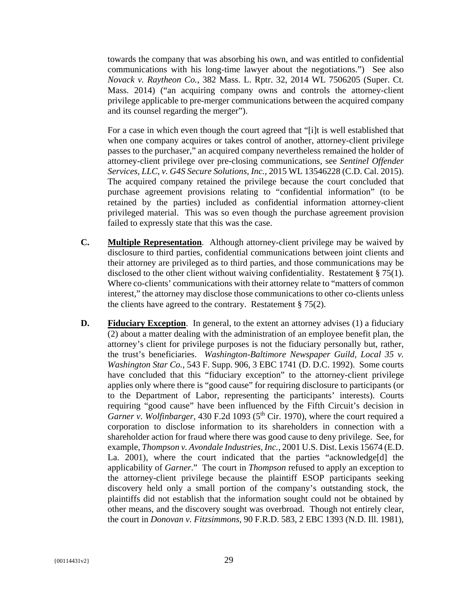towards the company that was absorbing his own, and was entitled to confidential communications with his long-time lawyer about the negotiations.") See also *Novack v. Raytheon Co.*, 382 Mass. L. Rptr. 32, 2014 WL 7506205 (Super. Ct. Mass. 2014) ("an acquiring company owns and controls the attorney-client privilege applicable to pre-merger communications between the acquired company and its counsel regarding the merger").

For a case in which even though the court agreed that "[i]t is well established that when one company acquires or takes control of another, attorney-client privilege passes to the purchaser," an acquired company nevertheless remained the holder of attorney-client privilege over pre-closing communications, see *Sentinel Offender Services, LLC, v. G4S Secure Solutions, Inc.*, 2015 WL 13546228 (C.D. Cal. 2015). The acquired company retained the privilege because the court concluded that purchase agreement provisions relating to "confidential information" (to be retained by the parties) included as confidential information attorney-client privileged material. This was so even though the purchase agreement provision failed to expressly state that this was the case.

- **C. Multiple Representation**. Although attorney-client privilege may be waived by disclosure to third parties, confidential communications between joint clients and their attorney are privileged as to third parties, and those communications may be disclosed to the other client without waiving confidentiality. Restatement § 75(1). Where co-clients' communications with their attorney relate to "matters of common interest," the attorney may disclose those communications to other co-clients unless the clients have agreed to the contrary. Restatement § 75(2).
- **D.** Fiduciary Exception. In general, to the extent an attorney advises (1) a fiduciary (2) about a matter dealing with the administration of an employee benefit plan, the attorney's client for privilege purposes is not the fiduciary personally but, rather, the trust's beneficiaries. *Washington-Baltimore Newspaper Guild, Local 35 v. Washington Star Co.*, 543 F. Supp. 906, 3 EBC 1741 (D. D.C. 1992). Some courts have concluded that this "fiduciary exception" to the attorney-client privilege applies only where there is "good cause" for requiring disclosure to participants (or to the Department of Labor, representing the participants' interests). Courts requiring "good cause" have been influenced by the Fifth Circuit's decision in *Garner v. Wolfinbarger*, 430 F.2d 1093 (5<sup>th</sup> Cir. 1970), where the court required a corporation to disclose information to its shareholders in connection with a shareholder action for fraud where there was good cause to deny privilege. See, for example, *Thompson v. Avondale Industries, Inc.*, 2001 U.S. Dist. Lexis 15674 (E.D. La. 2001), where the court indicated that the parties "acknowledge[d] the applicability of *Garner*." The court in *Thompson* refused to apply an exception to the attorney-client privilege because the plaintiff ESOP participants seeking discovery held only a small portion of the company's outstanding stock, the plaintiffs did not establish that the information sought could not be obtained by other means, and the discovery sought was overbroad. Though not entirely clear, the court in *Donovan v. Fitzsimmons*, 90 F.R.D. 583, 2 EBC 1393 (N.D. Ill. 1981),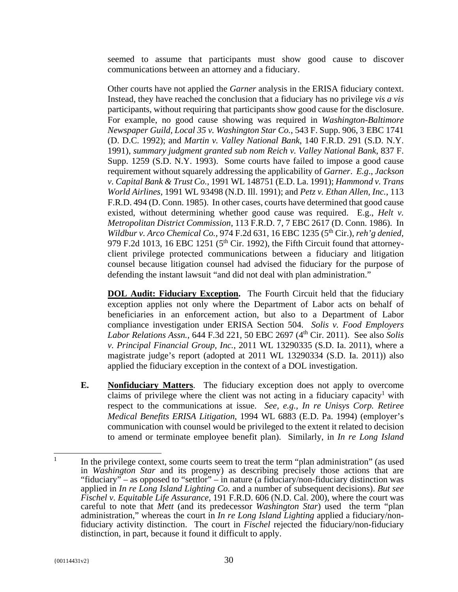seemed to assume that participants must show good cause to discover communications between an attorney and a fiduciary.

Other courts have not applied the *Garner* analysis in the ERISA fiduciary context. Instead, they have reached the conclusion that a fiduciary has no privilege *vis a vis* participants, without requiring that participants show good cause for the disclosure. For example, no good cause showing was required in *Washington-Baltimore Newspaper Guild, Local 35 v. Washington Star Co.*, 543 F. Supp. 906, 3 EBC 1741 (D. D.C. 1992); and *Martin v. Valley National Bank*, 140 F.R.D. 291 (S.D. N.Y. 1991), *summary judgment granted sub nom Reich v. Valley National Bank*, 837 F. Supp. 1259 (S.D. N.Y. 1993). Some courts have failed to impose a good cause requirement without squarely addressing the applicability of *Garner*. *E.g*., *Jackson v. Capital Bank & Trust Co.,* 1991 WL 148751 (E.D. La. 1991); *Hammond v. Trans World Airlines,* 1991 WL 93498 (N.D. Ill. 1991); and *Petz v. Ethan Allen, Inc.*, 113 F.R.D. 494 (D. Conn. 1985). In other cases, courts have determined that good cause existed, without determining whether good cause was required. E.g., *Helt v. Metropolitan District Commission*, 113 F.R.D. 7, 7 EBC 2617 (D. Conn. 1986). In *Wildbur v. Arco Chemical Co.,* 974 F.2d 631, 16 EBC 1235 (5th Cir.), *reh'g denied,* 979 F.2d 1013, 16 EBC 1251 ( $5<sup>th</sup>$  Cir. 1992), the Fifth Circuit found that attorneyclient privilege protected communications between a fiduciary and litigation counsel because litigation counsel had advised the fiduciary for the purpose of defending the instant lawsuit "and did not deal with plan administration."

**DOL Audit: Fiduciary Exception.** The Fourth Circuit held that the fiduciary exception applies not only where the Department of Labor acts on behalf of beneficiaries in an enforcement action, but also to a Department of Labor compliance investigation under ERISA Section 504. *Solis v. Food Employers Labor Relations Assn.*, 644 F.3d 221, 50 EBC 2697 (4th Cir. 2011). See also *Solis v. Principal Financial Group, Inc.*, 2011 WL 13290335 (S.D. Ia. 2011), where a magistrate judge's report (adopted at 2011 WL 13290334 (S.D. Ia. 2011)) also applied the fiduciary exception in the context of a DOL investigation.

**E. Nonfiduciary Matters**. The fiduciary exception does not apply to overcome claims of privilege where the client was not acting in a fiduciary capacity<sup>1</sup> with respect to the communications at issue. *See, e.g., In re Unisys Corp. Retiree Medical Benefits ERISA Litigation*, 1994 WL 6883 (E.D. Pa. 1994) (employer's communication with counsel would be privileged to the extent it related to decision to amend or terminate employee benefit plan). Similarly, in *In re Long Island* 

 $\frac{1}{1}$  In the privilege context, some courts seem to treat the term "plan administration" (as used in *Washington Star* and its progeny) as describing precisely those actions that are "fiduciary" – as opposed to "settlor" – in nature (a fiduciary/non-fiduciary distinction was applied in *In re Long Island Lighting Co.* and a number of subsequent decisions). *But see Fischel v. Equitable Life Assurance*, 191 F.R.D. 606 (N.D. Cal. 200), where the court was careful to note that *Mett* (and its predecessor *Washington Star*) used the term "plan administration," whereas the court in *In re Long Island Lighting* applied a fiduciary/nonfiduciary activity distinction. The court in *Fischel* rejected the fiduciary/non-fiduciary distinction, in part, because it found it difficult to apply.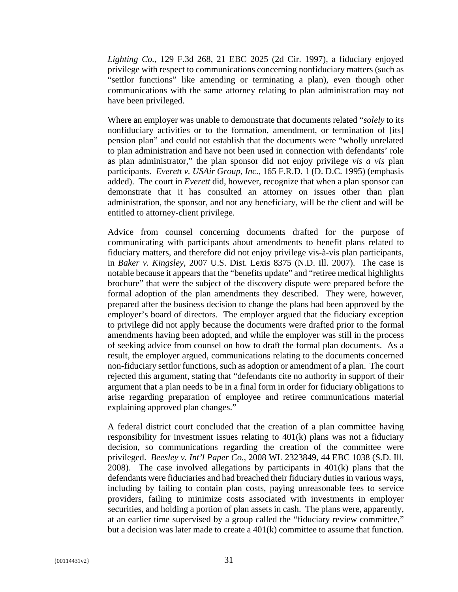*Lighting Co.*, 129 F.3d 268, 21 EBC 2025 (2d Cir. 1997), a fiduciary enjoyed privilege with respect to communications concerning nonfiduciary matters (such as "settlor functions" like amending or terminating a plan), even though other communications with the same attorney relating to plan administration may not have been privileged.

Where an employer was unable to demonstrate that documents related "*solely* to its nonfiduciary activities or to the formation, amendment, or termination of [its] pension plan" and could not establish that the documents were "wholly unrelated to plan administration and have not been used in connection with defendants' role as plan administrator," the plan sponsor did not enjoy privilege *vis a vis* plan participants. *Everett v. USAir Group, Inc.,* 165 F.R.D. 1 (D. D.C. 1995) (emphasis added). The court in *Everett* did, however, recognize that when a plan sponsor can demonstrate that it has consulted an attorney on issues other than plan administration, the sponsor, and not any beneficiary, will be the client and will be entitled to attorney-client privilege.

Advice from counsel concerning documents drafted for the purpose of communicating with participants about amendments to benefit plans related to fiduciary matters, and therefore did not enjoy privilege vis-à-vis plan participants, in *Baker v. Kingsley*, 2007 U.S. Dist. Lexis 8375 (N.D. Ill. 2007). The case is notable because it appears that the "benefits update" and "retiree medical highlights brochure" that were the subject of the discovery dispute were prepared before the formal adoption of the plan amendments they described. They were, however, prepared after the business decision to change the plans had been approved by the employer's board of directors. The employer argued that the fiduciary exception to privilege did not apply because the documents were drafted prior to the formal amendments having been adopted, and while the employer was still in the process of seeking advice from counsel on how to draft the formal plan documents. As a result, the employer argued, communications relating to the documents concerned non-fiduciary settlor functions, such as adoption or amendment of a plan. The court rejected this argument, stating that "defendants cite no authority in support of their argument that a plan needs to be in a final form in order for fiduciary obligations to arise regarding preparation of employee and retiree communications material explaining approved plan changes."

A federal district court concluded that the creation of a plan committee having responsibility for investment issues relating to 401(k) plans was not a fiduciary decision, so communications regarding the creation of the committee were privileged. *Beesley v. Int'l Paper Co.*, 2008 WL 2323849, 44 EBC 1038 (S.D. Ill. 2008). The case involved allegations by participants in  $401(k)$  plans that the defendants were fiduciaries and had breached their fiduciary duties in various ways, including by failing to contain plan costs, paying unreasonable fees to service providers, failing to minimize costs associated with investments in employer securities, and holding a portion of plan assets in cash. The plans were, apparently, at an earlier time supervised by a group called the "fiduciary review committee," but a decision was later made to create a 401(k) committee to assume that function.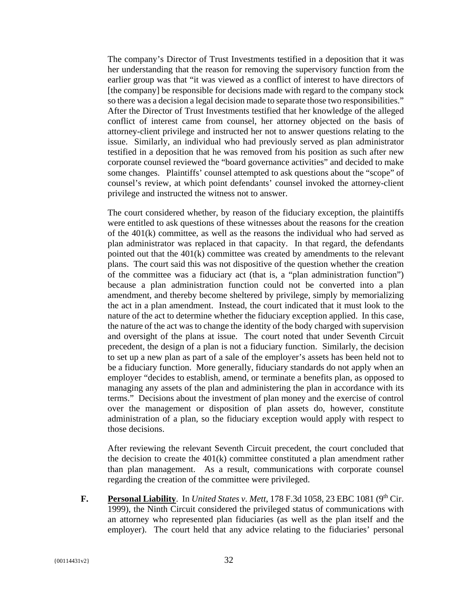The company's Director of Trust Investments testified in a deposition that it was her understanding that the reason for removing the supervisory function from the earlier group was that "it was viewed as a conflict of interest to have directors of [the company] be responsible for decisions made with regard to the company stock so there was a decision a legal decision made to separate those two responsibilities." After the Director of Trust Investments testified that her knowledge of the alleged conflict of interest came from counsel, her attorney objected on the basis of attorney-client privilege and instructed her not to answer questions relating to the issue. Similarly, an individual who had previously served as plan administrator testified in a deposition that he was removed from his position as such after new corporate counsel reviewed the "board governance activities" and decided to make some changes. Plaintiffs' counsel attempted to ask questions about the "scope" of counsel's review, at which point defendants' counsel invoked the attorney-client privilege and instructed the witness not to answer.

The court considered whether, by reason of the fiduciary exception, the plaintiffs were entitled to ask questions of these witnesses about the reasons for the creation of the 401(k) committee, as well as the reasons the individual who had served as plan administrator was replaced in that capacity. In that regard, the defendants pointed out that the 401(k) committee was created by amendments to the relevant plans. The court said this was not dispositive of the question whether the creation of the committee was a fiduciary act (that is, a "plan administration function") because a plan administration function could not be converted into a plan amendment, and thereby become sheltered by privilege, simply by memorializing the act in a plan amendment. Instead, the court indicated that it must look to the nature of the act to determine whether the fiduciary exception applied. In this case, the nature of the act was to change the identity of the body charged with supervision and oversight of the plans at issue. The court noted that under Seventh Circuit precedent, the design of a plan is not a fiduciary function. Similarly, the decision to set up a new plan as part of a sale of the employer's assets has been held not to be a fiduciary function. More generally, fiduciary standards do not apply when an employer "decides to establish, amend, or terminate a benefits plan, as opposed to managing any assets of the plan and administering the plan in accordance with its terms." Decisions about the investment of plan money and the exercise of control over the management or disposition of plan assets do, however, constitute administration of a plan, so the fiduciary exception would apply with respect to those decisions.

After reviewing the relevant Seventh Circuit precedent, the court concluded that the decision to create the 401(k) committee constituted a plan amendment rather than plan management. As a result, communications with corporate counsel regarding the creation of the committee were privileged.

**F.** Personal Liability. In *United States v. Mett*, 178 F.3d 1058, 23 EBC 1081 (9<sup>th</sup> Cir. 1999), the Ninth Circuit considered the privileged status of communications with an attorney who represented plan fiduciaries (as well as the plan itself and the employer). The court held that any advice relating to the fiduciaries' personal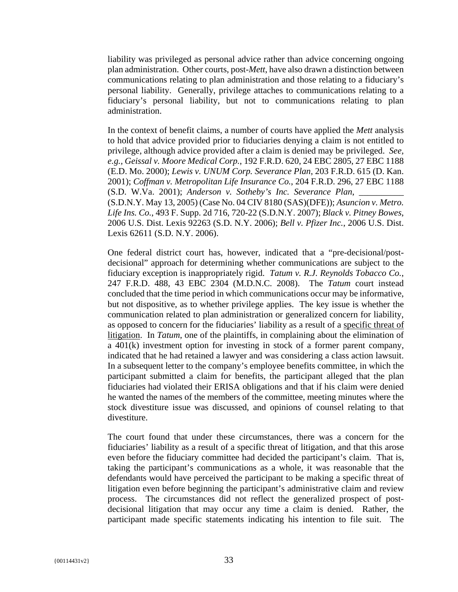liability was privileged as personal advice rather than advice concerning ongoing plan administration. Other courts, post-*Mett*, have also drawn a distinction between communications relating to plan administration and those relating to a fiduciary's personal liability. Generally, privilege attaches to communications relating to a fiduciary's personal liability, but not to communications relating to plan administration.

In the context of benefit claims, a number of courts have applied the *Mett* analysis to hold that advice provided prior to fiduciaries denying a claim is not entitled to privilege, although advice provided after a claim is denied may be privileged. *See, e.g., Geissal v. Moore Medical Corp.*, 192 F.R.D. 620, 24 EBC 2805, 27 EBC 1188 (E.D. Mo. 2000); *Lewis v. UNUM Corp. Severance Plan*, 203 F.R.D. 615 (D. Kan. 2001); *Coffman v. Metropolitan Life Insurance Co.*, 204 F.R.D. 296, 27 EBC 1188 (S.D. W.Va. 2001); *Anderson v. Sotheby's Inc. Severance Plan*, \_\_\_\_\_\_\_\_\_\_ (S.D.N.Y. May 13, 2005) (Case No. 04 CIV 8180 (SAS)(DFE)); *Asuncion v. Metro. Life Ins. Co.*, 493 F. Supp. 2d 716, 720-22 (S.D.N.Y. 2007); *Black v. Pitney Bowes*, 2006 U.S. Dist. Lexis 92263 (S.D. N.Y. 2006); *Bell v. Pfizer Inc.*, 2006 U.S. Dist. Lexis 62611 (S.D. N.Y. 2006).

One federal district court has, however, indicated that a "pre-decisional/postdecisional" approach for determining whether communications are subject to the fiduciary exception is inappropriately rigid. *Tatum v. R.J. Reynolds Tobacco Co.*, 247 F.R.D. 488, 43 EBC 2304 (M.D.N.C. 2008). The *Tatum* court instead concluded that the time period in which communications occur may be informative, but not dispositive, as to whether privilege applies. The key issue is whether the communication related to plan administration or generalized concern for liability, as opposed to concern for the fiduciaries' liability as a result of a specific threat of litigation. In *Tatum*, one of the plaintiffs, in complaining about the elimination of a 401(k) investment option for investing in stock of a former parent company, indicated that he had retained a lawyer and was considering a class action lawsuit. In a subsequent letter to the company's employee benefits committee, in which the participant submitted a claim for benefits, the participant alleged that the plan fiduciaries had violated their ERISA obligations and that if his claim were denied he wanted the names of the members of the committee, meeting minutes where the stock divestiture issue was discussed, and opinions of counsel relating to that divestiture.

The court found that under these circumstances, there was a concern for the fiduciaries' liability as a result of a specific threat of litigation, and that this arose even before the fiduciary committee had decided the participant's claim. That is, taking the participant's communications as a whole, it was reasonable that the defendants would have perceived the participant to be making a specific threat of litigation even before beginning the participant's administrative claim and review process. The circumstances did not reflect the generalized prospect of postdecisional litigation that may occur any time a claim is denied. Rather, the participant made specific statements indicating his intention to file suit. The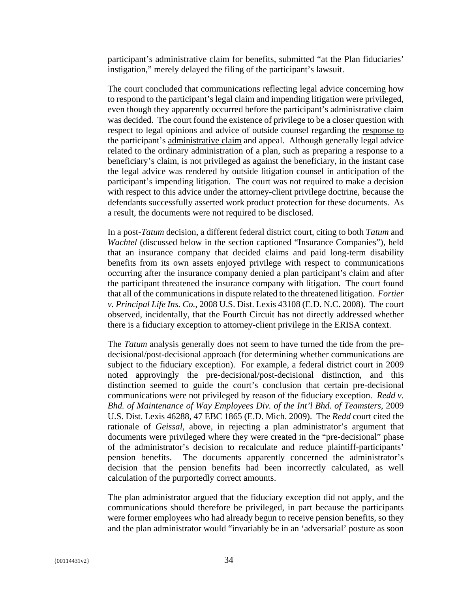participant's administrative claim for benefits, submitted "at the Plan fiduciaries' instigation," merely delayed the filing of the participant's lawsuit.

The court concluded that communications reflecting legal advice concerning how to respond to the participant's legal claim and impending litigation were privileged, even though they apparently occurred before the participant's administrative claim was decided. The court found the existence of privilege to be a closer question with respect to legal opinions and advice of outside counsel regarding the response to the participant's administrative claim and appeal. Although generally legal advice related to the ordinary administration of a plan, such as preparing a response to a beneficiary's claim, is not privileged as against the beneficiary, in the instant case the legal advice was rendered by outside litigation counsel in anticipation of the participant's impending litigation. The court was not required to make a decision with respect to this advice under the attorney-client privilege doctrine, because the defendants successfully asserted work product protection for these documents. As a result, the documents were not required to be disclosed.

In a post-*Tatum* decision, a different federal district court, citing to both *Tatum* and *Wachtel* (discussed below in the section captioned "Insurance Companies"), held that an insurance company that decided claims and paid long-term disability benefits from its own assets enjoyed privilege with respect to communications occurring after the insurance company denied a plan participant's claim and after the participant threatened the insurance company with litigation. The court found that all of the communications in dispute related to the threatened litigation. *Fortier v. Principal Life Ins. Co.*, 2008 U.S. Dist. Lexis 43108 (E.D. N.C. 2008). The court observed, incidentally, that the Fourth Circuit has not directly addressed whether there is a fiduciary exception to attorney-client privilege in the ERISA context.

The *Tatum* analysis generally does not seem to have turned the tide from the predecisional/post-decisional approach (for determining whether communications are subject to the fiduciary exception). For example, a federal district court in 2009 noted approvingly the pre-decisional/post-decisional distinction, and this distinction seemed to guide the court's conclusion that certain pre-decisional communications were not privileged by reason of the fiduciary exception. *Redd v. Bhd. of Maintenance of Way Employees Div. of the Int'l Bhd. of Teamsters*, 2009 U.S. Dist. Lexis 46288, 47 EBC 1865 (E.D. Mich. 2009). The *Redd* court cited the rationale of *Geissal*, above, in rejecting a plan administrator's argument that documents were privileged where they were created in the "pre-decisional" phase of the administrator's decision to recalculate and reduce plaintiff-participants' pension benefits. The documents apparently concerned the administrator's decision that the pension benefits had been incorrectly calculated, as well calculation of the purportedly correct amounts.

The plan administrator argued that the fiduciary exception did not apply, and the communications should therefore be privileged, in part because the participants were former employees who had already begun to receive pension benefits, so they and the plan administrator would "invariably be in an 'adversarial' posture as soon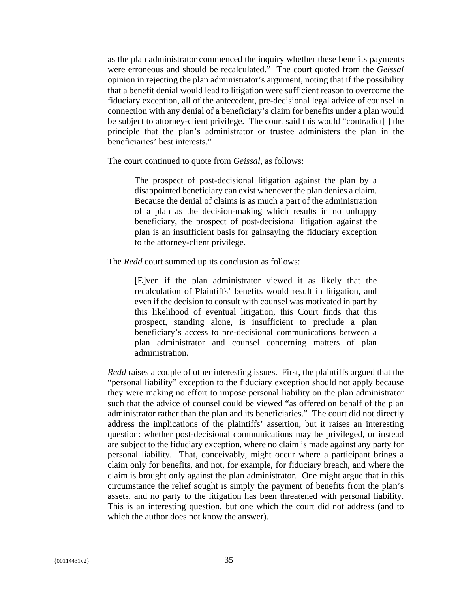as the plan administrator commenced the inquiry whether these benefits payments were erroneous and should be recalculated." The court quoted from the *Geissal* opinion in rejecting the plan administrator's argument, noting that if the possibility that a benefit denial would lead to litigation were sufficient reason to overcome the fiduciary exception, all of the antecedent, pre-decisional legal advice of counsel in connection with any denial of a beneficiary's claim for benefits under a plan would be subject to attorney-client privilege. The court said this would "contradict[ ] the principle that the plan's administrator or trustee administers the plan in the beneficiaries' best interests."

The court continued to quote from *Geissal*, as follows:

The prospect of post-decisional litigation against the plan by a disappointed beneficiary can exist whenever the plan denies a claim. Because the denial of claims is as much a part of the administration of a plan as the decision-making which results in no unhappy beneficiary, the prospect of post-decisional litigation against the plan is an insufficient basis for gainsaying the fiduciary exception to the attorney-client privilege.

The *Redd* court summed up its conclusion as follows:

[E]ven if the plan administrator viewed it as likely that the recalculation of Plaintiffs' benefits would result in litigation, and even if the decision to consult with counsel was motivated in part by this likelihood of eventual litigation, this Court finds that this prospect, standing alone, is insufficient to preclude a plan beneficiary's access to pre-decisional communications between a plan administrator and counsel concerning matters of plan administration.

*Redd* raises a couple of other interesting issues. First, the plaintiffs argued that the "personal liability" exception to the fiduciary exception should not apply because they were making no effort to impose personal liability on the plan administrator such that the advice of counsel could be viewed "as offered on behalf of the plan administrator rather than the plan and its beneficiaries." The court did not directly address the implications of the plaintiffs' assertion, but it raises an interesting question: whether post-decisional communications may be privileged, or instead are subject to the fiduciary exception, where no claim is made against any party for personal liability. That, conceivably, might occur where a participant brings a claim only for benefits, and not, for example, for fiduciary breach, and where the claim is brought only against the plan administrator. One might argue that in this circumstance the relief sought is simply the payment of benefits from the plan's assets, and no party to the litigation has been threatened with personal liability. This is an interesting question, but one which the court did not address (and to which the author does not know the answer).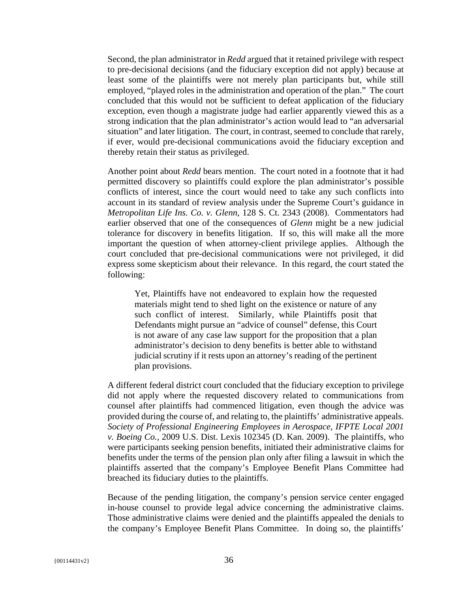Second, the plan administrator in *Redd* argued that it retained privilege with respect to pre-decisional decisions (and the fiduciary exception did not apply) because at least some of the plaintiffs were not merely plan participants but, while still employed, "played roles in the administration and operation of the plan." The court concluded that this would not be sufficient to defeat application of the fiduciary exception, even though a magistrate judge had earlier apparently viewed this as a strong indication that the plan administrator's action would lead to "an adversarial situation" and later litigation. The court, in contrast, seemed to conclude that rarely, if ever, would pre-decisional communications avoid the fiduciary exception and thereby retain their status as privileged.

Another point about *Redd* bears mention. The court noted in a footnote that it had permitted discovery so plaintiffs could explore the plan administrator's possible conflicts of interest, since the court would need to take any such conflicts into account in its standard of review analysis under the Supreme Court's guidance in *Metropolitan Life Ins. Co. v. Glenn*, 128 S. Ct. 2343 (2008). Commentators had earlier observed that one of the consequences of *Glenn* might be a new judicial tolerance for discovery in benefits litigation. If so, this will make all the more important the question of when attorney-client privilege applies. Although the court concluded that pre-decisional communications were not privileged, it did express some skepticism about their relevance. In this regard, the court stated the following:

Yet, Plaintiffs have not endeavored to explain how the requested materials might tend to shed light on the existence or nature of any such conflict of interest. Similarly, while Plaintiffs posit that Defendants might pursue an "advice of counsel" defense, this Court is not aware of any case law support for the proposition that a plan administrator's decision to deny benefits is better able to withstand judicial scrutiny if it rests upon an attorney's reading of the pertinent plan provisions.

A different federal district court concluded that the fiduciary exception to privilege did not apply where the requested discovery related to communications from counsel after plaintiffs had commenced litigation, even though the advice was provided during the course of, and relating to, the plaintiffs' administrative appeals. *Society of Professional Engineering Employees in Aerospace, IFPTE Local 2001 v. Boeing Co.,* 2009 U.S. Dist. Lexis 102345 (D. Kan. 2009). The plaintiffs, who were participants seeking pension benefits, initiated their administrative claims for benefits under the terms of the pension plan only after filing a lawsuit in which the plaintiffs asserted that the company's Employee Benefit Plans Committee had breached its fiduciary duties to the plaintiffs.

Because of the pending litigation, the company's pension service center engaged in-house counsel to provide legal advice concerning the administrative claims. Those administrative claims were denied and the plaintiffs appealed the denials to the company's Employee Benefit Plans Committee. In doing so, the plaintiffs'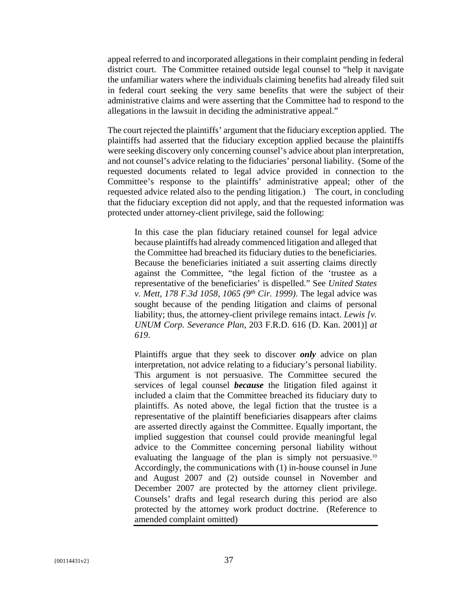appeal referred to and incorporated allegations in their complaint pending in federal district court. The Committee retained outside legal counsel to "help it navigate the unfamiliar waters where the individuals claiming benefits had already filed suit in federal court seeking the very same benefits that were the subject of their administrative claims and were asserting that the Committee had to respond to the allegations in the lawsuit in deciding the administrative appeal."

The court rejected the plaintiffs' argument that the fiduciary exception applied. The plaintiffs had asserted that the fiduciary exception applied because the plaintiffs were seeking discovery only concerning counsel's advice about plan interpretation, and not counsel's advice relating to the fiduciaries' personal liability. (Some of the requested documents related to legal advice provided in connection to the Committee's response to the plaintiffs' administrative appeal; other of the requested advice related also to the pending litigation.) The court, in concluding that the fiduciary exception did not apply, and that the requested information was protected under attorney-client privilege, said the following:

In this case the plan fiduciary retained counsel for legal advice because plaintiffs had already commenced litigation and alleged that the Committee had breached its fiduciary duties to the beneficiaries. Because the beneficiaries initiated a suit asserting claims directly against the Committee, "the legal fiction of the 'trustee as a representative of the beneficiaries' is dispelled." See *United States v. Mett, 178 F.3d 1058, 1065 (9th Cir. 1999)*. The legal advice was sought because of the pending litigation and claims of personal liability; thus, the attorney-client privilege remains intact. *Lewis [v. UNUM Corp. Severance Plan,* 203 F.R.D. 616 (D. Kan. 2001)] *at 619*.

Plaintiffs argue that they seek to discover *only* advice on plan interpretation, not advice relating to a fiduciary's personal liability. This argument is not persuasive. The Committee secured the services of legal counsel *because* the litigation filed against it included a claim that the Committee breached its fiduciary duty to plaintiffs. As noted above, the legal fiction that the trustee is a representative of the plaintiff beneficiaries disappears after claims are asserted directly against the Committee. Equally important, the implied suggestion that counsel could provide meaningful legal advice to the Committee concerning personal liability without evaluating the language of the plan is simply not persuasive.<sup>10</sup> Accordingly, the communications with (1) in-house counsel in June and August 2007 and (2) outside counsel in November and December 2007 are protected by the attorney client privilege. Counsels' drafts and legal research during this period are also protected by the attorney work product doctrine. (Reference to amended complaint omitted)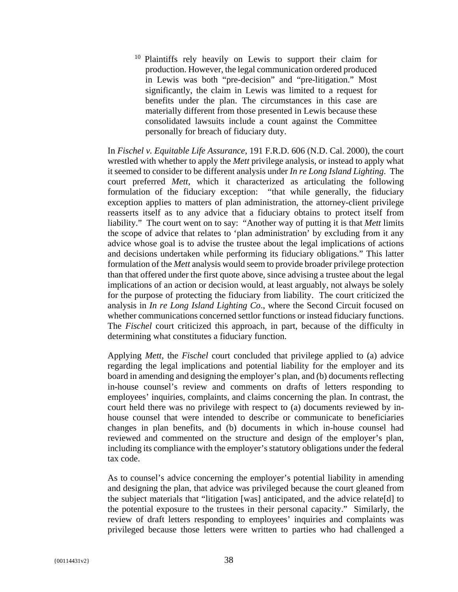<sup>10</sup> Plaintiffs rely heavily on Lewis to support their claim for production. However, the legal communication ordered produced in Lewis was both "pre-decision" and "pre-litigation." Most significantly, the claim in Lewis was limited to a request for benefits under the plan. The circumstances in this case are materially different from those presented in Lewis because these consolidated lawsuits include a count against the Committee personally for breach of fiduciary duty.

In *Fischel v. Equitable Life Assurance*, 191 F.R.D. 606 (N.D. Cal. 2000), the court wrestled with whether to apply the *Mett* privilege analysis, or instead to apply what it seemed to consider to be different analysis under *In re Long Island Lighting*. The court preferred *Mett*, which it characterized as articulating the following formulation of the fiduciary exception: "that while generally, the fiduciary exception applies to matters of plan administration, the attorney-client privilege reasserts itself as to any advice that a fiduciary obtains to protect itself from liability." The court went on to say: "Another way of putting it is that *Mett* limits the scope of advice that relates to 'plan administration' by excluding from it any advice whose goal is to advise the trustee about the legal implications of actions and decisions undertaken while performing its fiduciary obligations." This latter formulation of the *Mett* analysis would seem to provide broader privilege protection than that offered under the first quote above, since advising a trustee about the legal implications of an action or decision would, at least arguably, not always be solely for the purpose of protecting the fiduciary from liability. The court criticized the analysis in *In re Long Island Lighting Co*., where the Second Circuit focused on whether communications concerned settlor functions or instead fiduciary functions. The *Fischel* court criticized this approach, in part, because of the difficulty in determining what constitutes a fiduciary function.

Applying *Mett*, the *Fischel* court concluded that privilege applied to (a) advice regarding the legal implications and potential liability for the employer and its board in amending and designing the employer's plan, and (b) documents reflecting in-house counsel's review and comments on drafts of letters responding to employees' inquiries, complaints, and claims concerning the plan. In contrast, the court held there was no privilege with respect to (a) documents reviewed by inhouse counsel that were intended to describe or communicate to beneficiaries changes in plan benefits, and (b) documents in which in-house counsel had reviewed and commented on the structure and design of the employer's plan, including its compliance with the employer's statutory obligations under the federal tax code.

As to counsel's advice concerning the employer's potential liability in amending and designing the plan, that advice was privileged because the court gleaned from the subject materials that "litigation [was] anticipated, and the advice relate[d] to the potential exposure to the trustees in their personal capacity." Similarly, the review of draft letters responding to employees' inquiries and complaints was privileged because those letters were written to parties who had challenged a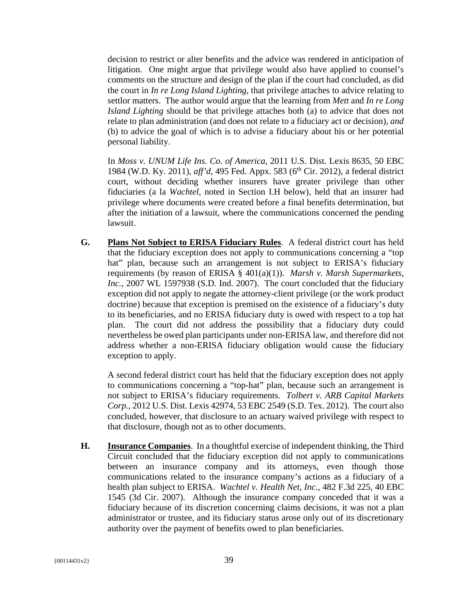decision to restrict or alter benefits and the advice was rendered in anticipation of litigation. One might argue that privilege would also have applied to counsel's comments on the structure and design of the plan if the court had concluded, as did the court in *In re Long Island Lighting*, that privilege attaches to advice relating to settlor matters. The author would argue that the learning from *Mett* and *In re Long Island Lighting* should be that privilege attaches both (a) to advice that does not relate to plan administration (and does not relate to a fiduciary act or decision), *and* (b) to advice the goal of which is to advise a fiduciary about his or her potential personal liability.

In *Moss v. UNUM Life Ins. Co. of America*, 2011 U.S. Dist. Lexis 8635, 50 EBC 1984 (W.D. Ky. 2011), *aff'd*, 495 Fed. Appx. 583 (6<sup>th</sup> Cir. 2012), a federal district court, without deciding whether insurers have greater privilege than other fiduciaries (a la *Wachtel*, noted in Section I.H below), held that an insurer had privilege where documents were created before a final benefits determination, but after the initiation of a lawsuit, where the communications concerned the pending lawsuit.

**G. Plans Not Subject to ERISA Fiduciary Rules**. A federal district court has held that the fiduciary exception does not apply to communications concerning a "top hat" plan, because such an arrangement is not subject to ERISA's fiduciary requirements (by reason of ERISA § 401(a)(1)). *Marsh v. Marsh Supermarkets, Inc.*, 2007 WL 1597938 (S.D. Ind. 2007). The court concluded that the fiduciary exception did not apply to negate the attorney-client privilege (or the work product doctrine) because that exception is premised on the existence of a fiduciary's duty to its beneficiaries, and no ERISA fiduciary duty is owed with respect to a top hat plan. The court did not address the possibility that a fiduciary duty could nevertheless be owed plan participants under non-ERISA law, and therefore did not address whether a non-ERISA fiduciary obligation would cause the fiduciary exception to apply.

A second federal district court has held that the fiduciary exception does not apply to communications concerning a "top-hat" plan, because such an arrangement is not subject to ERISA's fiduciary requirements. *Tolbert v. ARB Capital Markets Corp.*, 2012 U.S. Dist. Lexis 42974, 53 EBC 2549 (S.D. Tex. 2012). The court also concluded, however, that disclosure to an actuary waived privilege with respect to that disclosure, though not as to other documents.

**H. Insurance Companies**. In a thoughtful exercise of independent thinking, the Third Circuit concluded that the fiduciary exception did not apply to communications between an insurance company and its attorneys, even though those communications related to the insurance company's actions as a fiduciary of a health plan subject to ERISA. *Wachtel v. Health Net, Inc.*, 482 F.3d 225, 40 EBC 1545 (3d Cir. 2007). Although the insurance company conceded that it was a fiduciary because of its discretion concerning claims decisions, it was not a plan administrator or trustee, and its fiduciary status arose only out of its discretionary authority over the payment of benefits owed to plan beneficiaries.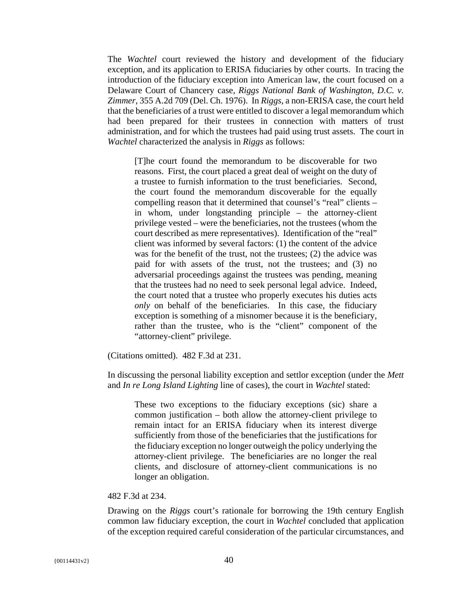The *Wachtel* court reviewed the history and development of the fiduciary exception, and its application to ERISA fiduciaries by other courts. In tracing the introduction of the fiduciary exception into American law, the court focused on a Delaware Court of Chancery case, *Riggs National Bank of Washington, D.C. v. Zimmer*, 355 A.2d 709 (Del. Ch. 1976). In *Riggs*, a non-ERISA case, the court held that the beneficiaries of a trust were entitled to discover a legal memorandum which had been prepared for their trustees in connection with matters of trust administration, and for which the trustees had paid using trust assets. The court in *Wachtel* characterized the analysis in *Riggs* as follows:

[T]he court found the memorandum to be discoverable for two reasons. First, the court placed a great deal of weight on the duty of a trustee to furnish information to the trust beneficiaries. Second, the court found the memorandum discoverable for the equally compelling reason that it determined that counsel's "real" clients – in whom, under longstanding principle – the attorney-client privilege vested – were the beneficiaries, not the trustees (whom the court described as mere representatives). Identification of the "real" client was informed by several factors: (1) the content of the advice was for the benefit of the trust, not the trustees; (2) the advice was paid for with assets of the trust, not the trustees; and (3) no adversarial proceedings against the trustees was pending, meaning that the trustees had no need to seek personal legal advice. Indeed, the court noted that a trustee who properly executes his duties acts *only* on behalf of the beneficiaries. In this case, the fiduciary exception is something of a misnomer because it is the beneficiary, rather than the trustee, who is the "client" component of the "attorney-client" privilege.

(Citations omitted). 482 F.3d at 231.

In discussing the personal liability exception and settlor exception (under the *Mett* and *In re Long Island Lighting* line of cases), the court in *Wachtel* stated:

These two exceptions to the fiduciary exceptions (sic) share a common justification – both allow the attorney-client privilege to remain intact for an ERISA fiduciary when its interest diverge sufficiently from those of the beneficiaries that the justifications for the fiduciary exception no longer outweigh the policy underlying the attorney-client privilege. The beneficiaries are no longer the real clients, and disclosure of attorney-client communications is no longer an obligation.

#### 482 F.3d at 234.

Drawing on the *Riggs* court's rationale for borrowing the 19th century English common law fiduciary exception, the court in *Wachtel* concluded that application of the exception required careful consideration of the particular circumstances, and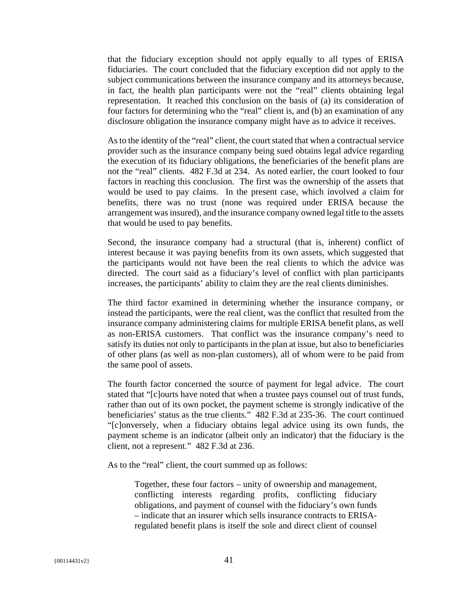that the fiduciary exception should not apply equally to all types of ERISA fiduciaries. The court concluded that the fiduciary exception did not apply to the subject communications between the insurance company and its attorneys because, in fact, the health plan participants were not the "real" clients obtaining legal representation. It reached this conclusion on the basis of (a) its consideration of four factors for determining who the "real" client is, and (b) an examination of any disclosure obligation the insurance company might have as to advice it receives.

As to the identity of the "real" client, the court stated that when a contractual service provider such as the insurance company being sued obtains legal advice regarding the execution of its fiduciary obligations, the beneficiaries of the benefit plans are not the "real" clients. 482 F.3d at 234. As noted earlier, the court looked to four factors in reaching this conclusion. The first was the ownership of the assets that would be used to pay claims. In the present case, which involved a claim for benefits, there was no trust (none was required under ERISA because the arrangement was insured), and the insurance company owned legal title to the assets that would be used to pay benefits.

Second, the insurance company had a structural (that is, inherent) conflict of interest because it was paying benefits from its own assets, which suggested that the participants would not have been the real clients to which the advice was directed. The court said as a fiduciary's level of conflict with plan participants increases, the participants' ability to claim they are the real clients diminishes.

The third factor examined in determining whether the insurance company, or instead the participants, were the real client, was the conflict that resulted from the insurance company administering claims for multiple ERISA benefit plans, as well as non-ERISA customers. That conflict was the insurance company's need to satisfy its duties not only to participants in the plan at issue, but also to beneficiaries of other plans (as well as non-plan customers), all of whom were to be paid from the same pool of assets.

The fourth factor concerned the source of payment for legal advice. The court stated that "[c]ourts have noted that when a trustee pays counsel out of trust funds, rather than out of its own pocket, the payment scheme is strongly indicative of the beneficiaries' status as the true clients." 482 F.3d at 235-36. The court continued "[c]onversely, when a fiduciary obtains legal advice using its own funds, the payment scheme is an indicator (albeit only an indicator) that the fiduciary is the client, not a represent." 482 F.3d at 236.

As to the "real" client, the court summed up as follows:

Together, these four factors – unity of ownership and management, conflicting interests regarding profits, conflicting fiduciary obligations, and payment of counsel with the fiduciary's own funds – indicate that an insurer which sells insurance contracts to ERISAregulated benefit plans is itself the sole and direct client of counsel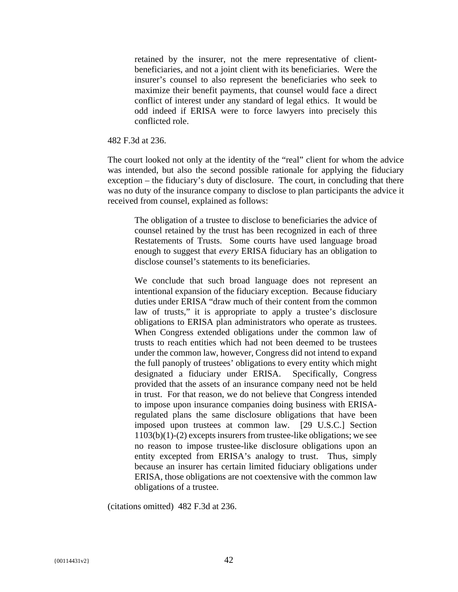retained by the insurer, not the mere representative of clientbeneficiaries, and not a joint client with its beneficiaries. Were the insurer's counsel to also represent the beneficiaries who seek to maximize their benefit payments, that counsel would face a direct conflict of interest under any standard of legal ethics. It would be odd indeed if ERISA were to force lawyers into precisely this conflicted role.

482 F.3d at 236.

The court looked not only at the identity of the "real" client for whom the advice was intended, but also the second possible rationale for applying the fiduciary exception – the fiduciary's duty of disclosure. The court, in concluding that there was no duty of the insurance company to disclose to plan participants the advice it received from counsel, explained as follows:

The obligation of a trustee to disclose to beneficiaries the advice of counsel retained by the trust has been recognized in each of three Restatements of Trusts. Some courts have used language broad enough to suggest that *every* ERISA fiduciary has an obligation to disclose counsel's statements to its beneficiaries.

We conclude that such broad language does not represent an intentional expansion of the fiduciary exception. Because fiduciary duties under ERISA "draw much of their content from the common law of trusts," it is appropriate to apply a trustee's disclosure obligations to ERISA plan administrators who operate as trustees. When Congress extended obligations under the common law of trusts to reach entities which had not been deemed to be trustees under the common law, however, Congress did not intend to expand the full panoply of trustees' obligations to every entity which might designated a fiduciary under ERISA. Specifically, Congress provided that the assets of an insurance company need not be held in trust. For that reason, we do not believe that Congress intended to impose upon insurance companies doing business with ERISAregulated plans the same disclosure obligations that have been imposed upon trustees at common law. [29 U.S.C.] Section 1103(b)(1)-(2) excepts insurers from trustee-like obligations; we see no reason to impose trustee-like disclosure obligations upon an entity excepted from ERISA's analogy to trust. Thus, simply because an insurer has certain limited fiduciary obligations under ERISA, those obligations are not coextensive with the common law obligations of a trustee.

(citations omitted) 482 F.3d at 236.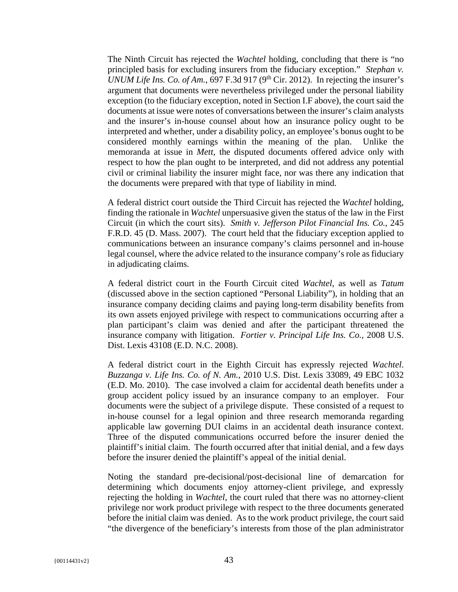The Ninth Circuit has rejected the *Wachtel* holding, concluding that there is "no principled basis for excluding insurers from the fiduciary exception." *Stephan v. UNUM Life Ins. Co. of Am.*, 697 F.3d 917 (9<sup>th</sup> Cir. 2012). In rejecting the insurer's argument that documents were nevertheless privileged under the personal liability exception (to the fiduciary exception, noted in Section I.F above), the court said the documents at issue were notes of conversations between the insurer's claim analysts and the insurer's in-house counsel about how an insurance policy ought to be interpreted and whether, under a disability policy, an employee's bonus ought to be considered monthly earnings within the meaning of the plan. Unlike the memoranda at issue in *Mett*, the disputed documents offered advice only with respect to how the plan ought to be interpreted, and did not address any potential civil or criminal liability the insurer might face, nor was there any indication that the documents were prepared with that type of liability in mind.

A federal district court outside the Third Circuit has rejected the *Wachtel* holding, finding the rationale in *Wachtel* unpersuasive given the status of the law in the First Circuit (in which the court sits). *Smith v. Jefferson Pilot Financial Ins. Co.*, 245 F.R.D. 45 (D. Mass. 2007). The court held that the fiduciary exception applied to communications between an insurance company's claims personnel and in-house legal counsel, where the advice related to the insurance company's role as fiduciary in adjudicating claims.

A federal district court in the Fourth Circuit cited *Wachtel*, as well as *Tatum* (discussed above in the section captioned "Personal Liability"), in holding that an insurance company deciding claims and paying long-term disability benefits from its own assets enjoyed privilege with respect to communications occurring after a plan participant's claim was denied and after the participant threatened the insurance company with litigation. *Fortier v. Principal Life Ins. Co.,* 2008 U.S. Dist. Lexis 43108 (E.D. N.C. 2008).

A federal district court in the Eighth Circuit has expressly rejected *Wachtel*. *Buzzanga v. Life Ins. Co. of N. Am.*, 2010 U.S. Dist. Lexis 33089, 49 EBC 1032 (E.D. Mo. 2010). The case involved a claim for accidental death benefits under a group accident policy issued by an insurance company to an employer. Four documents were the subject of a privilege dispute. These consisted of a request to in-house counsel for a legal opinion and three research memoranda regarding applicable law governing DUI claims in an accidental death insurance context. Three of the disputed communications occurred before the insurer denied the plaintiff's initial claim. The fourth occurred after that initial denial, and a few days before the insurer denied the plaintiff's appeal of the initial denial.

Noting the standard pre-decisional/post-decisional line of demarcation for determining which documents enjoy attorney-client privilege, and expressly rejecting the holding in *Wachtel*, the court ruled that there was no attorney-client privilege nor work product privilege with respect to the three documents generated before the initial claim was denied. As to the work product privilege, the court said "the divergence of the beneficiary's interests from those of the plan administrator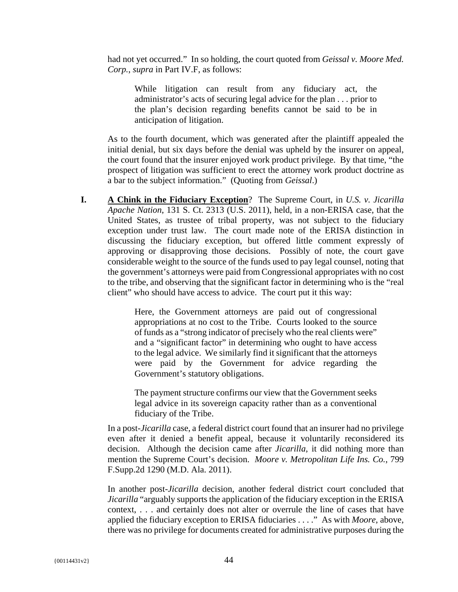had not yet occurred." In so holding, the court quoted from *Geissal v. Moore Med. Corp.*, *supra* in Part IV.F, as follows:

While litigation can result from any fiduciary act, the administrator's acts of securing legal advice for the plan . . . prior to the plan's decision regarding benefits cannot be said to be in anticipation of litigation.

As to the fourth document, which was generated after the plaintiff appealed the initial denial, but six days before the denial was upheld by the insurer on appeal, the court found that the insurer enjoyed work product privilege. By that time, "the prospect of litigation was sufficient to erect the attorney work product doctrine as a bar to the subject information." (Quoting from *Geissal*.)

**I. A Chink in the Fiduciary Exception**? The Supreme Court, in *U.S. v. Jicarilla Apache Nation*, 131 S. Ct. 2313 (U.S. 2011), held, in a non-ERISA case, that the United States, as trustee of tribal property, was not subject to the fiduciary exception under trust law. The court made note of the ERISA distinction in discussing the fiduciary exception, but offered little comment expressly of approving or disapproving those decisions. Possibly of note, the court gave considerable weight to the source of the funds used to pay legal counsel, noting that the government's attorneys were paid from Congressional appropriates with no cost to the tribe, and observing that the significant factor in determining who is the "real client" who should have access to advice. The court put it this way:

> Here, the Government attorneys are paid out of congressional appropriations at no cost to the Tribe. Courts looked to the source of funds as a "strong indicator of precisely who the real clients were" and a "significant factor" in determining who ought to have access to the legal advice. We similarly find it significant that the attorneys were paid by the Government for advice regarding the Government's statutory obligations.

> The payment structure confirms our view that the Government seeks legal advice in its sovereign capacity rather than as a conventional fiduciary of the Tribe.

In a post-*Jicarilla* case, a federal district court found that an insurer had no privilege even after it denied a benefit appeal, because it voluntarily reconsidered its decision. Although the decision came after *Jicarilla*, it did nothing more than mention the Supreme Court's decision. *Moore v. Metropolitan Life Ins. Co.*, 799 F.Supp.2d 1290 (M.D. Ala. 2011).

In another post-*Jicarilla* decision, another federal district court concluded that *Jicarilla* "arguably supports the application of the fiduciary exception in the ERISA context, . . . and certainly does not alter or overrule the line of cases that have applied the fiduciary exception to ERISA fiduciaries . . . ." As with *Moore*, above, there was no privilege for documents created for administrative purposes during the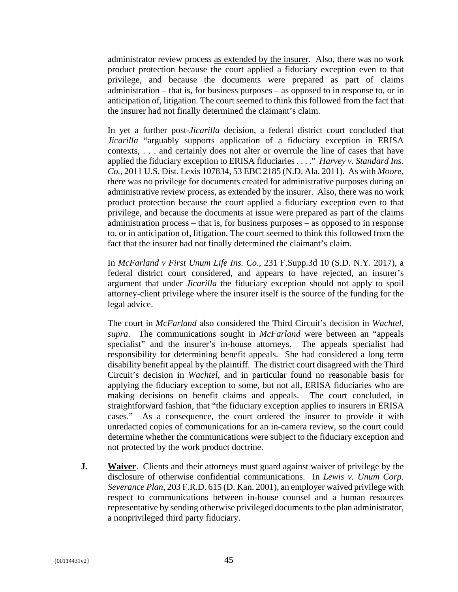administrator review process as extended by the insurer. Also, there was no work product protection because the court applied a fiduciary exception even to that privilege, and because the documents were prepared as part of claims administration – that is, for business purposes – as opposed to in response to, or in anticipation of, litigation. The court seemed to think this followed from the fact that the insurer had not finally determined the claimant's claim.

In yet a further post-*Jicarilla* decision, a federal district court concluded that *Jicarilla* "arguably supports application of a fiduciary exception in ERISA contexts, . . . and certainly does not alter or overrule the line of cases that have applied the fiduciary exception to ERISA fiduciaries . . . ." *Harvey v. Standard Ins. Co.*, 2011 U.S. Dist. Lexis 107834, 53 EBC 2185 (N.D. Ala. 2011). As with *Moore*, there was no privilege for documents created for administrative purposes during an administrative review process, as extended by the insurer. Also, there was no work product protection because the court applied a fiduciary exception even to that privilege, and because the documents at issue were prepared as part of the claims administration process – that is, for business purposes – as opposed to in response to, or in anticipation of, litigation. The court seemed to think this followed from the fact that the insurer had not finally determined the claimant's claim.

In *McFarland v First Unum Life Ins. Co.,* 231 F.Supp.3d 10 (S.D. N.Y. 2017), a federal district court considered, and appears to have rejected, an insurer's argument that under *Jicarilla* the fiduciary exception should not apply to spoil attorney-client privilege where the insurer itself is the source of the funding for the legal advice.

The court in *McFarland* also considered the Third Circuit's decision in *Wachtel*, *supra*. The communications sought in *McFarland* were between an "appeals specialist" and the insurer's in-house attorneys. The appeals specialist had responsibility for determining benefit appeals. She had considered a long term disability benefit appeal by the plaintiff. The district court disagreed with the Third Circuit's decision in *Wachtel*, and in particular found no reasonable basis for applying the fiduciary exception to some, but not all, ERISA fiduciaries who are making decisions on benefit claims and appeals. The court concluded, in straightforward fashion, that "the fiduciary exception applies to insurers in ERISA cases." As a consequence, the court ordered the insurer to provide it with unredacted copies of communications for an in-camera review, so the court could determine whether the communications were subject to the fiduciary exception and not protected by the work product doctrine.

**J. Waiver**. Clients and their attorneys must guard against waiver of privilege by the disclosure of otherwise confidential communications. In *Lewis v. Unum Corp. Severance Plan*, 203 F.R.D. 615 (D. Kan. 2001), an employer waived privilege with respect to communications between in-house counsel and a human resources representative by sending otherwise privileged documents to the plan administrator, a nonprivileged third party fiduciary.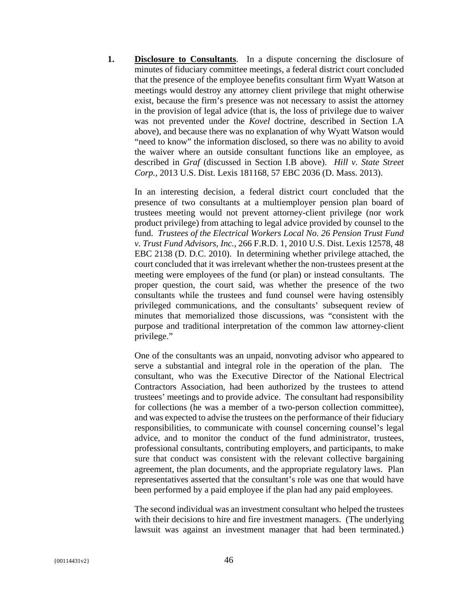**1. Disclosure to Consultants**. In a dispute concerning the disclosure of minutes of fiduciary committee meetings, a federal district court concluded that the presence of the employee benefits consultant firm Wyatt Watson at meetings would destroy any attorney client privilege that might otherwise exist, because the firm's presence was not necessary to assist the attorney in the provision of legal advice (that is, the loss of privilege due to waiver was not prevented under the *Kovel* doctrine, described in Section I.A above), and because there was no explanation of why Wyatt Watson would "need to know" the information disclosed, so there was no ability to avoid the waiver where an outside consultant functions like an employee, as described in *Graf* (discussed in Section I.B above). *Hill v. State Street Corp.*, 2013 U.S. Dist. Lexis 181168, 57 EBC 2036 (D. Mass. 2013).

In an interesting decision, a federal district court concluded that the presence of two consultants at a multiemployer pension plan board of trustees meeting would not prevent attorney-client privilege (nor work product privilege) from attaching to legal advice provided by counsel to the fund. *Trustees of the Electrical Workers Local No. 26 Pension Trust Fund v. Trust Fund Advisors, Inc.*, 266 F.R.D. 1, 2010 U.S. Dist. Lexis 12578, 48 EBC 2138 (D. D.C. 2010). In determining whether privilege attached, the court concluded that it was irrelevant whether the non-trustees present at the meeting were employees of the fund (or plan) or instead consultants. The proper question, the court said, was whether the presence of the two consultants while the trustees and fund counsel were having ostensibly privileged communications, and the consultants' subsequent review of minutes that memorialized those discussions, was "consistent with the purpose and traditional interpretation of the common law attorney-client privilege."

One of the consultants was an unpaid, nonvoting advisor who appeared to serve a substantial and integral role in the operation of the plan. The consultant, who was the Executive Director of the National Electrical Contractors Association, had been authorized by the trustees to attend trustees' meetings and to provide advice. The consultant had responsibility for collections (he was a member of a two-person collection committee), and was expected to advise the trustees on the performance of their fiduciary responsibilities, to communicate with counsel concerning counsel's legal advice, and to monitor the conduct of the fund administrator, trustees, professional consultants, contributing employers, and participants, to make sure that conduct was consistent with the relevant collective bargaining agreement, the plan documents, and the appropriate regulatory laws. Plan representatives asserted that the consultant's role was one that would have been performed by a paid employee if the plan had any paid employees.

The second individual was an investment consultant who helped the trustees with their decisions to hire and fire investment managers. (The underlying lawsuit was against an investment manager that had been terminated.)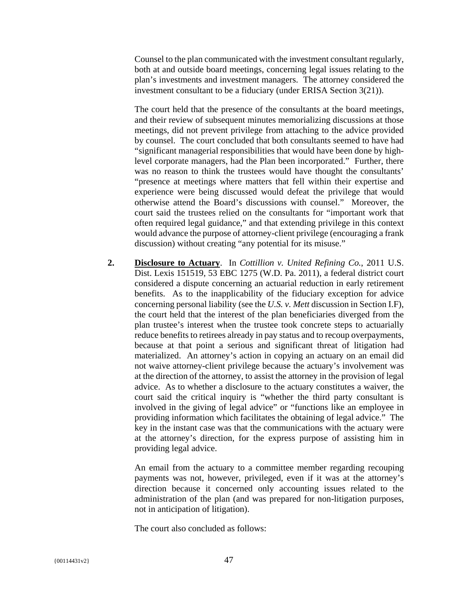Counsel to the plan communicated with the investment consultant regularly, both at and outside board meetings, concerning legal issues relating to the plan's investments and investment managers. The attorney considered the investment consultant to be a fiduciary (under ERISA Section 3(21)).

The court held that the presence of the consultants at the board meetings, and their review of subsequent minutes memorializing discussions at those meetings, did not prevent privilege from attaching to the advice provided by counsel. The court concluded that both consultants seemed to have had "significant managerial responsibilities that would have been done by highlevel corporate managers, had the Plan been incorporated." Further, there was no reason to think the trustees would have thought the consultants' "presence at meetings where matters that fell within their expertise and experience were being discussed would defeat the privilege that would otherwise attend the Board's discussions with counsel." Moreover, the court said the trustees relied on the consultants for "important work that often required legal guidance," and that extending privilege in this context would advance the purpose of attorney-client privilege (encouraging a frank discussion) without creating "any potential for its misuse."

**2. Disclosure to Actuary**. In *Cottillion v. United Refining Co.*, 2011 U.S. Dist. Lexis 151519, 53 EBC 1275 (W.D. Pa. 2011), a federal district court considered a dispute concerning an actuarial reduction in early retirement benefits. As to the inapplicability of the fiduciary exception for advice concerning personal liability (see the *U.S. v. Mett* discussion in Section I.F), the court held that the interest of the plan beneficiaries diverged from the plan trustee's interest when the trustee took concrete steps to actuarially reduce benefits to retirees already in pay status and to recoup overpayments, because at that point a serious and significant threat of litigation had materialized. An attorney's action in copying an actuary on an email did not waive attorney-client privilege because the actuary's involvement was at the direction of the attorney, to assist the attorney in the provision of legal advice. As to whether a disclosure to the actuary constitutes a waiver, the court said the critical inquiry is "whether the third party consultant is involved in the giving of legal advice" or "functions like an employee in providing information which facilitates the obtaining of legal advice." The key in the instant case was that the communications with the actuary were at the attorney's direction, for the express purpose of assisting him in providing legal advice.

An email from the actuary to a committee member regarding recouping payments was not, however, privileged, even if it was at the attorney's direction because it concerned only accounting issues related to the administration of the plan (and was prepared for non-litigation purposes, not in anticipation of litigation).

The court also concluded as follows: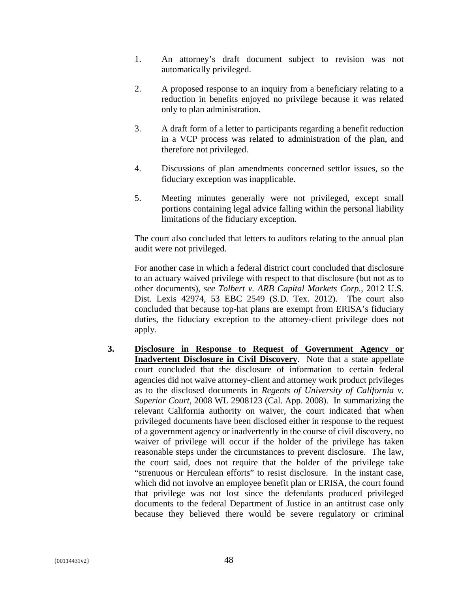- 1. An attorney's draft document subject to revision was not automatically privileged.
- 2. A proposed response to an inquiry from a beneficiary relating to a reduction in benefits enjoyed no privilege because it was related only to plan administration.
- 3. A draft form of a letter to participants regarding a benefit reduction in a VCP process was related to administration of the plan, and therefore not privileged.
- 4. Discussions of plan amendments concerned settlor issues, so the fiduciary exception was inapplicable.
- 5. Meeting minutes generally were not privileged, except small portions containing legal advice falling within the personal liability limitations of the fiduciary exception.

The court also concluded that letters to auditors relating to the annual plan audit were not privileged.

For another case in which a federal district court concluded that disclosure to an actuary waived privilege with respect to that disclosure (but not as to other documents), *see Tolbert v. ARB Capital Markets Corp.*, 2012 U.S. Dist. Lexis 42974, 53 EBC 2549 (S.D. Tex. 2012). The court also concluded that because top-hat plans are exempt from ERISA's fiduciary duties, the fiduciary exception to the attorney-client privilege does not apply.

**3. Disclosure in Response to Request of Government Agency or Inadvertent Disclosure in Civil Discovery**. Note that a state appellate court concluded that the disclosure of information to certain federal agencies did not waive attorney-client and attorney work product privileges as to the disclosed documents in *Regents of University of California v. Superior Court*, 2008 WL 2908123 (Cal. App. 2008). In summarizing the relevant California authority on waiver, the court indicated that when privileged documents have been disclosed either in response to the request of a government agency or inadvertently in the course of civil discovery, no waiver of privilege will occur if the holder of the privilege has taken reasonable steps under the circumstances to prevent disclosure. The law, the court said, does not require that the holder of the privilege take "strenuous or Herculean efforts" to resist disclosure. In the instant case, which did not involve an employee benefit plan or ERISA, the court found that privilege was not lost since the defendants produced privileged documents to the federal Department of Justice in an antitrust case only because they believed there would be severe regulatory or criminal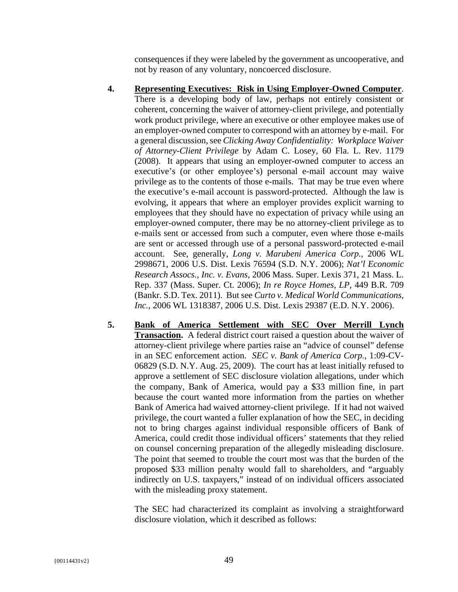consequences if they were labeled by the government as uncooperative, and not by reason of any voluntary, noncoerced disclosure.

- **4. Representing Executives: Risk in Using Employer-Owned Computer**. There is a developing body of law, perhaps not entirely consistent or coherent, concerning the waiver of attorney-client privilege, and potentially work product privilege, where an executive or other employee makes use of an employer-owned computer to correspond with an attorney by e-mail. For a general discussion, see *Clicking Away Confidentiality: Workplace Waiver of Attorney-Client Privilege* by Adam C. Losey, 60 Fla. L. Rev. 1179 (2008). It appears that using an employer-owned computer to access an executive's (or other employee's) personal e-mail account may waive privilege as to the contents of those e-mails. That may be true even where the executive's e-mail account is password-protected. Although the law is evolving, it appears that where an employer provides explicit warning to employees that they should have no expectation of privacy while using an employer-owned computer, there may be no attorney-client privilege as to e-mails sent or accessed from such a computer, even where those e-mails are sent or accessed through use of a personal password-protected e-mail account. See, generally, *Long v. Marubeni America Corp.*, 2006 WL 2998671, 2006 U.S. Dist. Lexis 76594 (S.D. N.Y. 2006); *Nat'l Economic Research Assocs., Inc. v. Evans*, 2006 Mass. Super. Lexis 371, 21 Mass. L. Rep. 337 (Mass. Super. Ct. 2006); *In re Royce Homes, LP,* 449 B.R. 709 (Bankr. S.D. Tex. 2011). But see *Curto v. Medical World Communications, Inc.*, 2006 WL 1318387, 2006 U.S. Dist. Lexis 29387 (E.D. N.Y. 2006).
- **5. Bank of America Settlement with SEC Over Merrill Lynch Transaction.** A federal district court raised a question about the waiver of attorney-client privilege where parties raise an "advice of counsel" defense in an SEC enforcement action. *SEC v. Bank of America Corp.,* 1:09-CV-06829 (S.D. N.Y. Aug. 25, 2009). The court has at least initially refused to approve a settlement of SEC disclosure violation allegations, under which the company, Bank of America, would pay a \$33 million fine, in part because the court wanted more information from the parties on whether Bank of America had waived attorney-client privilege. If it had not waived privilege, the court wanted a fuller explanation of how the SEC, in deciding not to bring charges against individual responsible officers of Bank of America, could credit those individual officers' statements that they relied on counsel concerning preparation of the allegedly misleading disclosure. The point that seemed to trouble the court most was that the burden of the proposed \$33 million penalty would fall to shareholders, and "arguably indirectly on U.S. taxpayers," instead of on individual officers associated with the misleading proxy statement.

The SEC had characterized its complaint as involving a straightforward disclosure violation, which it described as follows: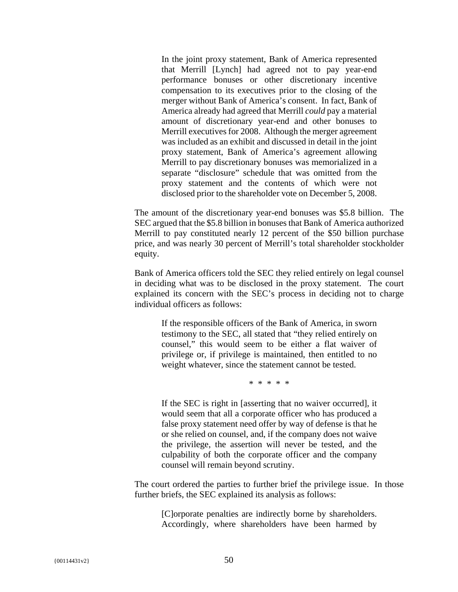In the joint proxy statement, Bank of America represented that Merrill [Lynch] had agreed not to pay year-end performance bonuses or other discretionary incentive compensation to its executives prior to the closing of the merger without Bank of America's consent. In fact, Bank of America already had agreed that Merrill *could* pay a material amount of discretionary year-end and other bonuses to Merrill executives for 2008. Although the merger agreement was included as an exhibit and discussed in detail in the joint proxy statement, Bank of America's agreement allowing Merrill to pay discretionary bonuses was memorialized in a separate "disclosure" schedule that was omitted from the proxy statement and the contents of which were not disclosed prior to the shareholder vote on December 5, 2008.

The amount of the discretionary year-end bonuses was \$5.8 billion. The SEC argued that the \$5.8 billion in bonuses that Bank of America authorized Merrill to pay constituted nearly 12 percent of the \$50 billion purchase price, and was nearly 30 percent of Merrill's total shareholder stockholder equity.

Bank of America officers told the SEC they relied entirely on legal counsel in deciding what was to be disclosed in the proxy statement. The court explained its concern with the SEC's process in deciding not to charge individual officers as follows:

If the responsible officers of the Bank of America, in sworn testimony to the SEC, all stated that "they relied entirely on counsel," this would seem to be either a flat waiver of privilege or, if privilege is maintained, then entitled to no weight whatever, since the statement cannot be tested.

\* \* \* \* \*

If the SEC is right in [asserting that no waiver occurred], it would seem that all a corporate officer who has produced a false proxy statement need offer by way of defense is that he or she relied on counsel, and, if the company does not waive the privilege, the assertion will never be tested, and the culpability of both the corporate officer and the company counsel will remain beyond scrutiny.

The court ordered the parties to further brief the privilege issue. In those further briefs, the SEC explained its analysis as follows:

[C]orporate penalties are indirectly borne by shareholders. Accordingly, where shareholders have been harmed by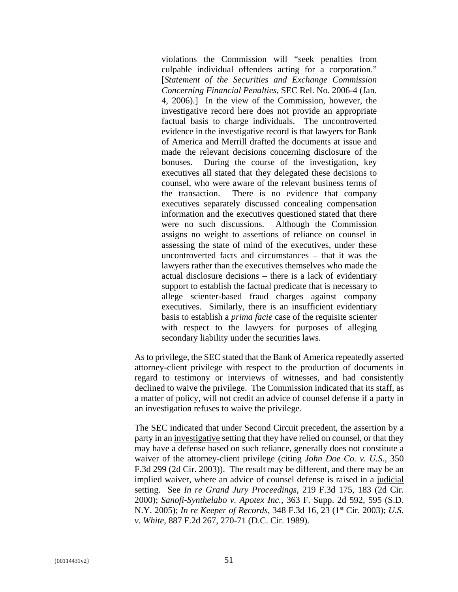violations the Commission will "seek penalties from culpable individual offenders acting for a corporation." [*Statement of the Securities and Exchange Commission Concerning Financial Penalties*, SEC Rel. No. 2006-4 (Jan. 4, 2006).] In the view of the Commission, however, the investigative record here does not provide an appropriate factual basis to charge individuals. The uncontroverted evidence in the investigative record is that lawyers for Bank of America and Merrill drafted the documents at issue and made the relevant decisions concerning disclosure of the bonuses. During the course of the investigation, key executives all stated that they delegated these decisions to counsel, who were aware of the relevant business terms of the transaction. There is no evidence that company executives separately discussed concealing compensation information and the executives questioned stated that there were no such discussions. Although the Commission assigns no weight to assertions of reliance on counsel in assessing the state of mind of the executives, under these uncontroverted facts and circumstances – that it was the lawyers rather than the executives themselves who made the actual disclosure decisions – there is a lack of evidentiary support to establish the factual predicate that is necessary to allege scienter-based fraud charges against company executives. Similarly, there is an insufficient evidentiary basis to establish a *prima facie* case of the requisite scienter with respect to the lawyers for purposes of alleging secondary liability under the securities laws.

As to privilege, the SEC stated that the Bank of America repeatedly asserted attorney-client privilege with respect to the production of documents in regard to testimony or interviews of witnesses, and had consistently declined to waive the privilege. The Commission indicated that its staff, as a matter of policy, will not credit an advice of counsel defense if a party in an investigation refuses to waive the privilege.

The SEC indicated that under Second Circuit precedent, the assertion by a party in an investigative setting that they have relied on counsel, or that they may have a defense based on such reliance, generally does not constitute a waiver of the attorney-client privilege (citing *John Doe Co. v. U.S.*, 350 F.3d 299 (2d Cir. 2003)). The result may be different, and there may be an implied waiver, where an advice of counsel defense is raised in a judicial setting. See *In re Grand Jury Proceedings*, 219 F.3d 175, 183 (2d Cir. 2000); *Sanofi-Synthelabo v. Apotex Inc.*, 363 F. Supp. 2d 592, 595 (S.D. N.Y. 2005); *In re Keeper of Records*, 348 F.3d 16, 23 (1st Cir. 2003); *U.S. v. White*, 887 F.2d 267, 270-71 (D.C. Cir. 1989).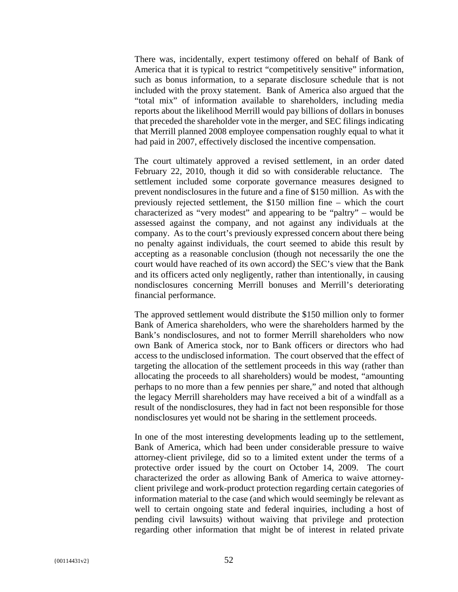There was, incidentally, expert testimony offered on behalf of Bank of America that it is typical to restrict "competitively sensitive" information, such as bonus information, to a separate disclosure schedule that is not included with the proxy statement. Bank of America also argued that the "total mix" of information available to shareholders, including media reports about the likelihood Merrill would pay billions of dollars in bonuses that preceded the shareholder vote in the merger, and SEC filings indicating that Merrill planned 2008 employee compensation roughly equal to what it had paid in 2007, effectively disclosed the incentive compensation.

The court ultimately approved a revised settlement, in an order dated February 22, 2010, though it did so with considerable reluctance. The settlement included some corporate governance measures designed to prevent nondisclosures in the future and a fine of \$150 million. As with the previously rejected settlement, the \$150 million fine – which the court characterized as "very modest" and appearing to be "paltry" – would be assessed against the company, and not against any individuals at the company. As to the court's previously expressed concern about there being no penalty against individuals, the court seemed to abide this result by accepting as a reasonable conclusion (though not necessarily the one the court would have reached of its own accord) the SEC's view that the Bank and its officers acted only negligently, rather than intentionally, in causing nondisclosures concerning Merrill bonuses and Merrill's deteriorating financial performance.

The approved settlement would distribute the \$150 million only to former Bank of America shareholders, who were the shareholders harmed by the Bank's nondisclosures, and not to former Merrill shareholders who now own Bank of America stock, nor to Bank officers or directors who had access to the undisclosed information. The court observed that the effect of targeting the allocation of the settlement proceeds in this way (rather than allocating the proceeds to all shareholders) would be modest, "amounting perhaps to no more than a few pennies per share," and noted that although the legacy Merrill shareholders may have received a bit of a windfall as a result of the nondisclosures, they had in fact not been responsible for those nondisclosures yet would not be sharing in the settlement proceeds.

In one of the most interesting developments leading up to the settlement, Bank of America, which had been under considerable pressure to waive attorney-client privilege, did so to a limited extent under the terms of a protective order issued by the court on October 14, 2009. The court characterized the order as allowing Bank of America to waive attorneyclient privilege and work-product protection regarding certain categories of information material to the case (and which would seemingly be relevant as well to certain ongoing state and federal inquiries, including a host of pending civil lawsuits) without waiving that privilege and protection regarding other information that might be of interest in related private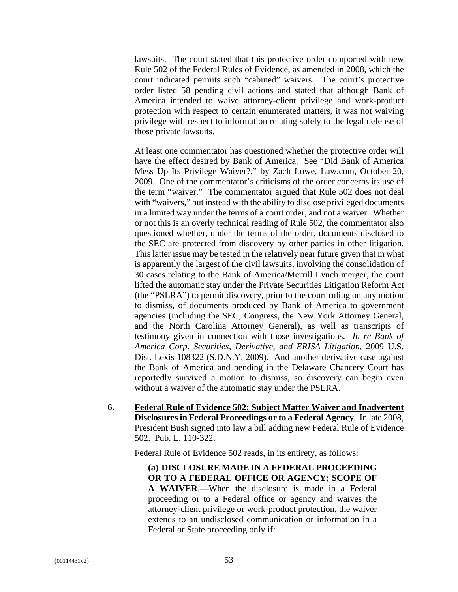lawsuits. The court stated that this protective order comported with new Rule 502 of the Federal Rules of Evidence, as amended in 2008, which the court indicated permits such "cabined" waivers. The court's protective order listed 58 pending civil actions and stated that although Bank of America intended to waive attorney-client privilege and work-product protection with respect to certain enumerated matters, it was not waiving privilege with respect to information relating solely to the legal defense of those private lawsuits.

At least one commentator has questioned whether the protective order will have the effect desired by Bank of America. See "Did Bank of America Mess Up Its Privilege Waiver?," by Zach Lowe, Law.com, October 20, 2009. One of the commentator's criticisms of the order concerns its use of the term "waiver." The commentator argued that Rule 502 does not deal with "waivers," but instead with the ability to disclose privileged documents in a limited way under the terms of a court order, and not a waiver. Whether or not this is an overly technical reading of Rule 502, the commentator also questioned whether, under the terms of the order, documents disclosed to the SEC are protected from discovery by other parties in other litigation. This latter issue may be tested in the relatively near future given that in what is apparently the largest of the civil lawsuits, involving the consolidation of 30 cases relating to the Bank of America/Merrill Lynch merger, the court lifted the automatic stay under the Private Securities Litigation Reform Act (the "PSLRA") to permit discovery, prior to the court ruling on any motion to dismiss, of documents produced by Bank of America to government agencies (including the SEC, Congress, the New York Attorney General, and the North Carolina Attorney General), as well as transcripts of testimony given in connection with those investigations. *In re Bank of America Corp. Securities, Derivative, and ERISA Litigation*, 2009 U.S. Dist. Lexis 108322 (S.D.N.Y. 2009). And another derivative case against the Bank of America and pending in the Delaware Chancery Court has reportedly survived a motion to dismiss, so discovery can begin even without a waiver of the automatic stay under the PSLRA.

**6. Federal Rule of Evidence 502: Subject Matter Waiver and Inadvertent Disclosures in Federal Proceedings or to a Federal Agency**. In late 2008, President Bush signed into law a bill adding new Federal Rule of Evidence 502. Pub. L. 110-322.

Federal Rule of Evidence 502 reads, in its entirety, as follows:

**(a) DISCLOSURE MADE IN A FEDERAL PROCEEDING OR TO A FEDERAL OFFICE OR AGENCY; SCOPE OF A WAIVER**.—When the disclosure is made in a Federal proceeding or to a Federal office or agency and waives the attorney-client privilege or work-product protection, the waiver extends to an undisclosed communication or information in a Federal or State proceeding only if: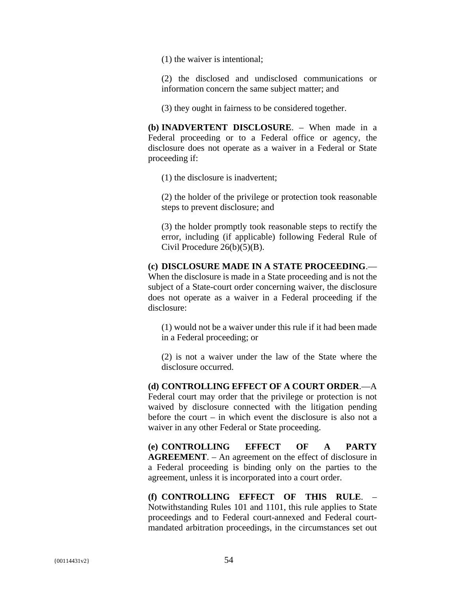(1) the waiver is intentional;

(2) the disclosed and undisclosed communications or information concern the same subject matter; and

(3) they ought in fairness to be considered together.

**(b) INADVERTENT DISCLOSURE**. – When made in a Federal proceeding or to a Federal office or agency, the disclosure does not operate as a waiver in a Federal or State proceeding if:

(1) the disclosure is inadvertent;

(2) the holder of the privilege or protection took reasonable steps to prevent disclosure; and

(3) the holder promptly took reasonable steps to rectify the error, including (if applicable) following Federal Rule of Civil Procedure 26(b)(5)(B).

**(c) DISCLOSURE MADE IN A STATE PROCEEDING**.— When the disclosure is made in a State proceeding and is not the subject of a State-court order concerning waiver, the disclosure does not operate as a waiver in a Federal proceeding if the disclosure:

(1) would not be a waiver under this rule if it had been made in a Federal proceeding; or

(2) is not a waiver under the law of the State where the disclosure occurred.

**(d) CONTROLLING EFFECT OF A COURT ORDER**.—A Federal court may order that the privilege or protection is not waived by disclosure connected with the litigation pending before the court – in which event the disclosure is also not a waiver in any other Federal or State proceeding.

**(e) CONTROLLING EFFECT OF A PARTY AGREEMENT**. – An agreement on the effect of disclosure in a Federal proceeding is binding only on the parties to the agreement, unless it is incorporated into a court order.

**(f) CONTROLLING EFFECT OF THIS RULE**. – Notwithstanding Rules 101 and 1101, this rule applies to State proceedings and to Federal court-annexed and Federal courtmandated arbitration proceedings, in the circumstances set out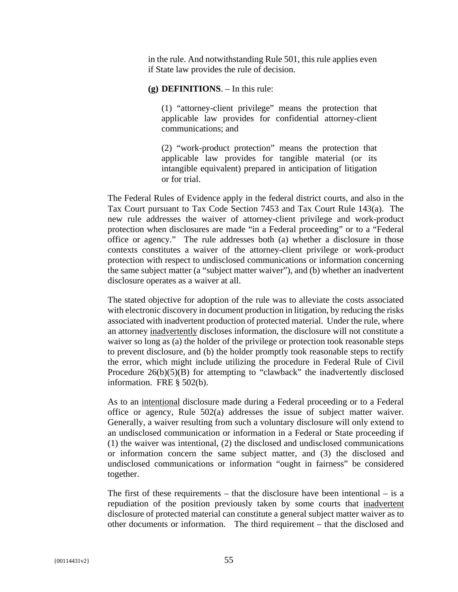in the rule. And notwithstanding Rule 501, this rule applies even if State law provides the rule of decision.

#### **(g) DEFINITIONS**. – In this rule:

(1) "attorney-client privilege" means the protection that applicable law provides for confidential attorney-client communications; and

(2) "work-product protection" means the protection that applicable law provides for tangible material (or its intangible equivalent) prepared in anticipation of litigation or for trial.

The Federal Rules of Evidence apply in the federal district courts, and also in the Tax Court pursuant to Tax Code Section 7453 and Tax Court Rule 143(a). The new rule addresses the waiver of attorney-client privilege and work-product protection when disclosures are made "in a Federal proceeding" or to a "Federal office or agency." The rule addresses both (a) whether a disclosure in those contexts constitutes a waiver of the attorney-client privilege or work-product protection with respect to undisclosed communications or information concerning the same subject matter (a "subject matter waiver"), and (b) whether an inadvertent disclosure operates as a waiver at all.

The stated objective for adoption of the rule was to alleviate the costs associated with electronic discovery in document production in litigation, by reducing the risks associated with inadvertent production of protected material. Under the rule, where an attorney inadvertently discloses information, the disclosure will not constitute a waiver so long as (a) the holder of the privilege or protection took reasonable steps to prevent disclosure, and (b) the holder promptly took reasonable steps to rectify the error, which might include utilizing the procedure in Federal Rule of Civil Procedure 26(b)(5)(B) for attempting to "clawback" the inadvertently disclosed information. FRE § 502(b).

As to an intentional disclosure made during a Federal proceeding or to a Federal office or agency, Rule 502(a) addresses the issue of subject matter waiver. Generally, a waiver resulting from such a voluntary disclosure will only extend to an undisclosed communication or information in a Federal or State proceeding if (1) the waiver was intentional, (2) the disclosed and undisclosed communications or information concern the same subject matter, and (3) the disclosed and undisclosed communications or information "ought in fairness" be considered together.

The first of these requirements – that the disclosure have been intentional – is a repudiation of the position previously taken by some courts that inadvertent disclosure of protected material can constitute a general subject matter waiver as to other documents or information. The third requirement – that the disclosed and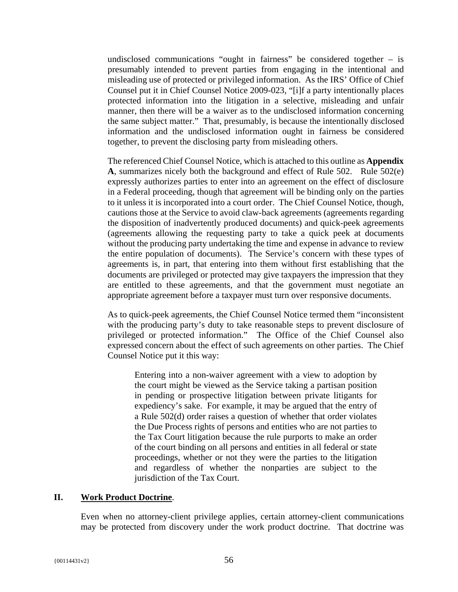undisclosed communications "ought in fairness" be considered together – is presumably intended to prevent parties from engaging in the intentional and misleading use of protected or privileged information. As the IRS' Office of Chief Counsel put it in Chief Counsel Notice 2009-023, "[i]f a party intentionally places protected information into the litigation in a selective, misleading and unfair manner, then there will be a waiver as to the undisclosed information concerning the same subject matter." That, presumably, is because the intentionally disclosed information and the undisclosed information ought in fairness be considered together, to prevent the disclosing party from misleading others.

The referenced Chief Counsel Notice, which is attached to this outline as **Appendix A**, summarizes nicely both the background and effect of Rule 502. Rule 502(e) expressly authorizes parties to enter into an agreement on the effect of disclosure in a Federal proceeding, though that agreement will be binding only on the parties to it unless it is incorporated into a court order. The Chief Counsel Notice, though, cautions those at the Service to avoid claw-back agreements (agreements regarding the disposition of inadvertently produced documents) and quick-peek agreements (agreements allowing the requesting party to take a quick peek at documents without the producing party undertaking the time and expense in advance to review the entire population of documents). The Service's concern with these types of agreements is, in part, that entering into them without first establishing that the documents are privileged or protected may give taxpayers the impression that they are entitled to these agreements, and that the government must negotiate an appropriate agreement before a taxpayer must turn over responsive documents.

As to quick-peek agreements, the Chief Counsel Notice termed them "inconsistent with the producing party's duty to take reasonable steps to prevent disclosure of privileged or protected information." The Office of the Chief Counsel also expressed concern about the effect of such agreements on other parties. The Chief Counsel Notice put it this way:

Entering into a non-waiver agreement with a view to adoption by the court might be viewed as the Service taking a partisan position in pending or prospective litigation between private litigants for expediency's sake. For example, it may be argued that the entry of a Rule 502(d) order raises a question of whether that order violates the Due Process rights of persons and entities who are not parties to the Tax Court litigation because the rule purports to make an order of the court binding on all persons and entities in all federal or state proceedings, whether or not they were the parties to the litigation and regardless of whether the nonparties are subject to the jurisdiction of the Tax Court.

#### **II. Work Product Doctrine**.

Even when no attorney-client privilege applies, certain attorney-client communications may be protected from discovery under the work product doctrine. That doctrine was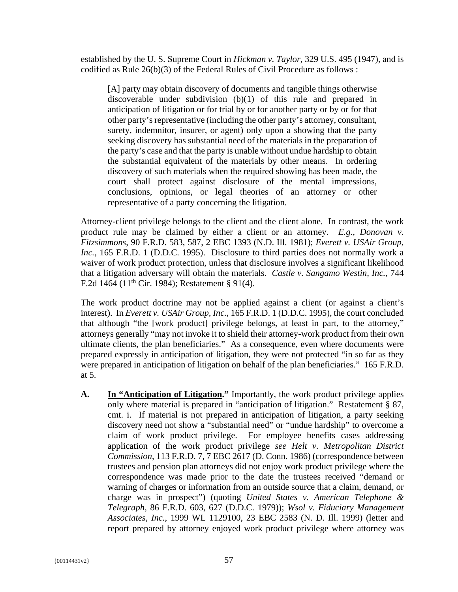established by the U. S. Supreme Court in *Hickman v. Taylor*, 329 U.S. 495 (1947), and is codified as Rule 26(b)(3) of the Federal Rules of Civil Procedure as follows :

[A] party may obtain discovery of documents and tangible things otherwise discoverable under subdivision (b)(1) of this rule and prepared in anticipation of litigation or for trial by or for another party or by or for that other party's representative (including the other party's attorney, consultant, surety, indemnitor, insurer, or agent) only upon a showing that the party seeking discovery has substantial need of the materials in the preparation of the party's case and that the party is unable without undue hardship to obtain the substantial equivalent of the materials by other means. In ordering discovery of such materials when the required showing has been made, the court shall protect against disclosure of the mental impressions, conclusions, opinions, or legal theories of an attorney or other representative of a party concerning the litigation.

Attorney-client privilege belongs to the client and the client alone. In contrast, the work product rule may be claimed by either a client or an attorney. *E.g., Donovan v. Fitzsimmons*, 90 F.R.D. 583, 587, 2 EBC 1393 (N.D. Ill. 1981); *Everett v. USAir Group, Inc.,* 165 F.R.D. 1 (D.D.C. 1995). Disclosure to third parties does not normally work a waiver of work product protection, unless that disclosure involves a significant likelihood that a litigation adversary will obtain the materials. *Castle v. Sangamo Westin, Inc.*, 744 F.2d 1464 (11<sup>th</sup> Cir. 1984); Restatement § 91(4).

The work product doctrine may not be applied against a client (or against a client's interest). In *Everett v. USAir Group, Inc.*, 165 F.R.D. 1 (D.D.C. 1995), the court concluded that although "the [work product] privilege belongs, at least in part, to the attorney," attorneys generally "may not invoke it to shield their attorney-work product from their own ultimate clients, the plan beneficiaries." As a consequence, even where documents were prepared expressly in anticipation of litigation, they were not protected "in so far as they were prepared in anticipation of litigation on behalf of the plan beneficiaries." 165 F.R.D. at 5.

A. In "Anticipation of Litigation." Importantly, the work product privilege applies only where material is prepared in "anticipation of litigation." Restatement § 87, cmt. i. If material is not prepared in anticipation of litigation, a party seeking discovery need not show a "substantial need" or "undue hardship" to overcome a claim of work product privilege. For employee benefits cases addressing application of the work product privilege *see Helt v. Metropolitan District Commission*, 113 F.R.D. 7, 7 EBC 2617 (D. Conn. 1986) (correspondence between trustees and pension plan attorneys did not enjoy work product privilege where the correspondence was made prior to the date the trustees received "demand or warning of charges or information from an outside source that a claim, demand, or charge was in prospect") (quoting *United States v. American Telephone & Telegraph*, 86 F.R.D. 603, 627 (D.D.C. 1979)); *Wsol v. Fiduciary Management Associates, Inc.*, 1999 WL 1129100, 23 EBC 2583 (N. D. Ill. 1999) (letter and report prepared by attorney enjoyed work product privilege where attorney was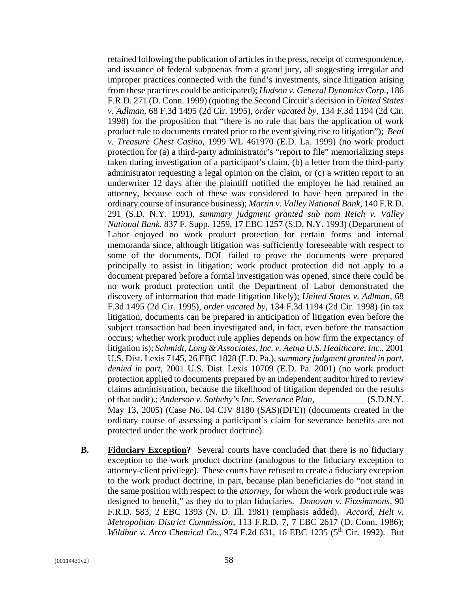retained following the publication of articles in the press, receipt of correspondence, and issuance of federal subpoenas from a grand jury, all suggesting irregular and improper practices connected with the fund's investments, since litigation arising from these practices could be anticipated); *Hudson v. General Dynamics Corp.*, 186 F.R.D. 271 (D. Conn. 1999) (quoting the Second Circuit's decision in *United States v. Adlman*, 68 F.3d 1495 (2d Cir. 1995), *order vacated by*, 134 F.3d 1194 (2d Cir. 1998) for the proposition that "there is no rule that bars the application of work product rule to documents created prior to the event giving rise to litigation"); *Beal v. Treasure Chest Casino*, 1999 WL 461970 (E.D. La. 1999) (no work product protection for (a) a third-party administrator's "report to file" memorializing steps taken during investigation of a participant's claim, (b) a letter from the third-party administrator requesting a legal opinion on the claim, or (c) a written report to an underwriter 12 days after the plaintiff notified the employer he had retained an attorney, because each of these was considered to have been prepared in the ordinary course of insurance business); *Martin v. Valley National Bank*, 140 F.R.D. 291 (S.D. N.Y. 1991), *summary judgment granted sub nom Reich v. Valley National Bank*, 837 F. Supp. 1259, 17 EBC 1257 (S.D. N.Y. 1993) (Department of Labor enjoyed no work product protection for certain forms and internal memoranda since, although litigation was sufficiently foreseeable with respect to some of the documents, DOL failed to prove the documents were prepared principally to assist in litigation; work product protection did not apply to a document prepared before a formal investigation was opened, since there could be no work product protection until the Department of Labor demonstrated the discovery of information that made litigation likely); *United States v. Adlman*, 68 F.3d 1495 (2d Cir. 1995), *order vacated by*, 134 F.3d 1194 (2d Cir. 1998) (in tax litigation, documents can be prepared in anticipation of litigation even before the subject transaction had been investigated and, in fact, even before the transaction occurs; whether work product rule applies depends on how firm the expectancy of litigation is); *Schmidt, Long & Associates, Inc. v. Aetna U.S. Healthcare, Inc.*, 2001 U.S. Dist. Lexis 7145, 26 EBC 1828 (E.D. Pa.), *summary judgment granted in part, denied in part,* 2001 U.S. Dist. Lexis 10709 (E.D. Pa. 2001) (no work product protection applied to documents prepared by an independent auditor hired to review claims administration, because the likelihood of litigation depended on the results of that audit).; *Anderson v. Sotheby's Inc. Severance Plan*, (S.D.N.Y.) May 13, 2005) (Case No. 04 CIV 8180 (SAS)(DFE)) (documents created in the ordinary course of assessing a participant's claim for severance benefits are not protected under the work product doctrine).

**B.** Fiduciary Exception? Several courts have concluded that there is no fiduciary exception to the work product doctrine (analogous to the fiduciary exception to attorney-client privilege). These courts have refused to create a fiduciary exception to the work product doctrine, in part, because plan beneficiaries do "not stand in the same position with respect to the *attorney*, for whom the work product rule was designed to benefit," as they do to plan fiduciaries. *Donovan v. Fitzsimmons*, 90 F.R.D. 583, 2 EBC 1393 (N. D. Ill. 1981) (emphasis added). *Accord, Helt v. Metropolitan District Commission*, 113 F.R.D. 7, 7 EBC 2617 (D. Conn. 1986); *Wildbur v. Arco Chemical Co.*, 974 F.2d 631, 16 EBC 1235 (5<sup>th</sup> Cir. 1992). But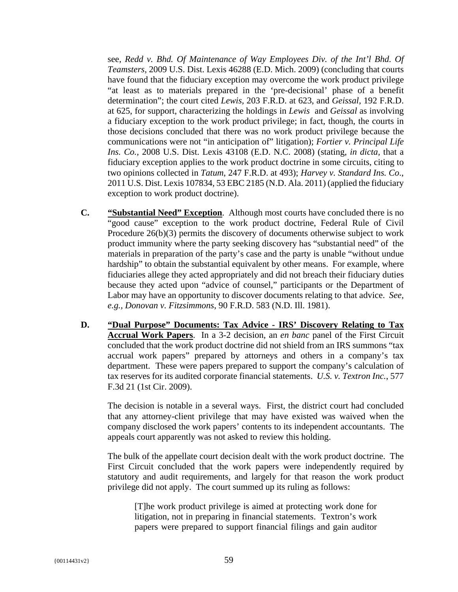see, *Redd v. Bhd. Of Maintenance of Way Employees Div. of the Int'l Bhd. Of Teamsters*, 2009 U.S. Dist. Lexis 46288 (E.D. Mich. 2009) (concluding that courts have found that the fiduciary exception may overcome the work product privilege "at least as to materials prepared in the 'pre-decisional' phase of a benefit determination"; the court cited *Lewis,* 203 F.R.D. at 623, and *Geissal*, 192 F.R.D. at 625, for support, characterizing the holdings in *Lewis* and *Geissal* as involving a fiduciary exception to the work product privilege; in fact, though, the courts in those decisions concluded that there was no work product privilege because the communications were not "in anticipation of" litigation); *Fortier v. Principal Life Ins. Co.*, 2008 U.S. Dist. Lexis 43108 (E.D. N.C. 2008) (stating, *in dicta,* that a fiduciary exception applies to the work product doctrine in some circuits, citing to two opinions collected in *Tatum*, 247 F.R.D. at 493); *Harvey v. Standard Ins. Co*., 2011 U.S. Dist. Lexis 107834, 53 EBC 2185 (N.D. Ala. 2011) (applied the fiduciary exception to work product doctrine).

- **C. "Substantial Need" Exception**. Although most courts have concluded there is no "good cause" exception to the work product doctrine, Federal Rule of Civil Procedure 26(b)(3) permits the discovery of documents otherwise subject to work product immunity where the party seeking discovery has "substantial need" of the materials in preparation of the party's case and the party is unable "without undue hardship" to obtain the substantial equivalent by other means. For example, where fiduciaries allege they acted appropriately and did not breach their fiduciary duties because they acted upon "advice of counsel," participants or the Department of Labor may have an opportunity to discover documents relating to that advice. *See, e.g., Donovan v. Fitzsimmons*, 90 F.R.D. 583 (N.D. Ill. 1981).
- **D. "Dual Purpose" Documents: Tax Advice IRS' Discovery Relating to Tax Accrual Work Papers**. In a 3-2 decision, an *en banc* panel of the First Circuit concluded that the work product doctrine did not shield from an IRS summons "tax accrual work papers" prepared by attorneys and others in a company's tax department. These were papers prepared to support the company's calculation of tax reserves for its audited corporate financial statements. *U.S. v. Textron Inc.*, 577 F.3d 21 (1st Cir. 2009).

The decision is notable in a several ways. First, the district court had concluded that any attorney-client privilege that may have existed was waived when the company disclosed the work papers' contents to its independent accountants. The appeals court apparently was not asked to review this holding.

The bulk of the appellate court decision dealt with the work product doctrine. The First Circuit concluded that the work papers were independently required by statutory and audit requirements, and largely for that reason the work product privilege did not apply. The court summed up its ruling as follows:

[T]he work product privilege is aimed at protecting work done for litigation, not in preparing in financial statements. Textron's work papers were prepared to support financial filings and gain auditor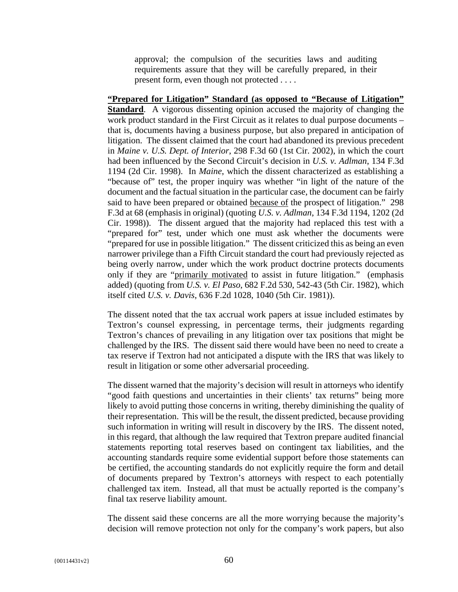approval; the compulsion of the securities laws and auditing requirements assure that they will be carefully prepared, in their present form, even though not protected . . . .

**"Prepared for Litigation" Standard (as opposed to "Because of Litigation" Standard.** A vigorous dissenting opinion accused the majority of changing the work product standard in the First Circuit as it relates to dual purpose documents – that is, documents having a business purpose, but also prepared in anticipation of litigation. The dissent claimed that the court had abandoned its previous precedent in *Maine v. U.S. Dept. of Interior*, 298 F.3d 60 (1st Cir. 2002), in which the court had been influenced by the Second Circuit's decision in *U.S. v. Adlman*, 134 F.3d 1194 (2d Cir. 1998). In *Maine*, which the dissent characterized as establishing a "because of" test, the proper inquiry was whether "in light of the nature of the document and the factual situation in the particular case, the document can be fairly said to have been prepared or obtained because of the prospect of litigation." 298 F.3d at 68 (emphasis in original) (quoting *U.S. v. Adlman*, 134 F.3d 1194, 1202 (2d Cir. 1998)). The dissent argued that the majority had replaced this test with a "prepared for" test, under which one must ask whether the documents were "prepared for use in possible litigation." The dissent criticized this as being an even narrower privilege than a Fifth Circuit standard the court had previously rejected as being overly narrow, under which the work product doctrine protects documents only if they are "primarily motivated to assist in future litigation." (emphasis added) (quoting from *U.S. v. El Paso*, 682 F.2d 530, 542-43 (5th Cir. 1982), which itself cited *U.S. v. Davis*, 636 F.2d 1028, 1040 (5th Cir. 1981)).

The dissent noted that the tax accrual work papers at issue included estimates by Textron's counsel expressing, in percentage terms, their judgments regarding Textron's chances of prevailing in any litigation over tax positions that might be challenged by the IRS. The dissent said there would have been no need to create a tax reserve if Textron had not anticipated a dispute with the IRS that was likely to result in litigation or some other adversarial proceeding.

The dissent warned that the majority's decision will result in attorneys who identify "good faith questions and uncertainties in their clients' tax returns" being more likely to avoid putting those concerns in writing, thereby diminishing the quality of their representation. This will be the result, the dissent predicted, because providing such information in writing will result in discovery by the IRS. The dissent noted, in this regard, that although the law required that Textron prepare audited financial statements reporting total reserves based on contingent tax liabilities, and the accounting standards require some evidential support before those statements can be certified, the accounting standards do not explicitly require the form and detail of documents prepared by Textron's attorneys with respect to each potentially challenged tax item. Instead, all that must be actually reported is the company's final tax reserve liability amount.

The dissent said these concerns are all the more worrying because the majority's decision will remove protection not only for the company's work papers, but also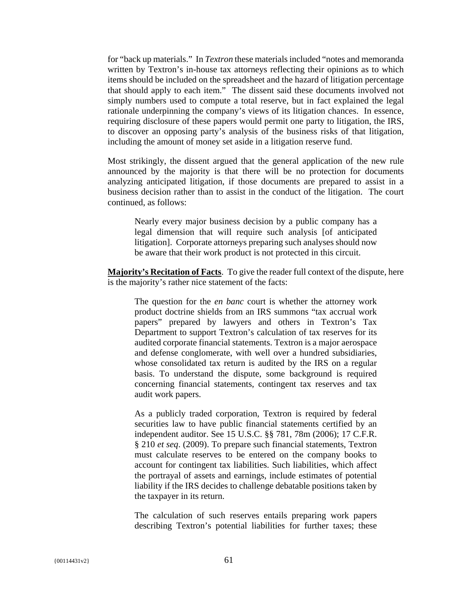for "back up materials." In *Textron* these materials included "notes and memoranda written by Textron's in-house tax attorneys reflecting their opinions as to which items should be included on the spreadsheet and the hazard of litigation percentage that should apply to each item." The dissent said these documents involved not simply numbers used to compute a total reserve, but in fact explained the legal rationale underpinning the company's views of its litigation chances. In essence, requiring disclosure of these papers would permit one party to litigation, the IRS, to discover an opposing party's analysis of the business risks of that litigation, including the amount of money set aside in a litigation reserve fund.

Most strikingly, the dissent argued that the general application of the new rule announced by the majority is that there will be no protection for documents analyzing anticipated litigation, if those documents are prepared to assist in a business decision rather than to assist in the conduct of the litigation. The court continued, as follows:

Nearly every major business decision by a public company has a legal dimension that will require such analysis [of anticipated litigation]. Corporate attorneys preparing such analyses should now be aware that their work product is not protected in this circuit.

**Majority's Recitation of Facts**. To give the reader full context of the dispute, here is the majority's rather nice statement of the facts:

The question for the *en banc* court is whether the attorney work product doctrine shields from an IRS summons "tax accrual work papers" prepared by lawyers and others in Textron's Tax Department to support Textron's calculation of tax reserves for its audited corporate financial statements. Textron is a major aerospace and defense conglomerate, with well over a hundred subsidiaries, whose consolidated tax return is audited by the IRS on a regular basis. To understand the dispute, some background is required concerning financial statements, contingent tax reserves and tax audit work papers.

As a publicly traded corporation, Textron is required by federal securities law to have public financial statements certified by an independent auditor. See 15 U.S.C. §§ 781, 78m (2006); 17 C.F.R. § 210 *et seq*. (2009). To prepare such financial statements, Textron must calculate reserves to be entered on the company books to account for contingent tax liabilities. Such liabilities, which affect the portrayal of assets and earnings, include estimates of potential liability if the IRS decides to challenge debatable positions taken by the taxpayer in its return.

The calculation of such reserves entails preparing work papers describing Textron's potential liabilities for further taxes; these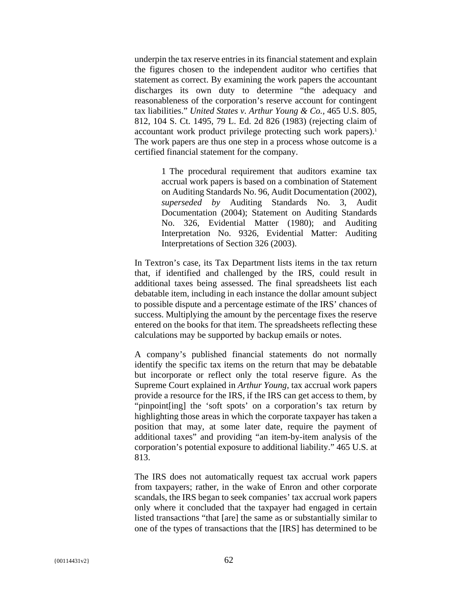underpin the tax reserve entries in its financial statement and explain the figures chosen to the independent auditor who certifies that statement as correct. By examining the work papers the accountant discharges its own duty to determine "the adequacy and reasonableness of the corporation's reserve account for contingent tax liabilities." *United States v. Arthur Young & Co.,* 465 U.S. 805, 812, 104 S. Ct. 1495, 79 L. Ed. 2d 826 (1983) (rejecting claim of accountant work product privilege protecting such work papers).<sup>1</sup> The work papers are thus one step in a process whose outcome is a certified financial statement for the company.

> 1 The procedural requirement that auditors examine tax accrual work papers is based on a combination of Statement on Auditing Standards No. 96, Audit Documentation (2002), *superseded by* Auditing Standards No. 3, Audit Documentation (2004); Statement on Auditing Standards No. 326, Evidential Matter (1980); and Auditing Interpretation No. 9326, Evidential Matter: Auditing Interpretations of Section 326 (2003).

In Textron's case, its Tax Department lists items in the tax return that, if identified and challenged by the IRS, could result in additional taxes being assessed. The final spreadsheets list each debatable item, including in each instance the dollar amount subject to possible dispute and a percentage estimate of the IRS' chances of success. Multiplying the amount by the percentage fixes the reserve entered on the books for that item. The spreadsheets reflecting these calculations may be supported by backup emails or notes.

A company's published financial statements do not normally identify the specific tax items on the return that may be debatable but incorporate or reflect only the total reserve figure. As the Supreme Court explained in *Arthur Young*, tax accrual work papers provide a resource for the IRS, if the IRS can get access to them, by "pinpoint[ing] the 'soft spots' on a corporation's tax return by highlighting those areas in which the corporate taxpayer has taken a position that may, at some later date, require the payment of additional taxes" and providing "an item-by-item analysis of the corporation's potential exposure to additional liability." 465 U.S. at 813.

The IRS does not automatically request tax accrual work papers from taxpayers; rather, in the wake of Enron and other corporate scandals, the IRS began to seek companies' tax accrual work papers only where it concluded that the taxpayer had engaged in certain listed transactions "that [are] the same as or substantially similar to one of the types of transactions that the [IRS] has determined to be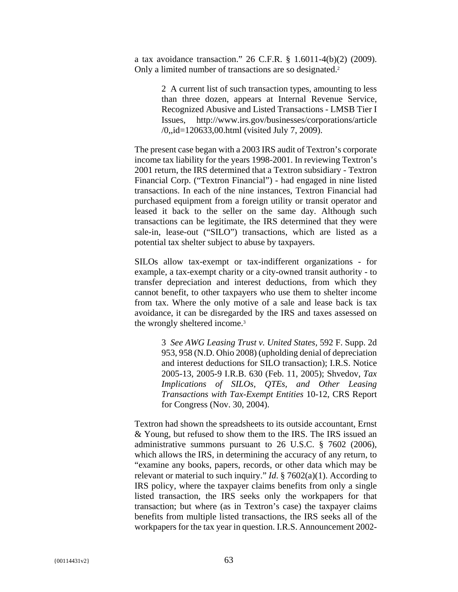a tax avoidance transaction." 26 C.F.R. § 1.6011-4(b)(2) (2009). Only a limited number of transactions are so designated.<sup>2</sup>

> 2 A current list of such transaction types, amounting to less than three dozen, appears at Internal Revenue Service, Recognized Abusive and Listed Transactions - LMSB Tier I Issues, http://www.irs.gov/businesses/corporations/article /0,,id=120633,00.html (visited July 7, 2009).

The present case began with a 2003 IRS audit of Textron's corporate income tax liability for the years 1998-2001. In reviewing Textron's 2001 return, the IRS determined that a Textron subsidiary - Textron Financial Corp. ("Textron Financial") - had engaged in nine listed transactions. In each of the nine instances, Textron Financial had purchased equipment from a foreign utility or transit operator and leased it back to the seller on the same day. Although such transactions can be legitimate, the IRS determined that they were sale-in, lease-out ("SILO") transactions, which are listed as a potential tax shelter subject to abuse by taxpayers.

SILOs allow tax-exempt or tax-indifferent organizations - for example, a tax-exempt charity or a city-owned transit authority - to transfer depreciation and interest deductions, from which they cannot benefit, to other taxpayers who use them to shelter income from tax. Where the only motive of a sale and lease back is tax avoidance, it can be disregarded by the IRS and taxes assessed on the wrongly sheltered income.3

> 3 *See AWG Leasing Trust v. United States,* 592 F. Supp. 2d 953, 958 (N.D. Ohio 2008) (upholding denial of depreciation and interest deductions for SILO transaction); I.R.S. Notice 2005-13, 2005-9 I.R.B. 630 (Feb. 11, 2005); Shvedov, *Tax Implications of SILOs, QTEs, and Other Leasing Transactions with Tax-Exempt Entities* 10-12, CRS Report for Congress (Nov. 30, 2004).

Textron had shown the spreadsheets to its outside accountant, Ernst & Young, but refused to show them to the IRS. The IRS issued an administrative summons pursuant to 26 U.S.C. § 7602 (2006), which allows the IRS, in determining the accuracy of any return, to "examine any books, papers, records, or other data which may be relevant or material to such inquiry." *Id.*  $\S 7602(a)(1)$ . According to IRS policy, where the taxpayer claims benefits from only a single listed transaction, the IRS seeks only the workpapers for that transaction; but where (as in Textron's case) the taxpayer claims benefits from multiple listed transactions, the IRS seeks all of the workpapers for the tax year in question. I.R.S. Announcement 2002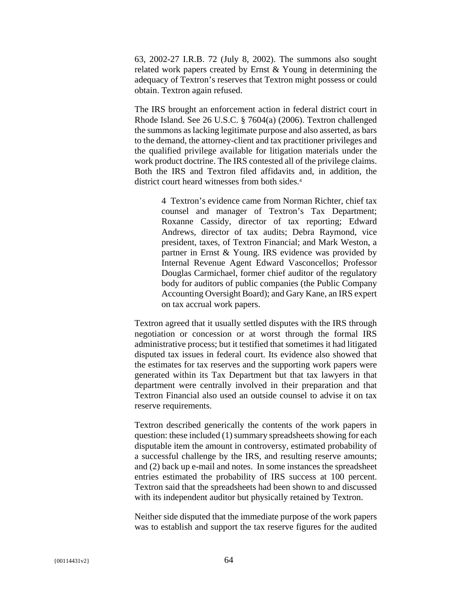63, 2002-27 I.R.B. 72 (July 8, 2002). The summons also sought related work papers created by Ernst & Young in determining the adequacy of Textron's reserves that Textron might possess or could obtain. Textron again refused.

The IRS brought an enforcement action in federal district court in Rhode Island. See 26 U.S.C. § 7604(a) (2006). Textron challenged the summons as lacking legitimate purpose and also asserted, as bars to the demand, the attorney-client and tax practitioner privileges and the qualified privilege available for litigation materials under the work product doctrine. The IRS contested all of the privilege claims. Both the IRS and Textron filed affidavits and, in addition, the district court heard witnesses from both sides.<sup>4</sup>

> 4 Textron's evidence came from Norman Richter, chief tax counsel and manager of Textron's Tax Department; Roxanne Cassidy, director of tax reporting; Edward Andrews, director of tax audits; Debra Raymond, vice president, taxes, of Textron Financial; and Mark Weston, a partner in Ernst & Young. IRS evidence was provided by Internal Revenue Agent Edward Vasconcellos; Professor Douglas Carmichael, former chief auditor of the regulatory body for auditors of public companies (the Public Company Accounting Oversight Board); and Gary Kane, an IRS expert on tax accrual work papers.

Textron agreed that it usually settled disputes with the IRS through negotiation or concession or at worst through the formal IRS administrative process; but it testified that sometimes it had litigated disputed tax issues in federal court. Its evidence also showed that the estimates for tax reserves and the supporting work papers were generated within its Tax Department but that tax lawyers in that department were centrally involved in their preparation and that Textron Financial also used an outside counsel to advise it on tax reserve requirements.

Textron described generically the contents of the work papers in question: these included (1) summary spreadsheets showing for each disputable item the amount in controversy, estimated probability of a successful challenge by the IRS, and resulting reserve amounts; and (2) back up e-mail and notes. In some instances the spreadsheet entries estimated the probability of IRS success at 100 percent. Textron said that the spreadsheets had been shown to and discussed with its independent auditor but physically retained by Textron.

Neither side disputed that the immediate purpose of the work papers was to establish and support the tax reserve figures for the audited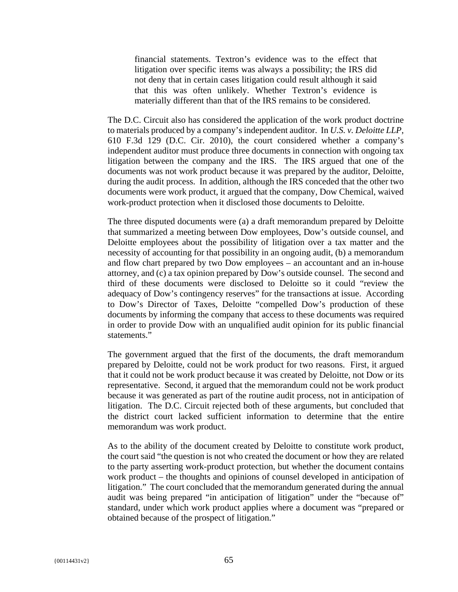financial statements. Textron's evidence was to the effect that litigation over specific items was always a possibility; the IRS did not deny that in certain cases litigation could result although it said that this was often unlikely. Whether Textron's evidence is materially different than that of the IRS remains to be considered.

The D.C. Circuit also has considered the application of the work product doctrine to materials produced by a company's independent auditor. In *U.S. v. Deloitte LLP*, 610 F.3d 129 (D.C. Cir. 2010), the court considered whether a company's independent auditor must produce three documents in connection with ongoing tax litigation between the company and the IRS. The IRS argued that one of the documents was not work product because it was prepared by the auditor, Deloitte, during the audit process. In addition, although the IRS conceded that the other two documents were work product, it argued that the company, Dow Chemical, waived work-product protection when it disclosed those documents to Deloitte.

The three disputed documents were (a) a draft memorandum prepared by Deloitte that summarized a meeting between Dow employees, Dow's outside counsel, and Deloitte employees about the possibility of litigation over a tax matter and the necessity of accounting for that possibility in an ongoing audit, (b) a memorandum and flow chart prepared by two Dow employees – an accountant and an in-house attorney, and (c) a tax opinion prepared by Dow's outside counsel. The second and third of these documents were disclosed to Deloitte so it could "review the adequacy of Dow's contingency reserves" for the transactions at issue. According to Dow's Director of Taxes, Deloitte "compelled Dow's production of these documents by informing the company that access to these documents was required in order to provide Dow with an unqualified audit opinion for its public financial statements."

The government argued that the first of the documents, the draft memorandum prepared by Deloitte, could not be work product for two reasons. First, it argued that it could not be work product because it was created by Deloitte, not Dow or its representative. Second, it argued that the memorandum could not be work product because it was generated as part of the routine audit process, not in anticipation of litigation. The D.C. Circuit rejected both of these arguments, but concluded that the district court lacked sufficient information to determine that the entire memorandum was work product.

As to the ability of the document created by Deloitte to constitute work product, the court said "the question is not who created the document or how they are related to the party asserting work-product protection, but whether the document contains work product – the thoughts and opinions of counsel developed in anticipation of litigation." The court concluded that the memorandum generated during the annual audit was being prepared "in anticipation of litigation" under the "because of" standard, under which work product applies where a document was "prepared or obtained because of the prospect of litigation."